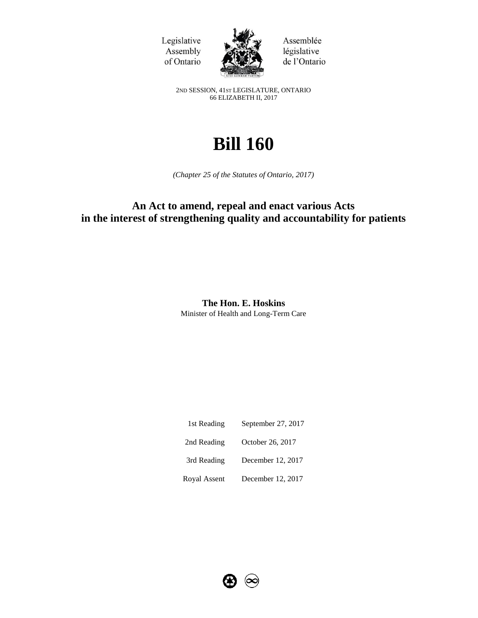Legislative Assembly of Ontario



Assemblée législative de l'Ontario

2ND SESSION, 41ST LEGISLATURE, ONTARIO 66 ELIZABETH II, 2017

# **Bill 160**

*(Chapter 25 of the Statutes of Ontario, 2017)*

# **An Act to amend, repeal and enact various Acts in the interest of strengthening quality and accountability for patients**

**The Hon. E. Hoskins** Minister of Health and Long-Term Care

| 1st Reading  | September 27, 2017 |
|--------------|--------------------|
| 2nd Reading  | October 26, 2017   |
| 3rd Reading  | December 12, 2017  |
| Royal Assent | December 12, 2017  |

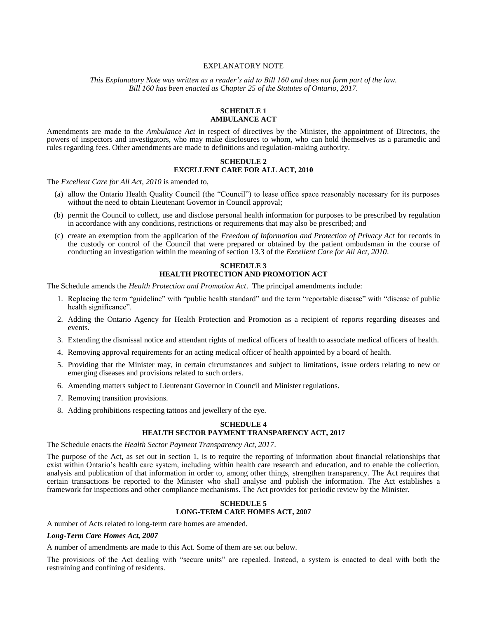#### EXPLANATORY NOTE

*This Explanatory Note was written as a reader's aid to Bill 160 and does not form part of the law. Bill 160 has been enacted as Chapter 25 of the Statutes of Ontario, 2017.*

## **SCHEDULE 1 AMBULANCE ACT**

Amendments are made to the *Ambulance Act* in respect of directives by the Minister, the appointment of Directors, the powers of inspectors and investigators, who may make disclosures to whom, who can hold themselves as a paramedic and rules regarding fees. Other amendments are made to definitions and regulation-making authority.

#### **SCHEDULE 2 EXCELLENT CARE FOR ALL ACT, 2010**

The *Excellent Care for All Act, 2010* is amended to,

- (a) allow the Ontario Health Quality Council (the "Council") to lease office space reasonably necessary for its purposes without the need to obtain Lieutenant Governor in Council approval;
- (b) permit the Council to collect, use and disclose personal health information for purposes to be prescribed by regulation in accordance with any conditions, restrictions or requirements that may also be prescribed; and
- (c) create an exemption from the application of the *Freedom of Information and Protection of Privacy Act* for records in the custody or control of the Council that were prepared or obtained by the patient ombudsman in the course of conducting an investigation within the meaning of section 13.3 of the *Excellent Care for All Act, 2010*.

## **SCHEDULE 3 HEALTH PROTECTION AND PROMOTION ACT**

The Schedule amends the *Health Protection and Promotion Act*. The principal amendments include:

- 1. Replacing the term "guideline" with "public health standard" and the term "reportable disease" with "disease of public health significance".
- 2. Adding the Ontario Agency for Health Protection and Promotion as a recipient of reports regarding diseases and events.
- 3. Extending the dismissal notice and attendant rights of medical officers of health to associate medical officers of health.
- 4. Removing approval requirements for an acting medical officer of health appointed by a board of health.
- 5. Providing that the Minister may, in certain circumstances and subject to limitations, issue orders relating to new or emerging diseases and provisions related to such orders.
- 6. Amending matters subject to Lieutenant Governor in Council and Minister regulations.
- 7. Removing transition provisions.
- 8. Adding prohibitions respecting tattoos and jewellery of the eye.

# **SCHEDULE 4**

# **HEALTH SECTOR PAYMENT TRANSPARENCY ACT, 2017**

The Schedule enacts the *Health Sector Payment Transparency Act, 2017*.

The purpose of the Act, as set out in section 1, is to require the reporting of information about financial relationships that exist within Ontario's health care system, including within health care research and education, and to enable the collection, analysis and publication of that information in order to, among other things, strengthen transparency. The Act requires that certain transactions be reported to the Minister who shall analyse and publish the information. The Act establishes a framework for inspections and other compliance mechanisms. The Act provides for periodic review by the Minister.

#### **SCHEDULE 5 LONG-TERM CARE HOMES ACT, 2007**

A number of Acts related to long-term care homes are amended.

## *Long-Term Care Homes Act, 2007*

A number of amendments are made to this Act. Some of them are set out below.

The provisions of the Act dealing with "secure units" are repealed. Instead, a system is enacted to deal with both the restraining and confining of residents.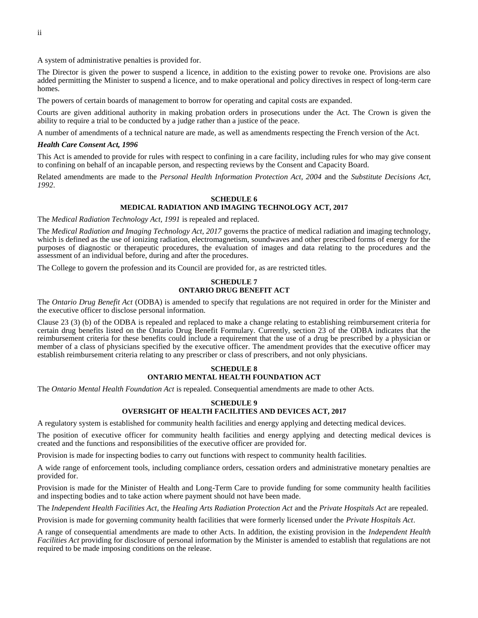A system of administrative penalties is provided for.

The Director is given the power to suspend a licence, in addition to the existing power to revoke one. Provisions are also added permitting the Minister to suspend a licence, and to make operational and policy directives in respect of long-term care homes.

The powers of certain boards of management to borrow for operating and capital costs are expanded.

Courts are given additional authority in making probation orders in prosecutions under the Act. The Crown is given the ability to require a trial to be conducted by a judge rather than a justice of the peace.

A number of amendments of a technical nature are made, as well as amendments respecting the French version of the Act.

## *Health Care Consent Act, 1996*

This Act is amended to provide for rules with respect to confining in a care facility, including rules for who may give consent to confining on behalf of an incapable person, and respecting reviews by the Consent and Capacity Board.

Related amendments are made to the *Personal Health Information Protection Act, 2004* and the *Substitute Decisions Act, 1992*.

## **SCHEDULE 6 MEDICAL RADIATION AND IMAGING TECHNOLOGY ACT, 2017**

The *Medical Radiation Technology Act, 1991* is repealed and replaced.

The *Medical Radiation and Imaging Technology Act, 2017* governs the practice of medical radiation and imaging technology, which is defined as the use of ionizing radiation, electromagnetism, soundwaves and other prescribed forms of energy for the purposes of diagnostic or therapeutic procedures, the evaluation of images and data relating to the procedures and the assessment of an individual before, during and after the procedures.

The College to govern the profession and its Council are provided for, as are restricted titles.

## **SCHEDULE 7 ONTARIO DRUG BENEFIT ACT**

The *Ontario Drug Benefit Act* (ODBA) is amended to specify that regulations are not required in order for the Minister and the executive officer to disclose personal information.

Clause 23 (3) (b) of the ODBA is repealed and replaced to make a change relating to establishing reimbursement criteria for certain drug benefits listed on the Ontario Drug Benefit Formulary. Currently, section 23 of the ODBA indicates that the reimbursement criteria for these benefits could include a requirement that the use of a drug be prescribed by a physician or member of a class of physicians specified by the executive officer. The amendment provides that the executive officer may establish reimbursement criteria relating to any prescriber or class of prescribers, and not only physicians.

## **SCHEDULE 8 ONTARIO MENTAL HEALTH FOUNDATION ACT**

The *Ontario Mental Health Foundation Act* is repealed. Consequential amendments are made to other Acts.

## **SCHEDULE 9 OVERSIGHT OF HEALTH FACILITIES AND DEVICES ACT, 2017**

A regulatory system is established for community health facilities and energy applying and detecting medical devices.

The position of executive officer for community health facilities and energy applying and detecting medical devices is created and the functions and responsibilities of the executive officer are provided for.

Provision is made for inspecting bodies to carry out functions with respect to community health facilities.

A wide range of enforcement tools, including compliance orders, cessation orders and administrative monetary penalties are provided for.

Provision is made for the Minister of Health and Long-Term Care to provide funding for some community health facilities and inspecting bodies and to take action where payment should not have been made.

The *Independent Health Facilities Act*, the *Healing Arts Radiation Protection Act* and the *Private Hospitals Act* are repealed.

Provision is made for governing community health facilities that were formerly licensed under the *Private Hospitals Act*.

A range of consequential amendments are made to other Acts. In addition, the existing provision in the *Independent Health Facilities Act* providing for disclosure of personal information by the Minister is amended to establish that regulations are not required to be made imposing conditions on the release.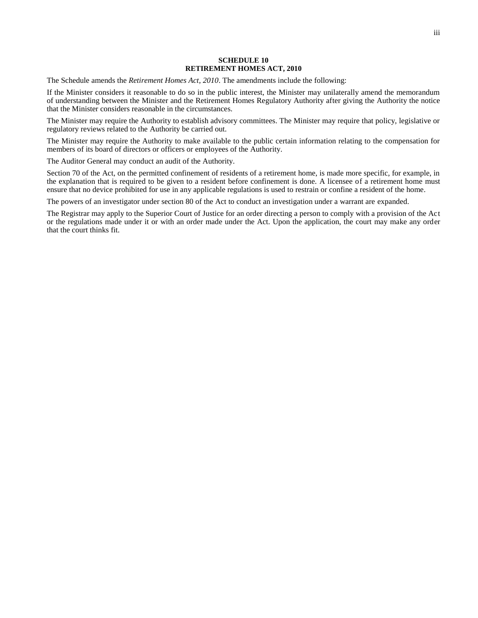#### **SCHEDULE 10 RETIREMENT HOMES ACT, 2010**

The Schedule amends the *Retirement Homes Act, 2010*. The amendments include the following:

If the Minister considers it reasonable to do so in the public interest, the Minister may unilaterally amend the memorandum of understanding between the Minister and the Retirement Homes Regulatory Authority after giving the Authority the notice that the Minister considers reasonable in the circumstances.

The Minister may require the Authority to establish advisory committees. The Minister may require that policy, legislative or regulatory reviews related to the Authority be carried out.

The Minister may require the Authority to make available to the public certain information relating to the compensation for members of its board of directors or officers or employees of the Authority.

The Auditor General may conduct an audit of the Authority.

Section 70 of the Act, on the permitted confinement of residents of a retirement home, is made more specific, for example, in the explanation that is required to be given to a resident before confinement is done. A licensee of a retirement home must ensure that no device prohibited for use in any applicable regulations is used to restrain or confine a resident of the home.

The powers of an investigator under section 80 of the Act to conduct an investigation under a warrant are expanded.

The Registrar may apply to the Superior Court of Justice for an order directing a person to comply with a provision of the Act or the regulations made under it or with an order made under the Act. Upon the application, the court may make any order that the court thinks fit.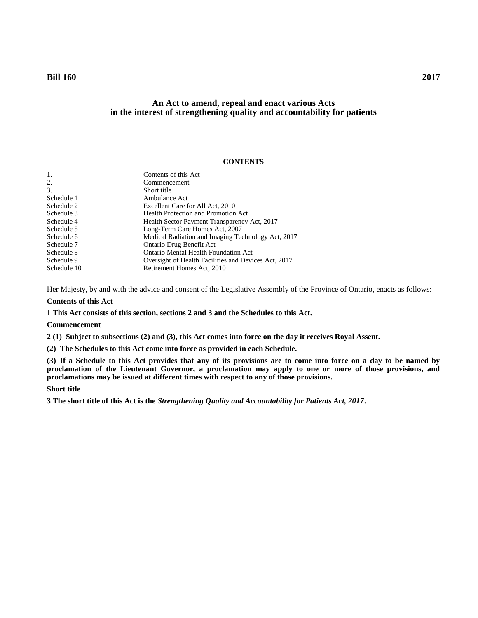## **An Act to amend, repeal and enact various Acts in the interest of strengthening quality and accountability for patients**

## **CONTENTS**

| -1.         | Contents of this Act                                 |
|-------------|------------------------------------------------------|
| 2.          | Commencement                                         |
| 3.          | Short title                                          |
| Schedule 1  | Ambulance Act                                        |
| Schedule 2  | Excellent Care for All Act, 2010                     |
| Schedule 3  | <b>Health Protection and Promotion Act</b>           |
| Schedule 4  | Health Sector Payment Transparency Act, 2017         |
| Schedule 5  | Long-Term Care Homes Act, 2007                       |
| Schedule 6  | Medical Radiation and Imaging Technology Act, 2017   |
| Schedule 7  | Ontario Drug Benefit Act                             |
| Schedule 8  | <b>Ontario Mental Health Foundation Act</b>          |
| Schedule 9  | Oversight of Health Facilities and Devices Act, 2017 |
| Schedule 10 | Retirement Homes Act, 2010                           |

Her Majesty, by and with the advice and consent of the Legislative Assembly of the Province of Ontario, enacts as follows:

## **Contents of this Act**

<span id="page-6-0"></span>**1 This Act consists of this section, sections 2 and 3 and the Schedules to this Act.**

#### **Commencement**

<span id="page-6-1"></span>**2 (1) Subject to subsections (2) and (3), this Act comes into force on the day it receives Royal Assent.**

**(2) The Schedules to this Act come into force as provided in each Schedule.**

**(3) If a Schedule to this Act provides that any of its provisions are to come into force on a day to be named by proclamation of the Lieutenant Governor, a proclamation may apply to one or more of those provisions, and proclamations may be issued at different times with respect to any of those provisions.**

## **Short title**

<span id="page-6-2"></span>**3 The short title of this Act is the** *Strengthening Quality and Accountability for Patients Act, 2017***.**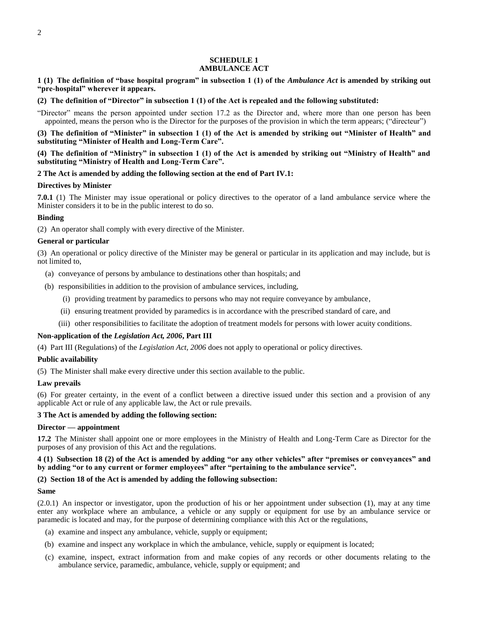## **SCHEDULE 1 AMBULANCE ACT**

<span id="page-7-0"></span>**1 (1) The definition of "base hospital program" in subsection 1 (1) of the** *Ambulance Act* **is amended by striking out "pre-hospital" wherever it appears.**

**(2) The definition of "Director" in subsection 1 (1) of the Act is repealed and the following substituted:**

"Director" means the person appointed under section 17.2 as the Director and, where more than one person has been appointed, means the person who is the Director for the purposes of the provision in which the term appears; ("directeur")

**(3) The definition of "Minister" in subsection 1 (1) of the Act is amended by striking out "Minister of Health" and substituting "Minister of Health and Long-Term Care".**

**(4) The definition of "Ministry" in subsection 1 (1) of the Act is amended by striking out "Ministry of Health" and substituting "Ministry of Health and Long-Term Care".**

#### **2 The Act is amended by adding the following section at the end of Part IV.1:**

#### **Directives by Minister**

**7.0.1** (1) The Minister may issue operational or policy directives to the operator of a land ambulance service where the Minister considers it to be in the public interest to do so.

## **Binding**

(2) An operator shall comply with every directive of the Minister.

#### **General or particular**

(3) An operational or policy directive of the Minister may be general or particular in its application and may include, but is not limited to,

- (a) conveyance of persons by ambulance to destinations other than hospitals; and
- (b) responsibilities in addition to the provision of ambulance services, including,
	- (i) providing treatment by paramedics to persons who may not require conveyance by ambulance,
	- (ii) ensuring treatment provided by paramedics is in accordance with the prescribed standard of care, and
	- (iii) other responsibilities to facilitate the adoption of treatment models for persons with lower acuity conditions.

## **Non-application of the** *Legislation Act, 2006***, Part III**

(4) Part III (Regulations) of the *Legislation Act, 2006* does not apply to operational or policy directives.

#### **Public availability**

(5) The Minister shall make every directive under this section available to the public.

## **Law prevails**

(6) For greater certainty, in the event of a conflict between a directive issued under this section and a provision of any applicable Act or rule of any applicable law, the Act or rule prevails.

#### **3 The Act is amended by adding the following section:**

#### **Director — appointment**

**17.2** The Minister shall appoint one or more employees in the Ministry of Health and Long-Term Care as Director for the purposes of any provision of this Act and the regulations.

## **4 (1) Subsection 18 (2) of the Act is amended by adding "or any other vehicles" after "premises or conveyances" and by adding "or to any current or former employees" after "pertaining to the ambulance service".**

## **(2) Section 18 of the Act is amended by adding the following subsection:**

## **Same**

(2.0.1) An inspector or investigator, upon the production of his or her appointment under subsection (1), may at any time enter any workplace where an ambulance, a vehicle or any supply or equipment for use by an ambulance service or paramedic is located and may, for the purpose of determining compliance with this Act or the regulations,

- (a) examine and inspect any ambulance, vehicle, supply or equipment;
- (b) examine and inspect any workplace in which the ambulance, vehicle, supply or equipment is located;
- (c) examine, inspect, extract information from and make copies of any records or other documents relating to the ambulance service, paramedic, ambulance, vehicle, supply or equipment; and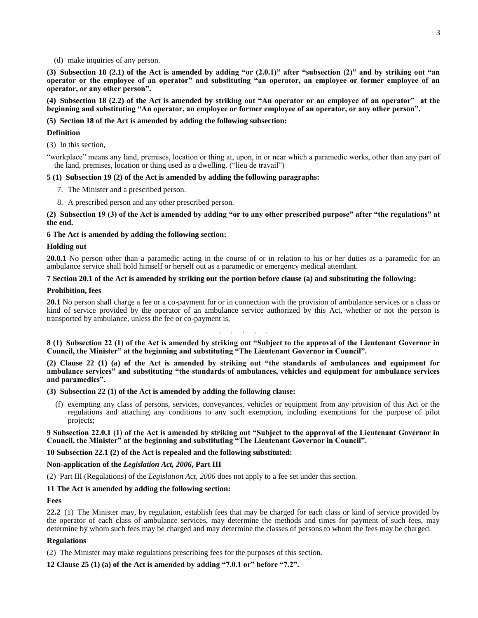(d) make inquiries of any person.

**(3) Subsection 18 (2.1) of the Act is amended by adding "or (2.0.1)" after "subsection (2)" and by striking out "an operator or the employee of an operator" and substituting "an operator, an employee or former employee of an operator, or any other person".**

**(4) Subsection 18 (2.2) of the Act is amended by striking out "An operator or an employee of an operator" at the beginning and substituting "An operator, an employee or former employee of an operator, or any other person".**

## **(5) Section 18 of the Act is amended by adding the following subsection:**

## **Definition**

(3) In this section,

"workplace" means any land, premises, location or thing at, upon, in or near which a paramedic works, other than any part of the land, premises, location or thing used as a dwelling. ("lieu de travail")

## **5 (1) Subsection 19 (2) of the Act is amended by adding the following paragraphs:**

- 7. The Minister and a prescribed person.
- 8. A prescribed person and any other prescribed person.

**(2) Subsection 19 (3) of the Act is amended by adding "or to any other prescribed purpose" after "the regulations" at the end.**

### **6 The Act is amended by adding the following section:**

### **Holding out**

**20.0.1** No person other than a paramedic acting in the course of or in relation to his or her duties as a paramedic for an ambulance service shall hold himself or herself out as a paramedic or emergency medical attendant.

### **7 Section 20.1 of the Act is amended by striking out the portion before clause (a) and substituting the following:**

### **Prohibition, fees**

**20.1** No person shall charge a fee or a co-payment for or in connection with the provision of ambulance services or a class or kind of service provided by the operator of an ambulance service authorized by this Act, whether or not the person is transported by ambulance, unless the fee or co-payment is,

. . . . . . . .

**8 (1) Subsection 22 (1) of the Act is amended by striking out "Subject to the approval of the Lieutenant Governor in Council, the Minister" at the beginning and substituting "The Lieutenant Governor in Council".**

**(2) Clause 22 (1) (a) of the Act is amended by striking out "the standards of ambulances and equipment for ambulance services" and substituting "the standards of ambulances, vehicles and equipment for ambulance services and paramedics".**

**(3) Subsection 22 (1) of the Act is amended by adding the following clause:**

(f) exempting any class of persons, services, conveyances, vehicles or equipment from any provision of this Act or the regulations and attaching any conditions to any such exemption, including exemptions for the purpose of pilot projects;

**9 Subsection 22.0.1 (1) of the Act is amended by striking out "Subject to the approval of the Lieutenant Governor in Council, the Minister" at the beginning and substituting "The Lieutenant Governor in Council".**

**10 Subsection 22.1 (2) of the Act is repealed and the following substituted:**

## **Non-application of the** *Legislation Act, 2006***, Part III**

(2) Part III (Regulations) of the *Legislation Act, 2006* does not apply to a fee set under this section.

## **11 The Act is amended by adding the following section:**

## **Fees**

**22.2** (1) The Minister may, by regulation, establish fees that may be charged for each class or kind of service provided by the operator of each class of ambulance services, may determine the methods and times for payment of such fees, may determine by whom such fees may be charged and may determine the classes of persons to whom the fees may be charged.

## **Regulations**

(2) The Minister may make regulations prescribing fees for the purposes of this section.

**12 Clause 25 (1) (a) of the Act is amended by adding "7.0.1 or" before "7.2".**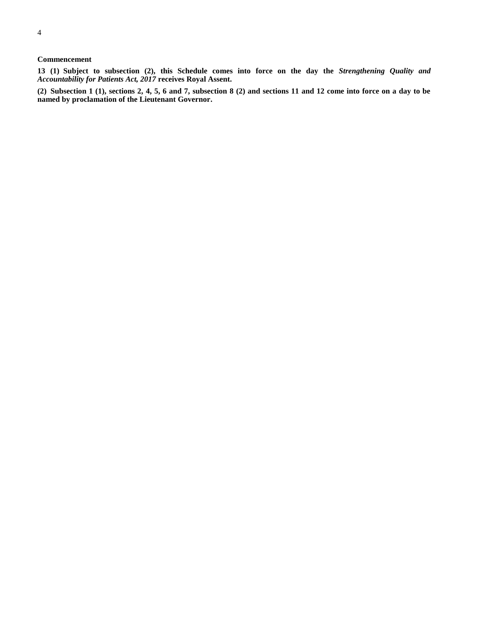## **Commencement**

**13 (1) Subject to subsection (2), this Schedule comes into force on the day the** *Strengthening Quality and Accountability for Patients Act, 2017* **receives Royal Assent.**

**(2) Subsection 1 (1), sections 2, 4, 5, 6 and 7, subsection 8 (2) and sections 11 and 12 come into force on a day to be named by proclamation of the Lieutenant Governor.**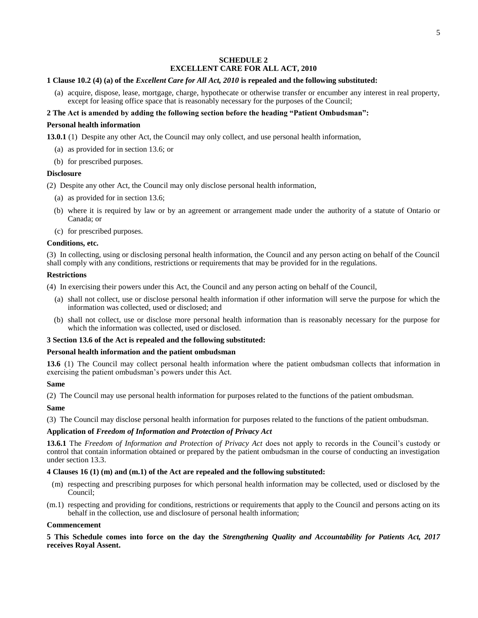## **SCHEDULE 2 EXCELLENT CARE FOR ALL ACT, 2010**

## <span id="page-10-0"></span>**1 Clause 10.2 (4) (a) of the** *Excellent Care for All Act, 2010* **is repealed and the following substituted:**

(a) acquire, dispose, lease, mortgage, charge, hypothecate or otherwise transfer or encumber any interest in real property, except for leasing office space that is reasonably necessary for the purposes of the Council;

## **2 The Act is amended by adding the following section before the heading "Patient Ombudsman":**

## **Personal health information**

**13.0.1** (1) Despite any other Act, the Council may only collect, and use personal health information,

- (a) as provided for in section 13.6; or
- (b) for prescribed purposes.

### **Disclosure**

(2) Despite any other Act, the Council may only disclose personal health information,

- (a) as provided for in section 13.6;
- (b) where it is required by law or by an agreement or arrangement made under the authority of a statute of Ontario or Canada; or
- (c) for prescribed purposes.

## **Conditions, etc.**

(3) In collecting, using or disclosing personal health information, the Council and any person acting on behalf of the Council shall comply with any conditions, restrictions or requirements that may be provided for in the regulations.

### **Restrictions**

(4) In exercising their powers under this Act, the Council and any person acting on behalf of the Council,

- (a) shall not collect, use or disclose personal health information if other information will serve the purpose for which the information was collected, used or disclosed; and
- (b) shall not collect, use or disclose more personal health information than is reasonably necessary for the purpose for which the information was collected, used or disclosed.

## **3 Section 13.6 of the Act is repealed and the following substituted:**

## **Personal health information and the patient ombudsman**

**13.6** (1) The Council may collect personal health information where the patient ombudsman collects that information in exercising the patient ombudsman's powers under this Act.

#### **Same**

(2) The Council may use personal health information for purposes related to the functions of the patient ombudsman.

## **Same**

(3) The Council may disclose personal health information for purposes related to the functions of the patient ombudsman.

## **Application of** *Freedom of Information and Protection of Privacy Act*

**13.6.1** The *Freedom of Information and Protection of Privacy Act* does not apply to records in the Council's custody or control that contain information obtained or prepared by the patient ombudsman in the course of conducting an investigation under section 13.3.

## **4 Clauses 16 (1) (m) and (m.1) of the Act are repealed and the following substituted:**

- (m) respecting and prescribing purposes for which personal health information may be collected, used or disclosed by the Council;
- (m.1) respecting and providing for conditions, restrictions or requirements that apply to the Council and persons acting on its behalf in the collection, use and disclosure of personal health information;

#### **Commencement**

**5 This Schedule comes into force on the day the** *Strengthening Quality and Accountability for Patients Act, 2017* **receives Royal Assent.**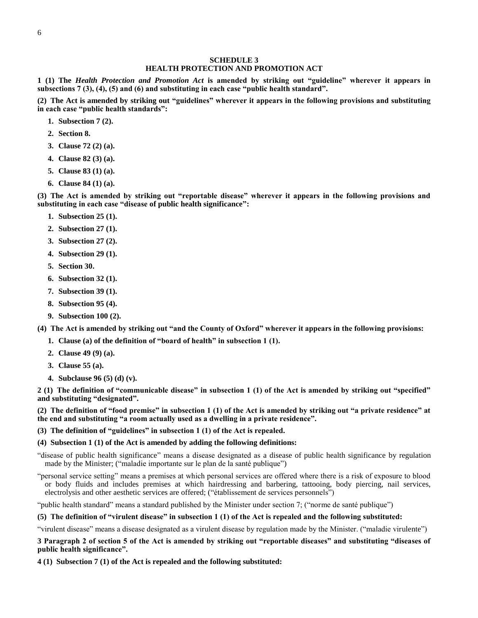## **SCHEDULE 3 HEALTH PROTECTION AND PROMOTION ACT**

<span id="page-11-0"></span>**1 (1) The** *Health Protection and Promotion Act* **is amended by striking out "guideline" wherever it appears in subsections 7 (3), (4), (5) and (6) and substituting in each case "public health standard".**

**(2) The Act is amended by striking out "guidelines" wherever it appears in the following provisions and substituting in each case "public health standards":**

- **1. Subsection 7 (2).**
- **2. Section 8.**
- **3. Clause 72 (2) (a).**
- **4. Clause 82 (3) (a).**
- **5. Clause 83 (1) (a).**
- **6. Clause 84 (1) (a).**

**(3) The Act is amended by striking out "reportable disease" wherever it appears in the following provisions and substituting in each case "disease of public health significance":**

- **1. Subsection 25 (1).**
- **2. Subsection 27 (1).**
- **3. Subsection 27 (2).**
- **4. Subsection 29 (1).**
- **5. Section 30.**
- **6. Subsection 32 (1).**
- **7. Subsection 39 (1).**
- **8. Subsection 95 (4).**
- **9. Subsection 100 (2).**

**(4) The Act is amended by striking out "and the County of Oxford" wherever it appears in the following provisions:**

- **1. Clause (a) of the definition of "board of health" in subsection 1 (1).**
- **2. Clause 49 (9) (a).**
- **3. Clause 55 (a).**
- **4. Subclause 96 (5) (d) (v).**

**2 (1) The definition of "communicable disease" in subsection 1 (1) of the Act is amended by striking out "specified" and substituting "designated".**

**(2) The definition of "food premise" in subsection 1 (1) of the Act is amended by striking out "a private residence" at the end and substituting "a room actually used as a dwelling in a private residence".**

**(3) The definition of "guidelines" in subsection 1 (1) of the Act is repealed.**

#### **(4) Subsection 1 (1) of the Act is amended by adding the following definitions:**

"disease of public health significance" means a disease designated as a disease of public health significance by regulation made by the Minister; ("maladie importante sur le plan de la santé publique")

"personal service setting" means a premises at which personal services are offered where there is a risk of exposure to blood or body fluids and includes premises at which hairdressing and barbering, tattooing, body piercing, nail services, electrolysis and other aesthetic services are offered; ("établissement de services personnels")

"public health standard" means a standard published by the Minister under section 7; ("norme de santé publique")

## **(5) The definition of "virulent disease" in subsection 1 (1) of the Act is repealed and the following substituted:**

"virulent disease" means a disease designated as a virulent disease by regulation made by the Minister. ("maladie virulente")

**3 Paragraph 2 of section 5 of the Act is amended by striking out "reportable diseases" and substituting "diseases of public health significance".**

**4 (1) Subsection 7 (1) of the Act is repealed and the following substituted:**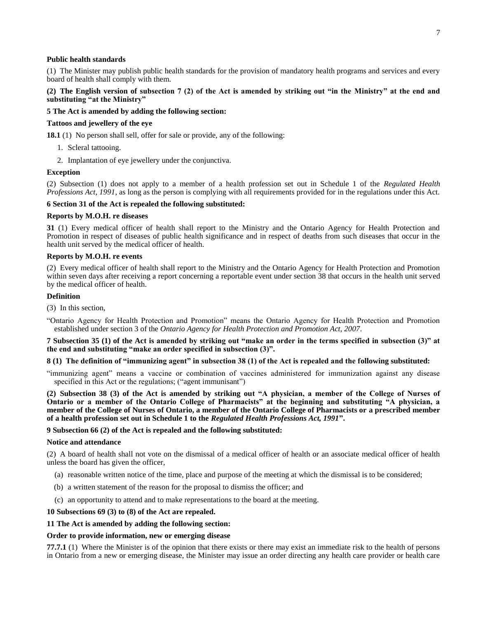### **Public health standards**

(1) The Minister may publish public health standards for the provision of mandatory health programs and services and every board of health shall comply with them.

## **(2) The English version of subsection 7 (2) of the Act is amended by striking out "in the Ministry" at the end and substituting "at the Ministry"**

## **5 The Act is amended by adding the following section:**

#### **Tattoos and jewellery of the eye**

**18.1** (1) No person shall sell, offer for sale or provide, any of the following:

- 1. Scleral tattooing.
- 2. Implantation of eye jewellery under the conjunctiva.

#### **Exception**

(2) Subsection (1) does not apply to a member of a health profession set out in Schedule 1 of the *Regulated Health Professions Act, 1991*, as long as the person is complying with all requirements provided for in the regulations under this Act.

## **6 Section 31 of the Act is repealed the following substituted:**

### **Reports by M.O.H. re diseases**

**31** (1) Every medical officer of health shall report to the Ministry and the Ontario Agency for Health Protection and Promotion in respect of diseases of public health significance and in respect of deaths from such diseases that occur in the health unit served by the medical officer of health.

## **Reports by M.O.H. re events**

(2) Every medical officer of health shall report to the Ministry and the Ontario Agency for Health Protection and Promotion within seven days after receiving a report concerning a reportable event under section 38 that occurs in the health unit served by the medical officer of health.

#### **Definition**

(3) In this section,

"Ontario Agency for Health Protection and Promotion" means the Ontario Agency for Health Protection and Promotion established under section 3 of the *Ontario Agency for Health Protection and Promotion Act, 2007*.

**7 Subsection 35 (1) of the Act is amended by striking out "make an order in the terms specified in subsection (3)" at the end and substituting "make an order specified in subsection (3)".**

## **8 (1) The definition of "immunizing agent" in subsection 38 (1) of the Act is repealed and the following substituted:**

"immunizing agent" means a vaccine or combination of vaccines administered for immunization against any disease specified in this Act or the regulations; ("agent immunisant")

**(2) Subsection 38 (3) of the Act is amended by striking out "A physician, a member of the College of Nurses of Ontario or a member of the Ontario College of Pharmacists" at the beginning and substituting "A physician, a member of the College of Nurses of Ontario, a member of the Ontario College of Pharmacists or a prescribed member of a health profession set out in Schedule 1 to the** *Regulated Health Professions Act, 1991***".**

#### **9 Subsection 66 (2) of the Act is repealed and the following substituted:**

#### **Notice and attendance**

(2) A board of health shall not vote on the dismissal of a medical officer of health or an associate medical officer of health unless the board has given the officer,

- (a) reasonable written notice of the time, place and purpose of the meeting at which the dismissal is to be considered;
- (b) a written statement of the reason for the proposal to dismiss the officer; and
- (c) an opportunity to attend and to make representations to the board at the meeting.

#### **10 Subsections 69 (3) to (8) of the Act are repealed.**

## **11 The Act is amended by adding the following section:**

#### **Order to provide information, new or emerging disease**

**77.7.1** (1) Where the Minister is of the opinion that there exists or there may exist an immediate risk to the health of persons in Ontario from a new or emerging disease, the Minister may issue an order directing any health care provider or health care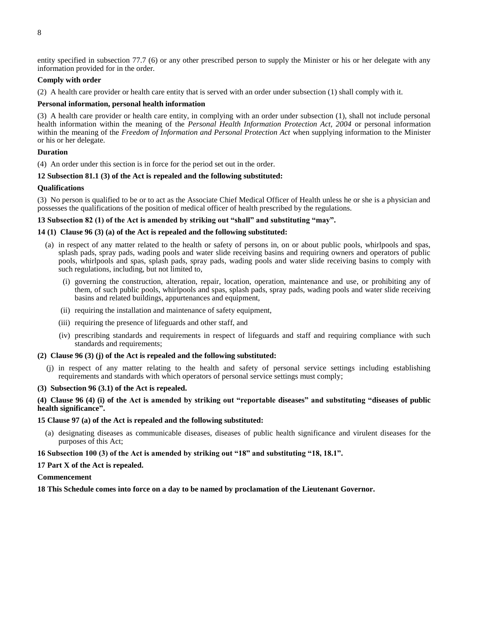entity specified in subsection 77.7 (6) or any other prescribed person to supply the Minister or his or her delegate with any information provided for in the order.

## **Comply with order**

(2) A health care provider or health care entity that is served with an order under subsection (1) shall comply with it.

## **Personal information, personal health information**

(3) A health care provider or health care entity, in complying with an order under subsection (1), shall not include personal health information within the meaning of the *Personal Health Information Protection Act, 2004* or personal information within the meaning of the *Freedom of Information and Personal Protection Act* when supplying information to the Minister or his or her delegate.

## **Duration**

(4) An order under this section is in force for the period set out in the order.

## **12 Subsection 81.1 (3) of the Act is repealed and the following substituted:**

## **Qualifications**

(3) No person is qualified to be or to act as the Associate Chief Medical Officer of Health unless he or she is a physician and possesses the qualifications of the position of medical officer of health prescribed by the regulations.

## **13 Subsection 82 (1) of the Act is amended by striking out "shall" and substituting "may".**

### **14 (1) Clause 96 (3) (a) of the Act is repealed and the following substituted:**

- (a) in respect of any matter related to the health or safety of persons in, on or about public pools, whirlpools and spas, splash pads, spray pads, wading pools and water slide receiving basins and requiring owners and operators of public pools, whirlpools and spas, splash pads, spray pads, wading pools and water slide receiving basins to comply with such regulations, including, but not limited to,
	- (i) governing the construction, alteration, repair, location, operation, maintenance and use, or prohibiting any of them, of such public pools, whirlpools and spas, splash pads, spray pads, wading pools and water slide receiving basins and related buildings, appurtenances and equipment,
	- (ii) requiring the installation and maintenance of safety equipment,
	- (iii) requiring the presence of lifeguards and other staff, and
	- (iv) prescribing standards and requirements in respect of lifeguards and staff and requiring compliance with such standards and requirements;

#### **(2) Clause 96 (3) (j) of the Act is repealed and the following substituted:**

(j) in respect of any matter relating to the health and safety of personal service settings including establishing requirements and standards with which operators of personal service settings must comply;

#### **(3) Subsection 96 (3.1) of the Act is repealed.**

## **(4) Clause 96 (4) (i) of the Act is amended by striking out "reportable diseases" and substituting "diseases of public health significance".**

## **15 Clause 97 (a) of the Act is repealed and the following substituted:**

(a) designating diseases as communicable diseases, diseases of public health significance and virulent diseases for the purposes of this Act;

#### **16 Subsection 100 (3) of the Act is amended by striking out "18" and substituting "18, 18.1".**

#### **17 Part X of the Act is repealed.**

#### **Commencement**

**18 This Schedule comes into force on a day to be named by proclamation of the Lieutenant Governor.**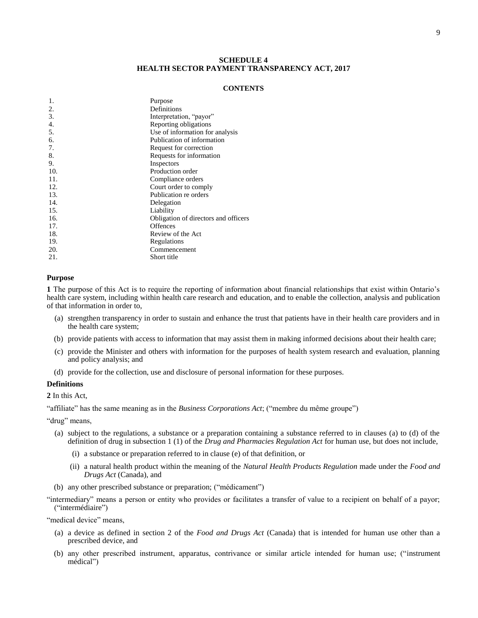## **SCHEDULE 4 HEALTH SECTOR PAYMENT TRANSPARENCY ACT, 2017**

#### **CONTENTS**

<span id="page-14-0"></span>

| 1.  | Purpose                              |
|-----|--------------------------------------|
| 2.  | Definitions                          |
| 3.  | Interpretation, "payor"              |
| 4.  | Reporting obligations                |
| 5.  | Use of information for analysis      |
| 6.  | Publication of information           |
| 7.  | Request for correction               |
| 8.  | Requests for information             |
| 9.  | Inspectors                           |
| 10. | Production order                     |
| 11. | Compliance orders                    |
| 12. | Court order to comply                |
| 13. | Publication re orders                |
| 14. | Delegation                           |
| 15. | Liability                            |
| 16. | Obligation of directors and officers |
| 17. | <b>Offences</b>                      |
| 18. | Review of the Act                    |
| 19. | Regulations                          |
| 20. | Commencement                         |
| 21. | Short title                          |
|     |                                      |

#### **Purpose**

<span id="page-14-1"></span>**1** The purpose of this Act is to require the reporting of information about financial relationships that exist within Ontario's health care system, including within health care research and education, and to enable the collection, analysis and publication of that information in order to,

- (a) strengthen transparency in order to sustain and enhance the trust that patients have in their health care providers and in the health care system;
- (b) provide patients with access to information that may assist them in making informed decisions about their health care;
- (c) provide the Minister and others with information for the purposes of health system research and evaluation, planning and policy analysis; and
- (d) provide for the collection, use and disclosure of personal information for these purposes.

## **Definitions**

<span id="page-14-2"></span>**2** In this Act,

"affiliate" has the same meaning as in the *Business Corporations Act*; ("membre du même groupe")

"drug" means,

- (a) subject to the regulations, a substance or a preparation containing a substance referred to in clauses (a) to (d) of the definition of drug in subsection 1 (1) of the *Drug and Pharmacies Regulation Act* for human use, but does not include,
	- (i) a substance or preparation referred to in clause (e) of that definition, or
	- (ii) a natural health product within the meaning of the *Natural Health Products Regulation* made under the *Food and Drugs Act* (Canada), and
- (b) any other prescribed substance or preparation; ("médicament")
- "intermediary" means a person or entity who provides or facilitates a transfer of value to a recipient on behalf of a payor; ("intermédiaire")

"medical device" means,

- (a) a device as defined in section 2 of the *Food and Drugs Act* (Canada) that is intended for human use other than a prescribed device, and
- (b) any other prescribed instrument, apparatus, contrivance or similar article intended for human use; ("instrument médical")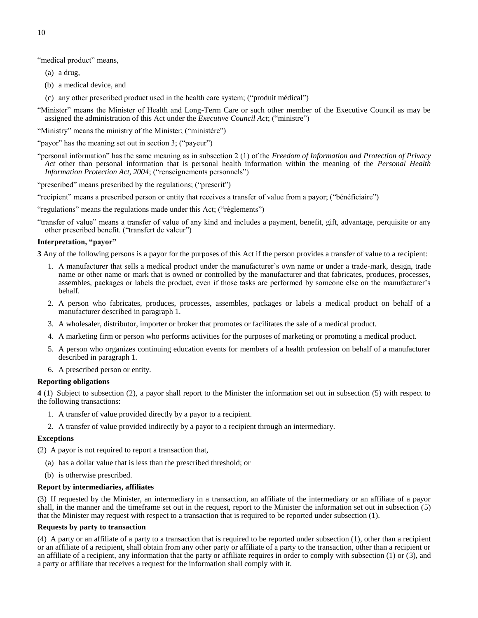"medical product" means,

- (a) a drug,
- (b) a medical device, and
- (c) any other prescribed product used in the health care system; ("produit médical")
- "Minister" means the Minister of Health and Long-Term Care or such other member of the Executive Council as may be assigned the administration of this Act under the *Executive Council Act*; ("ministre")
- "Ministry" means the ministry of the Minister; ("ministère")
- "payor" has the meaning set out in section 3; ("payeur")
- "personal information" has the same meaning as in subsection 2 (1) of the *Freedom of Information and Protection of Privacy Act* other than personal information that is personal health information within the meaning of the *Personal Health Information Protection Act, 2004*; ("renseignements personnels")
- "prescribed" means prescribed by the regulations; ("prescrit")
- "recipient" means a prescribed person or entity that receives a transfer of value from a payor; ("bénéficiaire")
- "regulations" means the regulations made under this Act; ("règlements")
- "transfer of value" means a transfer of value of any kind and includes a payment, benefit, gift, advantage, perquisite or any other prescribed benefit. ("transfert de valeur")

## **Interpretation, "payor"**

<span id="page-15-0"></span>**3** Any of the following persons is a payor for the purposes of this Act if the person provides a transfer of value to a recipient:

- 1. A manufacturer that sells a medical product under the manufacturer's own name or under a trade-mark, design, trade name or other name or mark that is owned or controlled by the manufacturer and that fabricates, produces, processes, assembles, packages or labels the product, even if those tasks are performed by someone else on the manufacturer's behalf.
- 2. A person who fabricates, produces, processes, assembles, packages or labels a medical product on behalf of a manufacturer described in paragraph 1.
- 3. A wholesaler, distributor, importer or broker that promotes or facilitates the sale of a medical product.
- 4. A marketing firm or person who performs activities for the purposes of marketing or promoting a medical product.
- 5. A person who organizes continuing education events for members of a health profession on behalf of a manufacturer described in paragraph 1.
- 6. A prescribed person or entity.

## **Reporting obligations**

<span id="page-15-1"></span>**4** (1) Subject to subsection (2), a payor shall report to the Minister the information set out in subsection (5) with respect to the following transactions:

- 1. A transfer of value provided directly by a payor to a recipient.
- 2. A transfer of value provided indirectly by a payor to a recipient through an intermediary.

## **Exceptions**

(2) A payor is not required to report a transaction that,

- (a) has a dollar value that is less than the prescribed threshold; or
- (b) is otherwise prescribed.

## **Report by intermediaries, affiliates**

(3) If requested by the Minister, an intermediary in a transaction, an affiliate of the intermediary or an affiliate of a payor shall, in the manner and the timeframe set out in the request, report to the Minister the information set out in subsection (5) that the Minister may request with respect to a transaction that is required to be reported under subsection (1).

## **Requests by party to transaction**

(4) A party or an affiliate of a party to a transaction that is required to be reported under subsection (1), other than a recipient or an affiliate of a recipient, shall obtain from any other party or affiliate of a party to the transaction, other than a recipient or an affiliate of a recipient, any information that the party or affiliate requires in order to comply with subsection  $(1)$  or  $(3)$ , and a party or affiliate that receives a request for the information shall comply with it.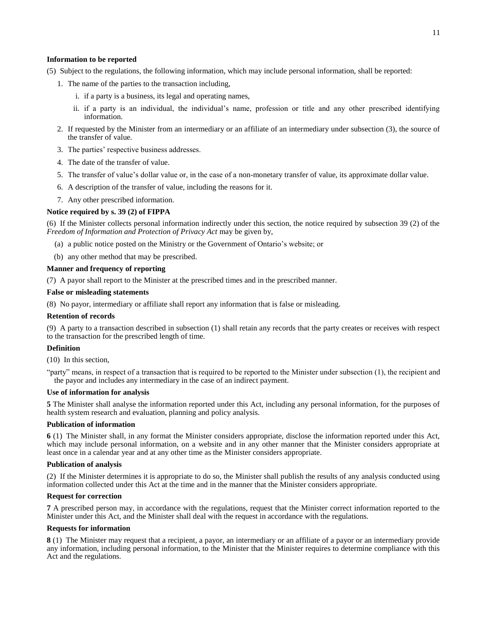### **Information to be reported**

(5) Subject to the regulations, the following information, which may include personal information, shall be reported:

- 1. The name of the parties to the transaction including,
	- i. if a party is a business, its legal and operating names,
	- ii. if a party is an individual, the individual's name, profession or title and any other prescribed identifying information.
- 2. If requested by the Minister from an intermediary or an affiliate of an intermediary under subsection (3), the source of the transfer of value.
- 3. The parties' respective business addresses.
- 4. The date of the transfer of value.
- 5. The transfer of value's dollar value or, in the case of a non-monetary transfer of value, its approximate dollar value.
- 6. A description of the transfer of value, including the reasons for it.
- 7. Any other prescribed information.

### **Notice required by s. 39 (2) of FIPPA**

(6) If the Minister collects personal information indirectly under this section, the notice required by subsection 39 (2) of the *Freedom of Information and Protection of Privacy Act* may be given by,

- (a) a public notice posted on the Ministry or the Government of Ontario's website; or
- (b) any other method that may be prescribed.

## **Manner and frequency of reporting**

(7) A payor shall report to the Minister at the prescribed times and in the prescribed manner.

#### **False or misleading statements**

(8) No payor, intermediary or affiliate shall report any information that is false or misleading.

#### **Retention of records**

(9) A party to a transaction described in subsection (1) shall retain any records that the party creates or receives with respect to the transaction for the prescribed length of time.

## **Definition**

(10) In this section,

"party" means, in respect of a transaction that is required to be reported to the Minister under subsection (1), the recipient and the payor and includes any intermediary in the case of an indirect payment.

## **Use of information for analysis**

<span id="page-16-0"></span>**5** The Minister shall analyse the information reported under this Act, including any personal information, for the purposes of health system research and evaluation, planning and policy analysis.

#### **Publication of information**

<span id="page-16-1"></span>**6** (1) The Minister shall, in any format the Minister considers appropriate, disclose the information reported under this Act, which may include personal information, on a website and in any other manner that the Minister considers appropriate at least once in a calendar year and at any other time as the Minister considers appropriate.

## **Publication of analysis**

(2) If the Minister determines it is appropriate to do so, the Minister shall publish the results of any analysis conducted using information collected under this Act at the time and in the manner that the Minister considers appropriate.

#### **Request for correction**

<span id="page-16-2"></span>**7** A prescribed person may, in accordance with the regulations, request that the Minister correct information reported to the Minister under this Act, and the Minister shall deal with the request in accordance with the regulations.

#### **Requests for information**

<span id="page-16-3"></span>**8** (1) The Minister may request that a recipient, a payor, an intermediary or an affiliate of a payor or an intermediary provide any information, including personal information, to the Minister that the Minister requires to determine compliance with this Act and the regulations.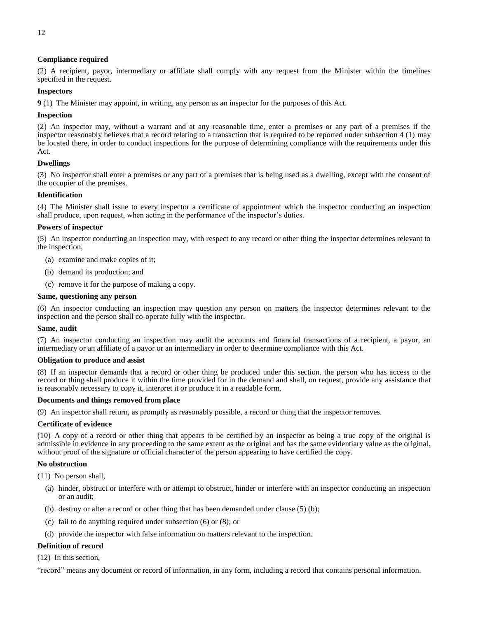## **Compliance required**

(2) A recipient, payor, intermediary or affiliate shall comply with any request from the Minister within the timelines specified in the request.

## **Inspectors**

<span id="page-17-0"></span>**9** (1) The Minister may appoint, in writing, any person as an inspector for the purposes of this Act.

## **Inspection**

(2) An inspector may, without a warrant and at any reasonable time, enter a premises or any part of a premises if the inspector reasonably believes that a record relating to a transaction that is required to be reported under subsection 4 (1) may be located there, in order to conduct inspections for the purpose of determining compliance with the requirements under this Act.

## **Dwellings**

(3) No inspector shall enter a premises or any part of a premises that is being used as a dwelling, except with the consent of the occupier of the premises.

### **Identification**

(4) The Minister shall issue to every inspector a certificate of appointment which the inspector conducting an inspection shall produce, upon request, when acting in the performance of the inspector's duties.

### **Powers of inspector**

(5) An inspector conducting an inspection may, with respect to any record or other thing the inspector determines relevant to the inspection,

- (a) examine and make copies of it;
- (b) demand its production; and
- (c) remove it for the purpose of making a copy.

### **Same, questioning any person**

(6) An inspector conducting an inspection may question any person on matters the inspector determines relevant to the inspection and the person shall co-operate fully with the inspector.

#### **Same, audit**

(7) An inspector conducting an inspection may audit the accounts and financial transactions of a recipient, a payor, an intermediary or an affiliate of a payor or an intermediary in order to determine compliance with this Act.

#### **Obligation to produce and assist**

(8) If an inspector demands that a record or other thing be produced under this section, the person who has access to the record or thing shall produce it within the time provided for in the demand and shall, on request, provide any assistance that is reasonably necessary to copy it, interpret it or produce it in a readable form.

## **Documents and things removed from place**

(9) An inspector shall return, as promptly as reasonably possible, a record or thing that the inspector removes.

#### **Certificate of evidence**

(10) A copy of a record or other thing that appears to be certified by an inspector as being a true copy of the original is admissible in evidence in any proceeding to the same extent as the original and has the same evidentiary value as the original, without proof of the signature or official character of the person appearing to have certified the copy.

#### **No obstruction**

(11) No person shall,

- (a) hinder, obstruct or interfere with or attempt to obstruct, hinder or interfere with an inspector conducting an inspection or an audit;
- (b) destroy or alter a record or other thing that has been demanded under clause (5) (b);
- (c) fail to do anything required under subsection (6) or (8); or
- (d) provide the inspector with false information on matters relevant to the inspection.

## **Definition of record**

(12) In this section,

"record" means any document or record of information, in any form, including a record that contains personal information.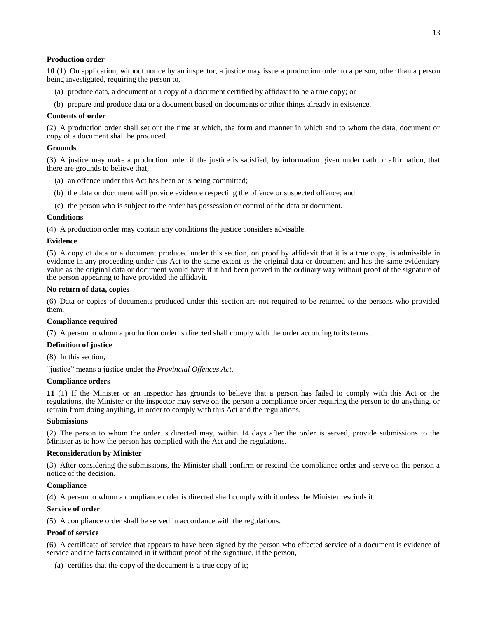## **Production order**

<span id="page-18-0"></span>**10** (1) On application, without notice by an inspector, a justice may issue a production order to a person, other than a person being investigated, requiring the person to,

- (a) produce data, a document or a copy of a document certified by affidavit to be a true copy; or
- (b) prepare and produce data or a document based on documents or other things already in existence.

#### **Contents of order**

(2) A production order shall set out the time at which, the form and manner in which and to whom the data, document or copy of a document shall be produced.

#### **Grounds**

(3) A justice may make a production order if the justice is satisfied, by information given under oath or affirmation, that there are grounds to believe that,

- (a) an offence under this Act has been or is being committed;
- (b) the data or document will provide evidence respecting the offence or suspected offence; and

(c) the person who is subject to the order has possession or control of the data or document.

## **Conditions**

(4) A production order may contain any conditions the justice considers advisable.

#### **Evidence**

(5) A copy of data or a document produced under this section, on proof by affidavit that it is a true copy, is admissible in evidence in any proceeding under this Act to the same extent as the original data or document and has the same evidentiary value as the original data or document would have if it had been proved in the ordinary way without proof of the signature of the person appearing to have provided the affidavit.

#### **No return of data, copies**

(6) Data or copies of documents produced under this section are not required to be returned to the persons who provided them.

#### **Compliance required**

(7) A person to whom a production order is directed shall comply with the order according to its terms.

#### **Definition of justice**

(8) In this section,

"justice" means a justice under the *Provincial Offences Act*.

#### **Compliance orders**

<span id="page-18-1"></span>**11** (1) If the Minister or an inspector has grounds to believe that a person has failed to comply with this Act or the regulations, the Minister or the inspector may serve on the person a compliance order requiring the person to do anything, or refrain from doing anything, in order to comply with this Act and the regulations.

#### **Submissions**

(2) The person to whom the order is directed may, within 14 days after the order is served, provide submissions to the Minister as to how the person has complied with the Act and the regulations.

#### **Reconsideration by Minister**

(3) After considering the submissions, the Minister shall confirm or rescind the compliance order and serve on the person a notice of the decision.

#### **Compliance**

(4) A person to whom a compliance order is directed shall comply with it unless the Minister rescinds it.

#### **Service of order**

(5) A compliance order shall be served in accordance with the regulations.

#### **Proof of service**

(6) A certificate of service that appears to have been signed by the person who effected service of a document is evidence of service and the facts contained in it without proof of the signature, if the person,

(a) certifies that the copy of the document is a true copy of it;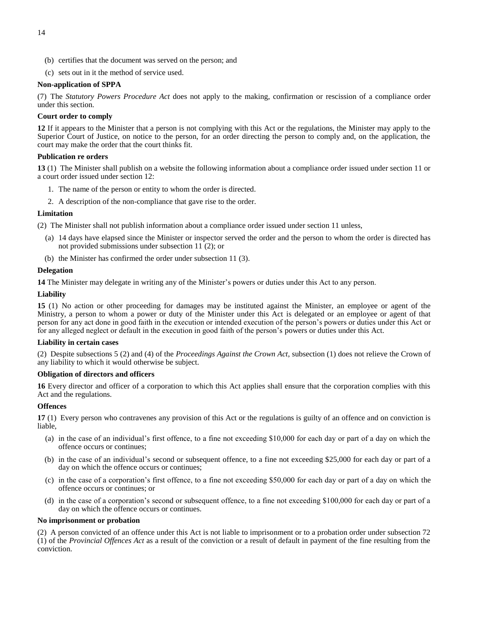- (b) certifies that the document was served on the person; and
- (c) sets out in it the method of service used.

## **Non-application of SPPA**

(7) The *Statutory Powers Procedure Act* does not apply to the making, confirmation or rescission of a compliance order under this section.

## **Court order to comply**

<span id="page-19-0"></span>**12** If it appears to the Minister that a person is not complying with this Act or the regulations, the Minister may apply to the Superior Court of Justice, on notice to the person, for an order directing the person to comply and, on the application, the court may make the order that the court thinks fit.

## **Publication re orders**

<span id="page-19-1"></span>**13** (1) The Minister shall publish on a website the following information about a compliance order issued under section 11 or a court order issued under section 12:

- 1. The name of the person or entity to whom the order is directed.
- 2. A description of the non-compliance that gave rise to the order.

## **Limitation**

(2) The Minister shall not publish information about a compliance order issued under section 11 unless,

- (a) 14 days have elapsed since the Minister or inspector served the order and the person to whom the order is directed has not provided submissions under subsection 11 (2); or
- (b) the Minister has confirmed the order under subsection 11 (3).

## **Delegation**

<span id="page-19-2"></span>**14** The Minister may delegate in writing any of the Minister's powers or duties under this Act to any person.

## **Liability**

<span id="page-19-3"></span>**15** (1) No action or other proceeding for damages may be instituted against the Minister, an employee or agent of the Ministry, a person to whom a power or duty of the Minister under this Act is delegated or an employee or agent of that person for any act done in good faith in the execution or intended execution of the person's powers or duties under this Act or for any alleged neglect or default in the execution in good faith of the person's powers or duties under this Act.

## **Liability in certain cases**

(2) Despite subsections 5 (2) and (4) of the *Proceedings Against the Crown Act*, subsection (1) does not relieve the Crown of any liability to which it would otherwise be subject.

## **Obligation of directors and officers**

<span id="page-19-4"></span>**16** Every director and officer of a corporation to which this Act applies shall ensure that the corporation complies with this Act and the regulations.

## **Offences**

<span id="page-19-5"></span>**17** (1) Every person who contravenes any provision of this Act or the regulations is guilty of an offence and on conviction is liable,

- (a) in the case of an individual's first offence, to a fine not exceeding \$10,000 for each day or part of a day on which the offence occurs or continues;
- (b) in the case of an individual's second or subsequent offence, to a fine not exceeding \$25,000 for each day or part of a day on which the offence occurs or continues;
- (c) in the case of a corporation's first offence, to a fine not exceeding \$50,000 for each day or part of a day on which the offence occurs or continues; or
- (d) in the case of a corporation's second or subsequent offence, to a fine not exceeding \$100,000 for each day or part of a day on which the offence occurs or continues.

## **No imprisonment or probation**

(2) A person convicted of an offence under this Act is not liable to imprisonment or to a probation order under subsection 72 (1) of the *Provincial Offences Act* as a result of the conviction or a result of default in payment of the fine resulting from the conviction.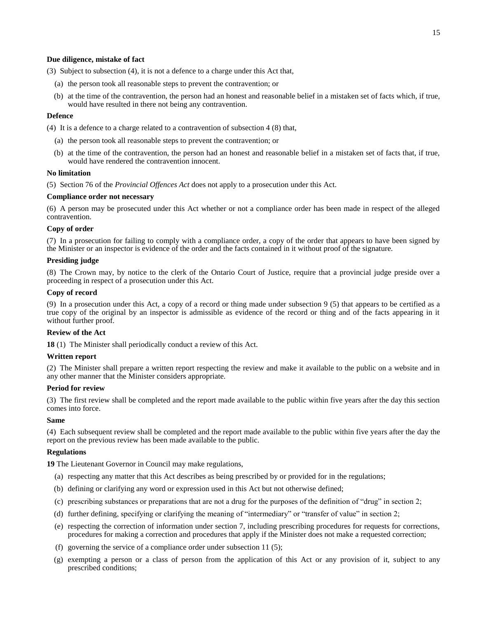## **Due diligence, mistake of fact**

(3) Subject to subsection (4), it is not a defence to a charge under this Act that,

- (a) the person took all reasonable steps to prevent the contravention; or
- (b) at the time of the contravention, the person had an honest and reasonable belief in a mistaken set of facts which, if true, would have resulted in there not being any contravention.

## **Defence**

(4) It is a defence to a charge related to a contravention of subsection 4 (8) that,

- (a) the person took all reasonable steps to prevent the contravention; or
- (b) at the time of the contravention, the person had an honest and reasonable belief in a mistaken set of facts that, if true, would have rendered the contravention innocent.

## **No limitation**

(5) Section 76 of the *Provincial Offences Act* does not apply to a prosecution under this Act.

## **Compliance order not necessary**

(6) A person may be prosecuted under this Act whether or not a compliance order has been made in respect of the alleged contravention.

### **Copy of order**

(7) In a prosecution for failing to comply with a compliance order, a copy of the order that appears to have been signed by the Minister or an inspector is evidence of the order and the facts contained in it without proof of the signature.

## **Presiding judge**

(8) The Crown may, by notice to the clerk of the Ontario Court of Justice, require that a provincial judge preside over a proceeding in respect of a prosecution under this Act.

## **Copy of record**

(9) In a prosecution under this Act, a copy of a record or thing made under subsection 9 (5) that appears to be certified as a true copy of the original by an inspector is admissible as evidence of the record or thing and of the facts appearing in it without further proof.

#### **Review of the Act**

<span id="page-20-0"></span>**18** (1) The Minister shall periodically conduct a review of this Act.

## **Written report**

(2) The Minister shall prepare a written report respecting the review and make it available to the public on a website and in any other manner that the Minister considers appropriate.

#### **Period for review**

(3) The first review shall be completed and the report made available to the public within five years after the day this section comes into force.

## **Same**

(4) Each subsequent review shall be completed and the report made available to the public within five years after the day the report on the previous review has been made available to the public.

## **Regulations**

<span id="page-20-1"></span>**19** The Lieutenant Governor in Council may make regulations,

- (a) respecting any matter that this Act describes as being prescribed by or provided for in the regulations;
- (b) defining or clarifying any word or expression used in this Act but not otherwise defined;
- (c) prescribing substances or preparations that are not a drug for the purposes of the definition of "drug" in section 2;
- (d) further defining, specifying or clarifying the meaning of "intermediary" or "transfer of value" in section 2;
- (e) respecting the correction of information under section 7, including prescribing procedures for requests for corrections, procedures for making a correction and procedures that apply if the Minister does not make a requested correction;
- (f) governing the service of a compliance order under subsection 11 (5);
- (g) exempting a person or a class of person from the application of this Act or any provision of it, subject to any prescribed conditions;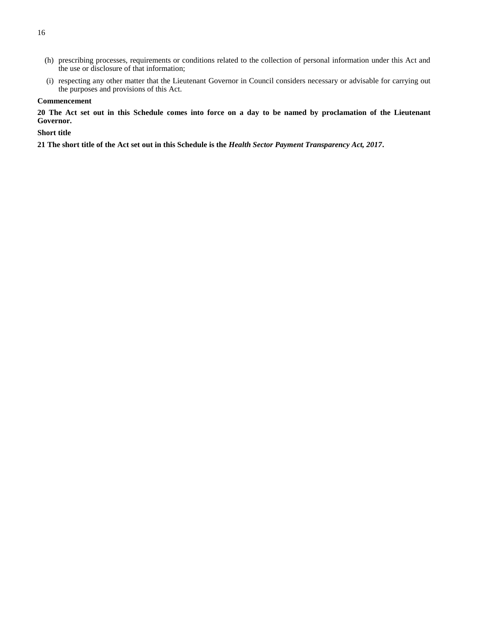- (h) prescribing processes, requirements or conditions related to the collection of personal information under this Act and the use or disclosure of that information;
- (i) respecting any other matter that the Lieutenant Governor in Council considers necessary or advisable for carrying out the purposes and provisions of this Act.

## **Commencement**

<span id="page-21-0"></span>**20 The Act set out in this Schedule comes into force on a day to be named by proclamation of the Lieutenant Governor.**

## **Short title**

<span id="page-21-1"></span>**21 The short title of the Act set out in this Schedule is the** *Health Sector Payment Transparency Act, 2017***.**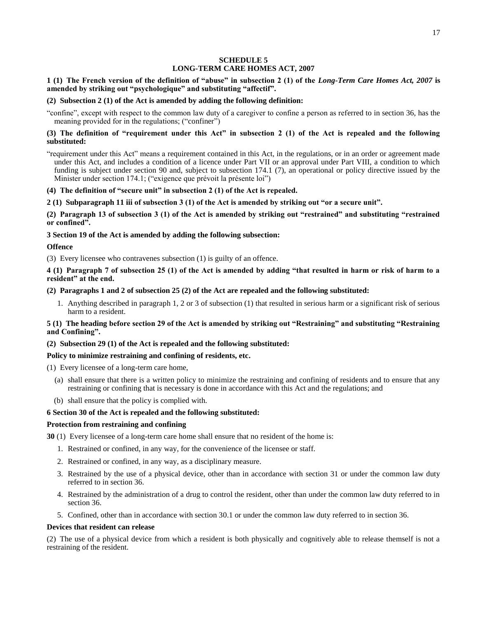## **SCHEDULE 5 LONG-TERM CARE HOMES ACT, 2007**

## <span id="page-22-0"></span>**1 (1) The French version of the definition of "abuse" in subsection 2 (1) of the** *Long-Term Care Homes Act, 2007* **is amended by striking out "psychologique" and substituting "affectif".**

### **(2) Subsection 2 (1) of the Act is amended by adding the following definition:**

"confine", except with respect to the common law duty of a caregiver to confine a person as referred to in section 36, has the meaning provided for in the regulations; ("confiner")

## **(3) The definition of "requirement under this Act" in subsection 2 (1) of the Act is repealed and the following substituted:**

"requirement under this Act" means a requirement contained in this Act, in the regulations, or in an order or agreement made under this Act, and includes a condition of a licence under Part VII or an approval under Part VIII, a condition to which funding is subject under section 90 and, subject to subsection 174.1 (7), an operational or policy directive issued by the Minister under section 174.1; ("exigence que prévoit la présente loi")

### **(4) The definition of "secure unit" in subsection 2 (1) of the Act is repealed.**

**2 (1) Subparagraph 11 iii of subsection 3 (1) of the Act is amended by striking out "or a secure unit".**

**(2) Paragraph 13 of subsection 3 (1) of the Act is amended by striking out "restrained" and substituting "restrained or confined".**

### **3 Section 19 of the Act is amended by adding the following subsection:**

### **Offence**

(3) Every licensee who contravenes subsection (1) is guilty of an offence.

**4 (1) Paragraph 7 of subsection 25 (1) of the Act is amended by adding "that resulted in harm or risk of harm to a resident" at the end.**

## **(2) Paragraphs 1 and 2 of subsection 25 (2) of the Act are repealed and the following substituted:**

1. Anything described in paragraph 1, 2 or 3 of subsection (1) that resulted in serious harm or a significant risk of serious harm to a resident.

**5 (1) The heading before section 29 of the Act is amended by striking out "Restraining" and substituting "Restraining and Confining".**

#### **(2) Subsection 29 (1) of the Act is repealed and the following substituted:**

## **Policy to minimize restraining and confining of residents, etc.**

- (1) Every licensee of a long-term care home,
	- (a) shall ensure that there is a written policy to minimize the restraining and confining of residents and to ensure that any restraining or confining that is necessary is done in accordance with this Act and the regulations; and
	- (b) shall ensure that the policy is complied with.

#### **6 Section 30 of the Act is repealed and the following substituted:**

#### **Protection from restraining and confining**

**30** (1) Every licensee of a long-term care home shall ensure that no resident of the home is:

- 1. Restrained or confined, in any way, for the convenience of the licensee or staff.
- 2. Restrained or confined, in any way, as a disciplinary measure.
- 3. Restrained by the use of a physical device, other than in accordance with section 31 or under the common law duty referred to in section 36.
- 4. Restrained by the administration of a drug to control the resident, other than under the common law duty referred to in section 36.
- 5. Confined, other than in accordance with section 30.1 or under the common law duty referred to in section 36.

#### **Devices that resident can release**

(2) The use of a physical device from which a resident is both physically and cognitively able to release themself is not a restraining of the resident.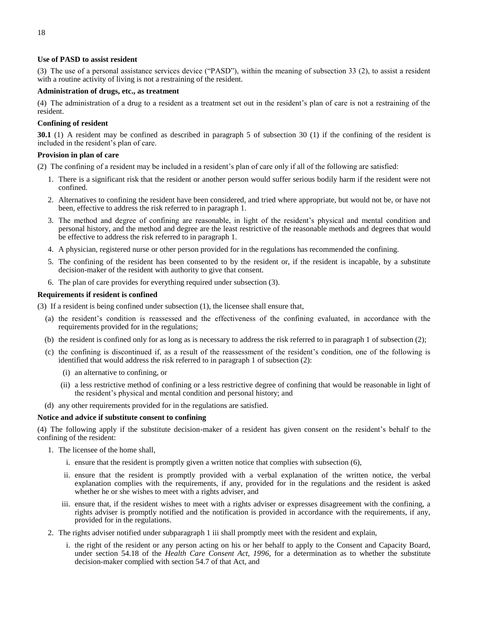## **Use of PASD to assist resident**

(3) The use of a personal assistance services device ("PASD"), within the meaning of subsection 33 (2), to assist a resident with a routine activity of living is not a restraining of the resident.

## **Administration of drugs, etc., as treatment**

(4) The administration of a drug to a resident as a treatment set out in the resident's plan of care is not a restraining of the resident.

## **Confining of resident**

**30.1** (1) A resident may be confined as described in paragraph 5 of subsection 30 (1) if the confining of the resident is included in the resident's plan of care.

## **Provision in plan of care**

- (2) The confining of a resident may be included in a resident's plan of care only if all of the following are satisfied:
	- 1. There is a significant risk that the resident or another person would suffer serious bodily harm if the resident were not confined.
	- 2. Alternatives to confining the resident have been considered, and tried where appropriate, but would not be, or have not been, effective to address the risk referred to in paragraph 1.
	- 3. The method and degree of confining are reasonable, in light of the resident's physical and mental condition and personal history, and the method and degree are the least restrictive of the reasonable methods and degrees that would be effective to address the risk referred to in paragraph 1.
	- 4. A physician, registered nurse or other person provided for in the regulations has recommended the confining.
	- 5. The confining of the resident has been consented to by the resident or, if the resident is incapable, by a substitute decision-maker of the resident with authority to give that consent.
	- 6. The plan of care provides for everything required under subsection (3).

## **Requirements if resident is confined**

(3) If a resident is being confined under subsection (1), the licensee shall ensure that,

- (a) the resident's condition is reassessed and the effectiveness of the confining evaluated, in accordance with the requirements provided for in the regulations;
- (b) the resident is confined only for as long as is necessary to address the risk referred to in paragraph 1 of subsection (2);
- (c) the confining is discontinued if, as a result of the reassessment of the resident's condition, one of the following is identified that would address the risk referred to in paragraph 1 of subsection (2):
	- (i) an alternative to confining, or
	- (ii) a less restrictive method of confining or a less restrictive degree of confining that would be reasonable in light of the resident's physical and mental condition and personal history; and
- (d) any other requirements provided for in the regulations are satisfied.

## **Notice and advice if substitute consent to confining**

(4) The following apply if the substitute decision-maker of a resident has given consent on the resident's behalf to the confining of the resident:

- 1. The licensee of the home shall,
	- i. ensure that the resident is promptly given a written notice that complies with subsection (6),
	- ii. ensure that the resident is promptly provided with a verbal explanation of the written notice, the verbal explanation complies with the requirements, if any, provided for in the regulations and the resident is asked whether he or she wishes to meet with a rights adviser, and
	- iii. ensure that, if the resident wishes to meet with a rights adviser or expresses disagreement with the confining, a rights adviser is promptly notified and the notification is provided in accordance with the requirements, if any, provided for in the regulations.
- 2. The rights adviser notified under subparagraph 1 iii shall promptly meet with the resident and explain,
	- i. the right of the resident or any person acting on his or her behalf to apply to the Consent and Capacity Board, under section 54.18 of the *Health Care Consent Act, 1996*, for a determination as to whether the substitute decision-maker complied with section 54.7 of that Act, and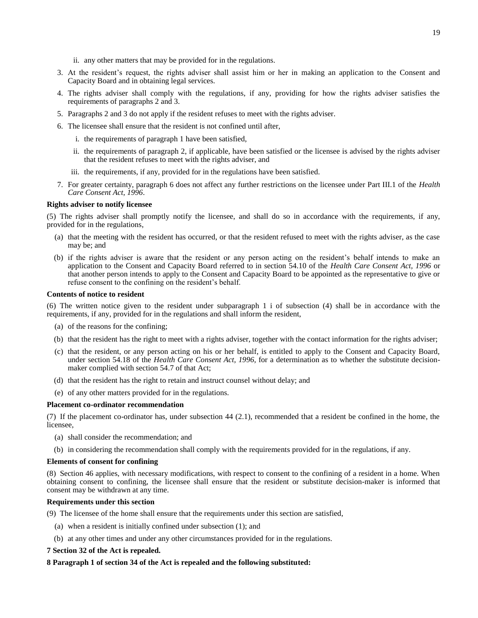- ii. any other matters that may be provided for in the regulations.
- 3. At the resident's request, the rights adviser shall assist him or her in making an application to the Consent and Capacity Board and in obtaining legal services.
- 4. The rights adviser shall comply with the regulations, if any, providing for how the rights adviser satisfies the requirements of paragraphs 2 and 3.
- 5. Paragraphs 2 and 3 do not apply if the resident refuses to meet with the rights adviser.
- 6. The licensee shall ensure that the resident is not confined until after,
	- i. the requirements of paragraph 1 have been satisfied,
	- ii. the requirements of paragraph 2, if applicable, have been satisfied or the licensee is advised by the rights adviser that the resident refuses to meet with the rights adviser, and
	- iii. the requirements, if any, provided for in the regulations have been satisfied.
- 7. For greater certainty, paragraph 6 does not affect any further restrictions on the licensee under Part III.1 of the *Health Care Consent Act, 1996*.

#### **Rights adviser to notify licensee**

(5) The rights adviser shall promptly notify the licensee, and shall do so in accordance with the requirements, if any, provided for in the regulations,

- (a) that the meeting with the resident has occurred, or that the resident refused to meet with the rights adviser, as the case may be; and
- (b) if the rights adviser is aware that the resident or any person acting on the resident's behalf intends to make an application to the Consent and Capacity Board referred to in section 54.10 of the *Health Care Consent Act, 1996* or that another person intends to apply to the Consent and Capacity Board to be appointed as the representative to give or refuse consent to the confining on the resident's behalf.

#### **Contents of notice to resident**

(6) The written notice given to the resident under subparagraph 1 i of subsection (4) shall be in accordance with the requirements, if any, provided for in the regulations and shall inform the resident,

- (a) of the reasons for the confining;
- (b) that the resident has the right to meet with a rights adviser, together with the contact information for the rights adviser;
- (c) that the resident, or any person acting on his or her behalf, is entitled to apply to the Consent and Capacity Board, under section 54.18 of the *Health Care Consent Act, 1996*, for a determination as to whether the substitute decisionmaker complied with section 54.7 of that Act;
- (d) that the resident has the right to retain and instruct counsel without delay; and
- (e) of any other matters provided for in the regulations.

#### **Placement co-ordinator recommendation**

(7) If the placement co-ordinator has, under subsection 44 (2.1), recommended that a resident be confined in the home, the licensee,

- (a) shall consider the recommendation; and
- (b) in considering the recommendation shall comply with the requirements provided for in the regulations, if any.

## **Elements of consent for confining**

(8) Section 46 applies, with necessary modifications, with respect to consent to the confining of a resident in a home. When obtaining consent to confining, the licensee shall ensure that the resident or substitute decision-maker is informed that consent may be withdrawn at any time.

## **Requirements under this section**

(9) The licensee of the home shall ensure that the requirements under this section are satisfied,

- (a) when a resident is initially confined under subsection (1); and
- (b) at any other times and under any other circumstances provided for in the regulations.

## **7 Section 32 of the Act is repealed.**

## **8 Paragraph 1 of section 34 of the Act is repealed and the following substituted:**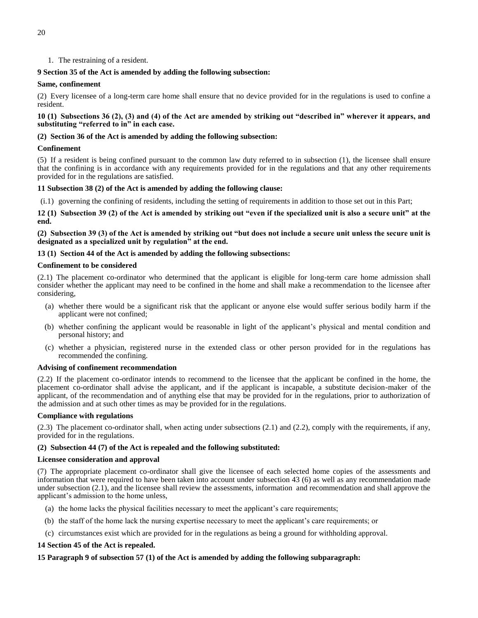1. The restraining of a resident.

## **9 Section 35 of the Act is amended by adding the following subsection:**

## **Same, confinement**

(2) Every licensee of a long-term care home shall ensure that no device provided for in the regulations is used to confine a resident.

**10 (1) Subsections 36 (2), (3) and (4) of the Act are amended by striking out "described in" wherever it appears, and substituting "referred to in" in each case.**

## **(2) Section 36 of the Act is amended by adding the following subsection:**

## **Confinement**

(5) If a resident is being confined pursuant to the common law duty referred to in subsection (1), the licensee shall ensure that the confining is in accordance with any requirements provided for in the regulations and that any other requirements provided for in the regulations are satisfied.

## **11 Subsection 38 (2) of the Act is amended by adding the following clause:**

(i.1) governing the confining of residents, including the setting of requirements in addition to those set out in this Part;

**12 (1) Subsection 39 (2) of the Act is amended by striking out "even if the specialized unit is also a secure unit" at the end.**

**(2) Subsection 39 (3) of the Act is amended by striking out "but does not include a secure unit unless the secure unit is designated as a specialized unit by regulation" at the end.**

## **13 (1) Section 44 of the Act is amended by adding the following subsections:**

## **Confinement to be considered**

(2.1) The placement co-ordinator who determined that the applicant is eligible for long-term care home admission shall consider whether the applicant may need to be confined in the home and shall make a recommendation to the licensee after considering,

- (a) whether there would be a significant risk that the applicant or anyone else would suffer serious bodily harm if the applicant were not confined;
- (b) whether confining the applicant would be reasonable in light of the applicant's physical and mental condition and personal history; and
- (c) whether a physician, registered nurse in the extended class or other person provided for in the regulations has recommended the confining.

## **Advising of confinement recommendation**

(2.2) If the placement co-ordinator intends to recommend to the licensee that the applicant be confined in the home, the placement co-ordinator shall advise the applicant, and if the applicant is incapable, a substitute decision-maker of the applicant, of the recommendation and of anything else that may be provided for in the regulations, prior to authorization of the admission and at such other times as may be provided for in the regulations.

## **Compliance with regulations**

(2.3) The placement co-ordinator shall, when acting under subsections (2.1) and (2.2), comply with the requirements, if any, provided for in the regulations.

## **(2) Subsection 44 (7) of the Act is repealed and the following substituted:**

## **Licensee consideration and approval**

(7) The appropriate placement co-ordinator shall give the licensee of each selected home copies of the assessments and information that were required to have been taken into account under subsection 43 (6) as well as any recommendation made under subsection (2.1), and the licensee shall review the assessments, information and recommendation and shall approve the applicant's admission to the home unless,

- (a) the home lacks the physical facilities necessary to meet the applicant's care requirements;
- (b) the staff of the home lack the nursing expertise necessary to meet the applicant's care requirements; or
- (c) circumstances exist which are provided for in the regulations as being a ground for withholding approval.

## **14 Section 45 of the Act is repealed.**

## **15 Paragraph 9 of subsection 57 (1) of the Act is amended by adding the following subparagraph:**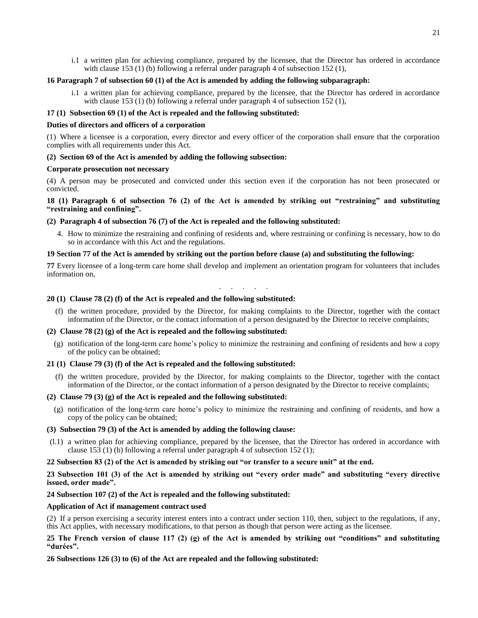i.1 a written plan for achieving compliance, prepared by the licensee, that the Director has ordered in accordance with clause 153 (1) (b) following a referral under paragraph 4 of subsection 152 (1),

## **16 Paragraph 7 of subsection 60 (1) of the Act is amended by adding the following subparagraph:**

i.1 a written plan for achieving compliance, prepared by the licensee, that the Director has ordered in accordance with clause 153 (1) (b) following a referral under paragraph 4 of subsection 152 (1),

### **17 (1) Subsection 69 (1) of the Act is repealed and the following substituted:**

#### **Duties of directors and officers of a corporation**

(1) Where a licensee is a corporation, every director and every officer of the corporation shall ensure that the corporation complies with all requirements under this Act.

## **(2) Section 69 of the Act is amended by adding the following subsection:**

#### **Corporate prosecution not necessary**

(4) A person may be prosecuted and convicted under this section even if the corporation has not been prosecuted or convicted.

**18 (1) Paragraph 6 of subsection 76 (2) of the Act is amended by striking out "restraining" and substituting "restraining and confining".**

### **(2) Paragraph 4 of subsection 76 (7) of the Act is repealed and the following substituted:**

4. How to minimize the restraining and confining of residents and, where restraining or confining is necessary, how to do so in accordance with this Act and the regulations.

## **19 Section 77 of the Act is amended by striking out the portion before clause (a) and substituting the following:**

**77** Every licensee of a long-term care home shall develop and implement an orientation program for volunteers that includes information on,

. . . . . . .

## **20 (1) Clause 78 (2) (f) of the Act is repealed and the following substituted:**

(f) the written procedure, provided by the Director, for making complaints to the Director, together with the contact information of the Director, or the contact information of a person designated by the Director to receive complaints;

#### **(2) Clause 78 (2) (g) of the Act is repealed and the following substituted:**

(g) notification of the long-term care home's policy to minimize the restraining and confining of residents and how a copy of the policy can be obtained;

#### **21 (1) Clause 79 (3) (f) of the Act is repealed and the following substituted:**

(f) the written procedure, provided by the Director, for making complaints to the Director, together with the contact information of the Director, or the contact information of a person designated by the Director to receive complaints;

#### **(2) Clause 79 (3) (g) of the Act is repealed and the following substituted:**

(g) notification of the long-term care home's policy to minimize the restraining and confining of residents, and how a copy of the policy can be obtained;

## **(3) Subsection 79 (3) of the Act is amended by adding the following clause:**

(l.1) a written plan for achieving compliance, prepared by the licensee, that the Director has ordered in accordance with clause 153 (1) (b) following a referral under paragraph 4 of subsection 152 (1);

#### **22 Subsection 83 (2) of the Act is amended by striking out "or transfer to a secure unit" at the end.**

**23 Subsection 101 (3) of the Act is amended by striking out "every order made" and substituting "every directive issued, order made".**

#### **24 Subsection 107 (2) of the Act is repealed and the following substituted:**

#### **Application of Act if management contract used**

(2) If a person exercising a security interest enters into a contract under section 110, then, subject to the regulations, if any, this Act applies, with necessary modifications, to that person as though that person were acting as the licensee.

## **25 The French version of clause 117 (2) (g) of the Act is amended by striking out "conditions" and substituting "durées".**

## **26 Subsections 126 (3) to (6) of the Act are repealed and the following substituted:**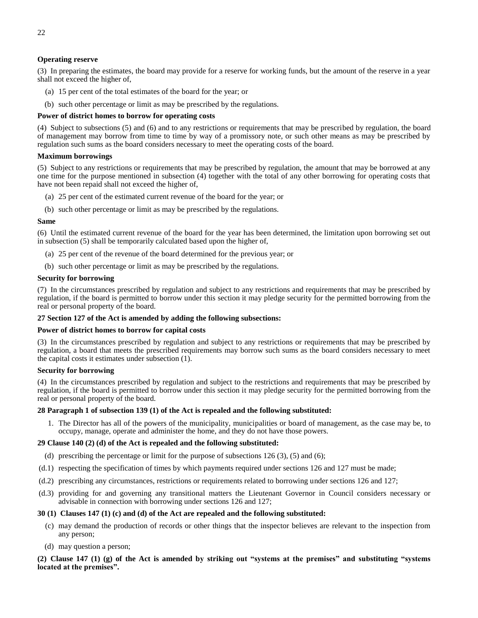## **Operating reserve**

(3) In preparing the estimates, the board may provide for a reserve for working funds, but the amount of the reserve in a year shall not exceed the higher of,

- (a) 15 per cent of the total estimates of the board for the year; or
- (b) such other percentage or limit as may be prescribed by the regulations.

## **Power of district homes to borrow for operating costs**

(4) Subject to subsections (5) and (6) and to any restrictions or requirements that may be prescribed by regulation, the board of management may borrow from time to time by way of a promissory note, or such other means as may be prescribed by regulation such sums as the board considers necessary to meet the operating costs of the board.

#### **Maximum borrowings**

(5) Subject to any restrictions or requirements that may be prescribed by regulation, the amount that may be borrowed at any one time for the purpose mentioned in subsection (4) together with the total of any other borrowing for operating costs that have not been repaid shall not exceed the higher of,

- (a) 25 per cent of the estimated current revenue of the board for the year; or
- (b) such other percentage or limit as may be prescribed by the regulations.

#### **Same**

(6) Until the estimated current revenue of the board for the year has been determined, the limitation upon borrowing set out in subsection (5) shall be temporarily calculated based upon the higher of,

- (a) 25 per cent of the revenue of the board determined for the previous year; or
- (b) such other percentage or limit as may be prescribed by the regulations.

### **Security for borrowing**

(7) In the circumstances prescribed by regulation and subject to any restrictions and requirements that may be prescribed by regulation, if the board is permitted to borrow under this section it may pledge security for the permitted borrowing from the real or personal property of the board.

#### **27 Section 127 of the Act is amended by adding the following subsections:**

#### **Power of district homes to borrow for capital costs**

(3) In the circumstances prescribed by regulation and subject to any restrictions or requirements that may be prescribed by regulation, a board that meets the prescribed requirements may borrow such sums as the board considers necessary to meet the capital costs it estimates under subsection (1).

#### **Security for borrowing**

(4) In the circumstances prescribed by regulation and subject to the restrictions and requirements that may be prescribed by regulation, if the board is permitted to borrow under this section it may pledge security for the permitted borrowing from the real or personal property of the board.

#### **28 Paragraph 1 of subsection 139 (1) of the Act is repealed and the following substituted:**

1. The Director has all of the powers of the municipality, municipalities or board of management, as the case may be, to occupy, manage, operate and administer the home, and they do not have those powers.

#### **29 Clause 140 (2) (d) of the Act is repealed and the following substituted:**

- (d) prescribing the percentage or limit for the purpose of subsections  $126 (3)$ ,  $(5)$  and  $(6)$ ;
- (d.1) respecting the specification of times by which payments required under sections 126 and 127 must be made;
- (d.2) prescribing any circumstances, restrictions or requirements related to borrowing under sections 126 and 127;
- (d.3) providing for and governing any transitional matters the Lieutenant Governor in Council considers necessary or advisable in connection with borrowing under sections 126 and 127;

#### **30 (1) Clauses 147 (1) (c) and (d) of the Act are repealed and the following substituted:**

- (c) may demand the production of records or other things that the inspector believes are relevant to the inspection from any person;
- (d) may question a person;

**(2) Clause 147 (1) (g) of the Act is amended by striking out "systems at the premises" and substituting "systems located at the premises".**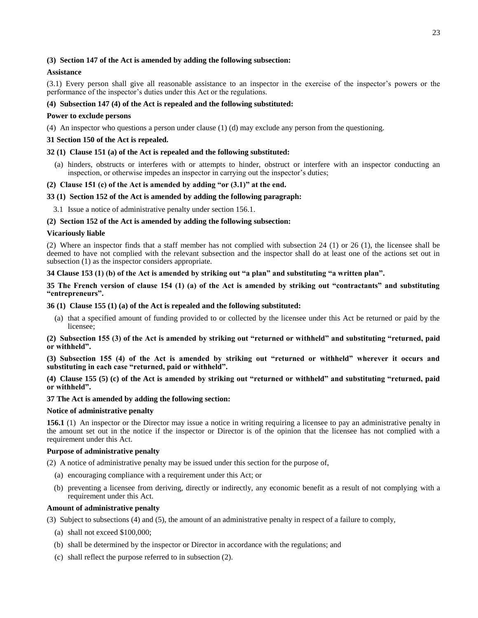## **(3) Section 147 of the Act is amended by adding the following subsection:**

## **Assistance**

(3.1) Every person shall give all reasonable assistance to an inspector in the exercise of the inspector's powers or the performance of the inspector's duties under this Act or the regulations.

## **(4) Subsection 147 (4) of the Act is repealed and the following substituted:**

## **Power to exclude persons**

(4) An inspector who questions a person under clause (1) (d) may exclude any person from the questioning.

## **31 Section 150 of the Act is repealed.**

## **32 (1) Clause 151 (a) of the Act is repealed and the following substituted:**

(a) hinders, obstructs or interferes with or attempts to hinder, obstruct or interfere with an inspector conducting an inspection, or otherwise impedes an inspector in carrying out the inspector's duties;

### **(2) Clause 151 (c) of the Act is amended by adding "or (3.1)" at the end.**

### **33 (1) Section 152 of the Act is amended by adding the following paragraph:**

3.1 Issue a notice of administrative penalty under section 156.1.

### **(2) Section 152 of the Act is amended by adding the following subsection:**

### **Vicariously liable**

(2) Where an inspector finds that a staff member has not complied with subsection 24 (1) or 26 (1), the licensee shall be deemed to have not complied with the relevant subsection and the inspector shall do at least one of the actions set out in subsection (1) as the inspector considers appropriate.

## **34 Clause 153 (1) (b) of the Act is amended by striking out "a plan" and substituting "a written plan".**

**35 The French version of clause 154 (1) (a) of the Act is amended by striking out "contractants" and substituting "entrepreneurs".**

## **36 (1) Clause 155 (1) (a) of the Act is repealed and the following substituted:**

(a) that a specified amount of funding provided to or collected by the licensee under this Act be returned or paid by the licensee;

**(2) Subsection 155 (3) of the Act is amended by striking out "returned or withheld" and substituting "returned, paid or withheld".**

**(3) Subsection 155 (4) of the Act is amended by striking out "returned or withheld" wherever it occurs and substituting in each case "returned, paid or withheld".**

**(4) Clause 155 (5) (c) of the Act is amended by striking out "returned or withheld" and substituting "returned, paid or withheld".**

## **37 The Act is amended by adding the following section:**

#### **Notice of administrative penalty**

**156.1** (1) An inspector or the Director may issue a notice in writing requiring a licensee to pay an administrative penalty in the amount set out in the notice if the inspector or Director is of the opinion that the licensee has not complied with a requirement under this Act.

#### **Purpose of administrative penalty**

(2) A notice of administrative penalty may be issued under this section for the purpose of,

- (a) encouraging compliance with a requirement under this Act; or
- (b) preventing a licensee from deriving, directly or indirectly, any economic benefit as a result of not complying with a requirement under this Act.

#### **Amount of administrative penalty**

(3) Subject to subsections (4) and (5), the amount of an administrative penalty in respect of a failure to comply,

- (a) shall not exceed \$100,000;
- (b) shall be determined by the inspector or Director in accordance with the regulations; and
- (c) shall reflect the purpose referred to in subsection (2).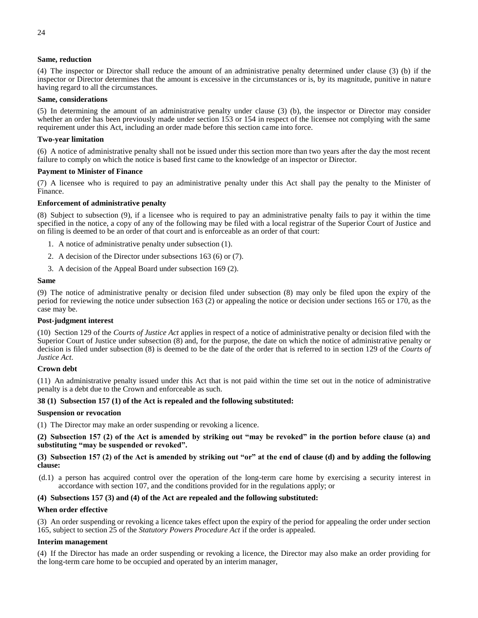## **Same, reduction**

(4) The inspector or Director shall reduce the amount of an administrative penalty determined under clause (3) (b) if the inspector or Director determines that the amount is excessive in the circumstances or is, by its magnitude, punitive in nature having regard to all the circumstances.

## **Same, considerations**

(5) In determining the amount of an administrative penalty under clause (3) (b), the inspector or Director may consider whether an order has been previously made under section 153 or 154 in respect of the licensee not complying with the same requirement under this Act, including an order made before this section came into force.

### **Two-year limitation**

(6) A notice of administrative penalty shall not be issued under this section more than two years after the day the most recent failure to comply on which the notice is based first came to the knowledge of an inspector or Director.

### **Payment to Minister of Finance**

(7) A licensee who is required to pay an administrative penalty under this Act shall pay the penalty to the Minister of Finance.

### **Enforcement of administrative penalty**

(8) Subject to subsection (9), if a licensee who is required to pay an administrative penalty fails to pay it within the time specified in the notice, a copy of any of the following may be filed with a local registrar of the Superior Court of Justice and on filing is deemed to be an order of that court and is enforceable as an order of that court:

- 1. A notice of administrative penalty under subsection (1).
- 2. A decision of the Director under subsections 163 (6) or (7).
- 3. A decision of the Appeal Board under subsection 169 (2).

#### **Same**

(9) The notice of administrative penalty or decision filed under subsection (8) may only be filed upon the expiry of the period for reviewing the notice under subsection 163 (2) or appealing the notice or decision under sections 165 or 170, as the case may be.

#### **Post-judgment interest**

(10) Section 129 of the *Courts of Justice Act* applies in respect of a notice of administrative penalty or decision filed with the Superior Court of Justice under subsection (8) and, for the purpose, the date on which the notice of administrative penalty or decision is filed under subsection (8) is deemed to be the date of the order that is referred to in section 129 of the *Courts of Justice Act*.

#### **Crown debt**

(11) An administrative penalty issued under this Act that is not paid within the time set out in the notice of administrative penalty is a debt due to the Crown and enforceable as such.

#### **38 (1) Subsection 157 (1) of the Act is repealed and the following substituted:**

#### **Suspension or revocation**

(1) The Director may make an order suspending or revoking a licence.

**(2) Subsection 157 (2) of the Act is amended by striking out "may be revoked" in the portion before clause (a) and substituting "may be suspended or revoked".**

## **(3) Subsection 157 (2) of the Act is amended by striking out "or" at the end of clause (d) and by adding the following clause:**

(d.1) a person has acquired control over the operation of the long-term care home by exercising a security interest in accordance with section 107, and the conditions provided for in the regulations apply; or

## **(4) Subsections 157 (3) and (4) of the Act are repealed and the following substituted:**

## **When order effective**

(3) An order suspending or revoking a licence takes effect upon the expiry of the period for appealing the order under section 165, subject to section 25 of the *Statutory Powers Procedure Act* if the order is appealed.

## **Interim management**

(4) If the Director has made an order suspending or revoking a licence, the Director may also make an order providing for the long-term care home to be occupied and operated by an interim manager,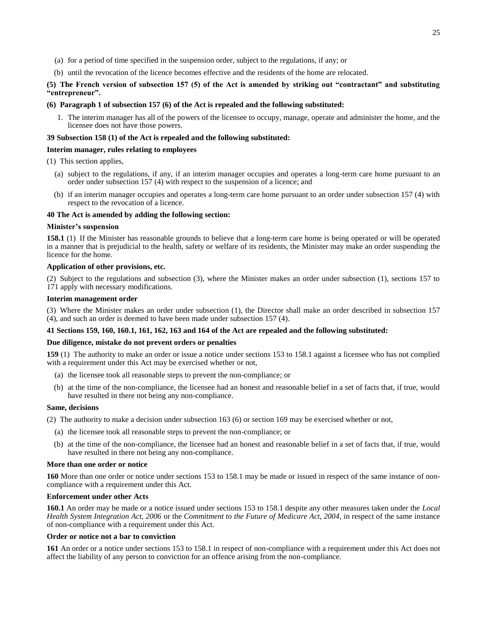- (a) for a period of time specified in the suspension order, subject to the regulations, if any; or
- (b) until the revocation of the licence becomes effective and the residents of the home are relocated.

## **(5) The French version of subsection 157 (5) of the Act is amended by striking out "contractant" and substituting "entrepreneur".**

#### **(6) Paragraph 1 of subsection 157 (6) of the Act is repealed and the following substituted:**

1. The interim manager has all of the powers of the licensee to occupy, manage, operate and administer the home, and the licensee does not have those powers.

## **39 Subsection 158 (1) of the Act is repealed and the following substituted:**

### **Interim manager, rules relating to employees**

- (1) This section applies,
	- (a) subject to the regulations, if any, if an interim manager occupies and operates a long-term care home pursuant to an order under subsection 157 (4) with respect to the suspension of a licence; and
	- (b) if an interim manager occupies and operates a long-term care home pursuant to an order under subsection 157 (4) with respect to the revocation of a licence.

### **40 The Act is amended by adding the following section:**

#### **Minister's suspension**

**158.1** (1) If the Minister has reasonable grounds to believe that a long-term care home is being operated or will be operated in a manner that is prejudicial to the health, safety or welfare of its residents, the Minister may make an order suspending the licence for the home.

## **Application of other provisions, etc.**

(2) Subject to the regulations and subsection (3), where the Minister makes an order under subsection (1), sections 157 to 171 apply with necessary modifications.

## **Interim management order**

(3) Where the Minister makes an order under subsection (1), the Director shall make an order described in subsection 157 (4), and such an order is deemed to have been made under subsection 157 (4).

## **41 Sections 159, 160, 160.1, 161, 162, 163 and 164 of the Act are repealed and the following substituted:**

## **Due diligence, mistake do not prevent orders or penalties**

**159** (1) The authority to make an order or issue a notice under sections 153 to 158.1 against a licensee who has not complied with a requirement under this Act may be exercised whether or not,

- (a) the licensee took all reasonable steps to prevent the non-compliance; or
- (b) at the time of the non-compliance, the licensee had an honest and reasonable belief in a set of facts that, if true, would have resulted in there not being any non-compliance.

#### **Same, decisions**

(2) The authority to make a decision under subsection 163 (6) or section 169 may be exercised whether or not,

- (a) the licensee took all reasonable steps to prevent the non-compliance; or
- (b) at the time of the non-compliance, the licensee had an honest and reasonable belief in a set of facts that, if true, would have resulted in there not being any non-compliance.

#### **More than one order or notice**

**160** More than one order or notice under sections 153 to 158.1 may be made or issued in respect of the same instance of noncompliance with a requirement under this Act.

## **Enforcement under other Acts**

**160.1** An order may be made or a notice issued under sections 153 to 158.1 despite any other measures taken under the *Local Health System Integration Act, 2006* or the *Commitment to the Future of Medicare Act, 2004*, in respect of the same instance of non-compliance with a requirement under this Act.

#### **Order or notice not a bar to conviction**

**161** An order or a notice under sections 153 to 158.1 in respect of non-compliance with a requirement under this Act does not affect the liability of any person to conviction for an offence arising from the non-compliance.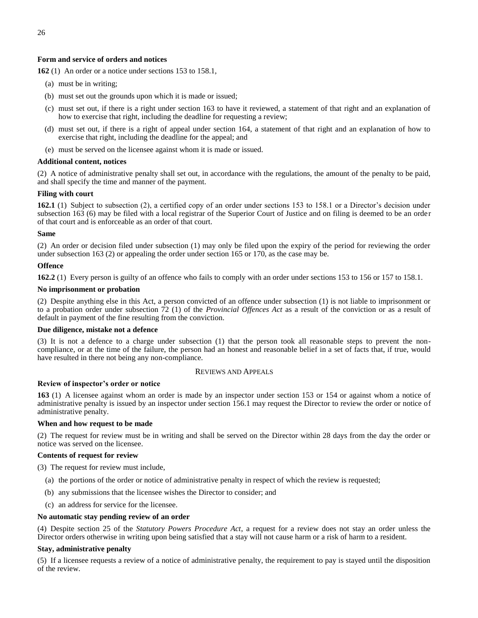## **Form and service of orders and notices**

**162** (1) An order or a notice under sections 153 to 158.1,

- (a) must be in writing;
- (b) must set out the grounds upon which it is made or issued;
- (c) must set out, if there is a right under section 163 to have it reviewed, a statement of that right and an explanation of how to exercise that right, including the deadline for requesting a review;
- (d) must set out, if there is a right of appeal under section 164, a statement of that right and an explanation of how to exercise that right, including the deadline for the appeal; and
- (e) must be served on the licensee against whom it is made or issued.

#### **Additional content, notices**

(2) A notice of administrative penalty shall set out, in accordance with the regulations, the amount of the penalty to be paid, and shall specify the time and manner of the payment.

## **Filing with court**

**162.1** (1) Subject to subsection (2), a certified copy of an order under sections 153 to 158.1 or a Director's decision under subsection 163 (6) may be filed with a local registrar of the Superior Court of Justice and on filing is deemed to be an order of that court and is enforceable as an order of that court.

#### **Same**

(2) An order or decision filed under subsection (1) may only be filed upon the expiry of the period for reviewing the order under subsection 163 (2) or appealing the order under section 165 or 170, as the case may be.

## **Offence**

**162.2** (1) Every person is guilty of an offence who fails to comply with an order under sections 153 to 156 or 157 to 158.1.

### **No imprisonment or probation**

(2) Despite anything else in this Act, a person convicted of an offence under subsection (1) is not liable to imprisonment or to a probation order under subsection 72 (1) of the *Provincial Offences Act* as a result of the conviction or as a result of default in payment of the fine resulting from the conviction.

#### **Due diligence, mistake not a defence**

(3) It is not a defence to a charge under subsection (1) that the person took all reasonable steps to prevent the noncompliance, or at the time of the failure, the person had an honest and reasonable belief in a set of facts that, if true, would have resulted in there not being any non-compliance.

#### REVIEWS AND APPEALS

#### **Review of inspector's order or notice**

**163** (1) A licensee against whom an order is made by an inspector under section 153 or 154 or against whom a notice of administrative penalty is issued by an inspector under section 156.1 may request the Director to review the order or notice of administrative penalty.

#### **When and how request to be made**

(2) The request for review must be in writing and shall be served on the Director within 28 days from the day the order or notice was served on the licensee.

#### **Contents of request for review**

(3) The request for review must include,

- (a) the portions of the order or notice of administrative penalty in respect of which the review is requested;
- (b) any submissions that the licensee wishes the Director to consider; and
- (c) an address for service for the licensee.

#### **No automatic stay pending review of an order**

(4) Despite section 25 of the *Statutory Powers Procedure Act*, a request for a review does not stay an order unless the Director orders otherwise in writing upon being satisfied that a stay will not cause harm or a risk of harm to a resident.

#### **Stay, administrative penalty**

(5) If a licensee requests a review of a notice of administrative penalty, the requirement to pay is stayed until the disposition of the review.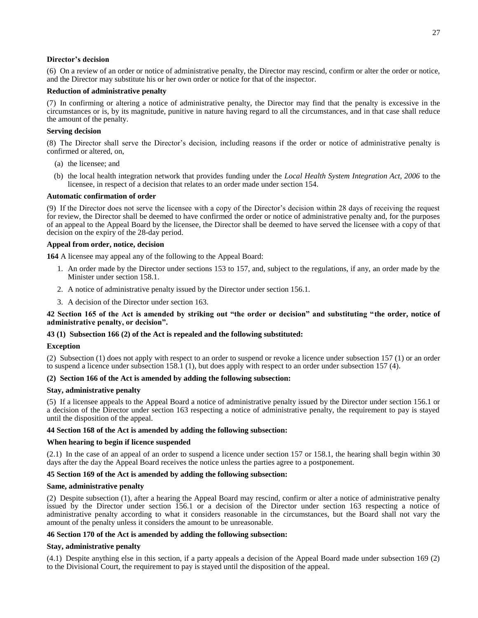### **Director's decision**

(6) On a review of an order or notice of administrative penalty, the Director may rescind, confirm or alter the order or notice, and the Director may substitute his or her own order or notice for that of the inspector.

## **Reduction of administrative penalty**

(7) In confirming or altering a notice of administrative penalty, the Director may find that the penalty is excessive in the circumstances or is, by its magnitude, punitive in nature having regard to all the circumstances, and in that case shall reduce the amount of the penalty.

### **Serving decision**

(8) The Director shall serve the Director's decision, including reasons if the order or notice of administrative penalty is confirmed or altered, on,

- (a) the licensee; and
- (b) the local health integration network that provides funding under the *Local Health System Integration Act, 2006* to the licensee, in respect of a decision that relates to an order made under section 154.

### **Automatic confirmation of order**

(9) If the Director does not serve the licensee with a copy of the Director's decision within 28 days of receiving the request for review, the Director shall be deemed to have confirmed the order or notice of administrative penalty and, for the purposes of an appeal to the Appeal Board by the licensee, the Director shall be deemed to have served the licensee with a copy of that decision on the expiry of the 28-day period.

## **Appeal from order, notice, decision**

**164** A licensee may appeal any of the following to the Appeal Board:

- 1. An order made by the Director under sections 153 to 157, and, subject to the regulations, if any, an order made by the Minister under section 158.1.
- 2. A notice of administrative penalty issued by the Director under section 156.1.
- 3. A decision of the Director under section 163.

## **42 Section 165 of the Act is amended by striking out "the order or decision" and substituting "the order, notice of administrative penalty, or decision".**

## **43 (1) Subsection 166 (2) of the Act is repealed and the following substituted:**

#### **Exception**

(2) Subsection (1) does not apply with respect to an order to suspend or revoke a licence under subsection 157 (1) or an order to suspend a licence under subsection 158.1 (1), but does apply with respect to an order under subsection 157 (4).

## **(2) Section 166 of the Act is amended by adding the following subsection:**

#### **Stay, administrative penalty**

(5) If a licensee appeals to the Appeal Board a notice of administrative penalty issued by the Director under section 156.1 or a decision of the Director under section 163 respecting a notice of administrative penalty, the requirement to pay is stayed until the disposition of the appeal.

#### **44 Section 168 of the Act is amended by adding the following subsection:**

#### **When hearing to begin if licence suspended**

(2.1) In the case of an appeal of an order to suspend a licence under section 157 or 158.1, the hearing shall begin within 30 days after the day the Appeal Board receives the notice unless the parties agree to a postponement.

## **45 Section 169 of the Act is amended by adding the following subsection:**

#### **Same, administrative penalty**

(2) Despite subsection (1), after a hearing the Appeal Board may rescind, confirm or alter a notice of administrative penalty issued by the Director under section 156.1 or a decision of the Director under section 163 respecting a notice of administrative penalty according to what it considers reasonable in the circumstances, but the Board shall not vary the amount of the penalty unless it considers the amount to be unreasonable.

## **46 Section 170 of the Act is amended by adding the following subsection:**

## **Stay, administrative penalty**

(4.1) Despite anything else in this section, if a party appeals a decision of the Appeal Board made under subsection 169 (2) to the Divisional Court, the requirement to pay is stayed until the disposition of the appeal.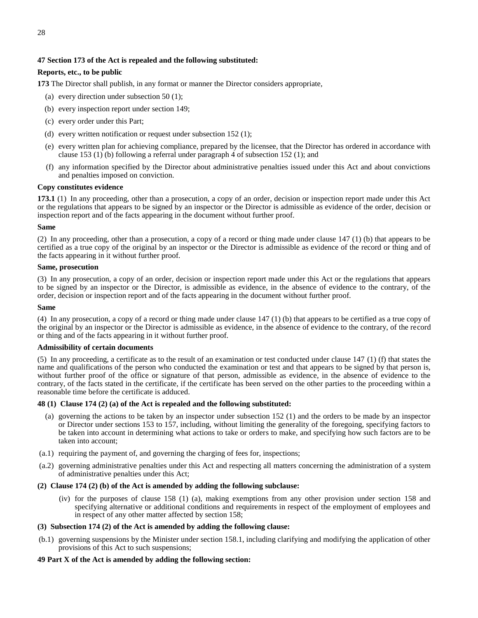# **47 Section 173 of the Act is repealed and the following substituted:**

# **Reports, etc., to be public**

**173** The Director shall publish, in any format or manner the Director considers appropriate,

- (a) every direction under subsection 50 (1);
- (b) every inspection report under section 149;
- (c) every order under this Part;
- (d) every written notification or request under subsection 152 (1);
- (e) every written plan for achieving compliance, prepared by the licensee, that the Director has ordered in accordance with clause 153 (1) (b) following a referral under paragraph 4 of subsection 152 (1); and
- (f) any information specified by the Director about administrative penalties issued under this Act and about convictions and penalties imposed on conviction.

# **Copy constitutes evidence**

**173.1** (1) In any proceeding, other than a prosecution, a copy of an order, decision or inspection report made under this Act or the regulations that appears to be signed by an inspector or the Director is admissible as evidence of the order, decision or inspection report and of the facts appearing in the document without further proof.

## **Same**

(2) In any proceeding, other than a prosecution, a copy of a record or thing made under clause 147 (1) (b) that appears to be certified as a true copy of the original by an inspector or the Director is admissible as evidence of the record or thing and of the facts appearing in it without further proof.

## **Same, prosecution**

(3) In any prosecution, a copy of an order, decision or inspection report made under this Act or the regulations that appears to be signed by an inspector or the Director, is admissible as evidence, in the absence of evidence to the contrary, of the order, decision or inspection report and of the facts appearing in the document without further proof.

## **Same**

(4) In any prosecution, a copy of a record or thing made under clause 147 (1) (b) that appears to be certified as a true copy of the original by an inspector or the Director is admissible as evidence, in the absence of evidence to the contrary, of the record or thing and of the facts appearing in it without further proof.

## **Admissibility of certain documents**

(5) In any proceeding, a certificate as to the result of an examination or test conducted under clause 147 (1) (f) that states the name and qualifications of the person who conducted the examination or test and that appears to be signed by that person is, without further proof of the office or signature of that person, admissible as evidence, in the absence of evidence to the contrary, of the facts stated in the certificate, if the certificate has been served on the other parties to the proceeding within a reasonable time before the certificate is adduced.

## **48 (1) Clause 174 (2) (a) of the Act is repealed and the following substituted:**

- (a) governing the actions to be taken by an inspector under subsection 152 (1) and the orders to be made by an inspector or Director under sections 153 to 157, including, without limiting the generality of the foregoing, specifying factors to be taken into account in determining what actions to take or orders to make, and specifying how such factors are to be taken into account;
- (a.1) requiring the payment of, and governing the charging of fees for, inspections;
- (a.2) governing administrative penalties under this Act and respecting all matters concerning the administration of a system of administrative penalties under this Act;

## **(2) Clause 174 (2) (b) of the Act is amended by adding the following subclause:**

(iv) for the purposes of clause 158 (1) (a), making exemptions from any other provision under section 158 and specifying alternative or additional conditions and requirements in respect of the employment of employees and in respect of any other matter affected by section 158;

## **(3) Subsection 174 (2) of the Act is amended by adding the following clause:**

(b.1) governing suspensions by the Minister under section 158.1, including clarifying and modifying the application of other provisions of this Act to such suspensions;

## **49 Part X of the Act is amended by adding the following section:**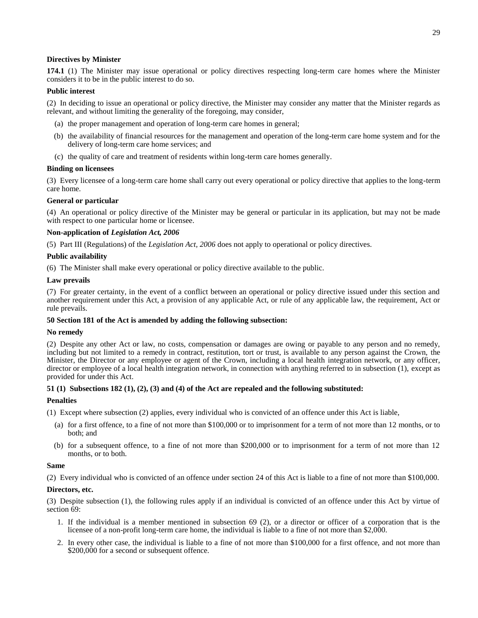## **Directives by Minister**

**174.1** (1) The Minister may issue operational or policy directives respecting long-term care homes where the Minister considers it to be in the public interest to do so.

## **Public interest**

(2) In deciding to issue an operational or policy directive, the Minister may consider any matter that the Minister regards as relevant, and without limiting the generality of the foregoing, may consider,

- (a) the proper management and operation of long-term care homes in general;
- (b) the availability of financial resources for the management and operation of the long-term care home system and for the delivery of long-term care home services; and
- (c) the quality of care and treatment of residents within long-term care homes generally.

#### **Binding on licensees**

(3) Every licensee of a long-term care home shall carry out every operational or policy directive that applies to the long-term care home.

## **General or particular**

(4) An operational or policy directive of the Minister may be general or particular in its application, but may not be made with respect to one particular home or licensee.

### **Non-application of** *Legislation Act, 2006*

(5) Part III (Regulations) of the *Legislation Act, 2006* does not apply to operational or policy directives.

## **Public availability**

(6) The Minister shall make every operational or policy directive available to the public.

### **Law prevails**

(7) For greater certainty, in the event of a conflict between an operational or policy directive issued under this section and another requirement under this Act, a provision of any applicable Act, or rule of any applicable law, the requirement, Act or rule prevails.

## **50 Section 181 of the Act is amended by adding the following subsection:**

#### **No remedy**

(2) Despite any other Act or law, no costs, compensation or damages are owing or payable to any person and no remedy, including but not limited to a remedy in contract, restitution, tort or trust, is available to any person against the Crown, the Minister, the Director or any employee or agent of the Crown, including a local health integration network, or any officer, director or employee of a local health integration network, in connection with anything referred to in subsection (1), except as provided for under this Act.

## **51 (1) Subsections 182 (1), (2), (3) and (4) of the Act are repealed and the following substituted:**

## **Penalties**

(1) Except where subsection (2) applies, every individual who is convicted of an offence under this Act is liable,

- (a) for a first offence, to a fine of not more than \$100,000 or to imprisonment for a term of not more than 12 months, or to both; and
- (b) for a subsequent offence, to a fine of not more than \$200,000 or to imprisonment for a term of not more than 12 months, or to both.

#### **Same**

(2) Every individual who is convicted of an offence under section 24 of this Act is liable to a fine of not more than \$100,000.

## **Directors, etc.**

(3) Despite subsection (1), the following rules apply if an individual is convicted of an offence under this Act by virtue of section 69:

- 1. If the individual is a member mentioned in subsection 69 (2), or a director or officer of a corporation that is the licensee of a non-profit long-term care home, the individual is liable to a fine of not more than \$2,000.
- 2. In every other case, the individual is liable to a fine of not more than \$100,000 for a first offence, and not more than \$200,000 for a second or subsequent offence.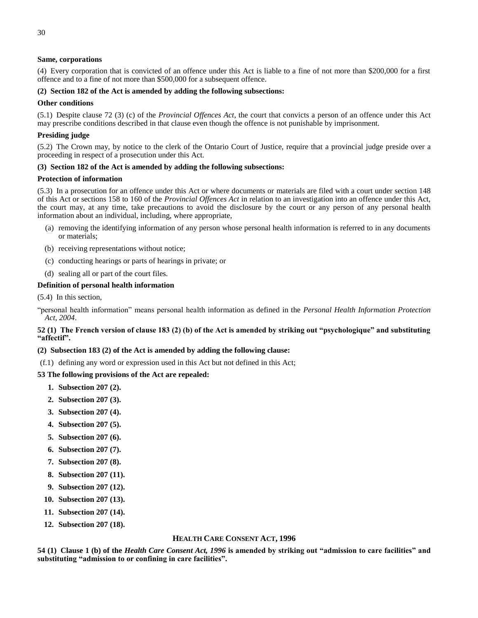## **Same, corporations**

(4) Every corporation that is convicted of an offence under this Act is liable to a fine of not more than \$200,000 for a first offence and to a fine of not more than \$500,000 for a subsequent offence.

## **(2) Section 182 of the Act is amended by adding the following subsections:**

## **Other conditions**

(5.1) Despite clause 72 (3) (c) of the *Provincial Offences Act*, the court that convicts a person of an offence under this Act may prescribe conditions described in that clause even though the offence is not punishable by imprisonment.

## **Presiding judge**

(5.2) The Crown may, by notice to the clerk of the Ontario Court of Justice, require that a provincial judge preside over a proceeding in respect of a prosecution under this Act.

## **(3) Section 182 of the Act is amended by adding the following subsections:**

## **Protection of information**

(5.3) In a prosecution for an offence under this Act or where documents or materials are filed with a court under section 148 of this Act or sections 158 to 160 of the *Provincial Offences Act* in relation to an investigation into an offence under this Act, the court may, at any time, take precautions to avoid the disclosure by the court or any person of any personal health information about an individual, including, where appropriate,

- (a) removing the identifying information of any person whose personal health information is referred to in any documents or materials;
- (b) receiving representations without notice;
- (c) conducting hearings or parts of hearings in private; or
- (d) sealing all or part of the court files.

## **Definition of personal health information**

(5.4) In this section,

"personal health information" means personal health information as defined in the *Personal Health Information Protection Act, 2004*.

## **52 (1) The French version of clause 183 (2) (b) of the Act is amended by striking out "psychologique" and substituting "affectif".**

## **(2) Subsection 183 (2) of the Act is amended by adding the following clause:**

 $(f.1)$  defining any word or expression used in this Act but not defined in this Act;

## **53 The following provisions of the Act are repealed:**

- **1. Subsection 207 (2).**
- **2. Subsection 207 (3).**
- **3. Subsection 207 (4).**
- **4. Subsection 207 (5).**
- **5. Subsection 207 (6).**
- **6. Subsection 207 (7).**
- **7. Subsection 207 (8).**
- **8. Subsection 207 (11).**
- **9. Subsection 207 (12).**
- **10. Subsection 207 (13).**
- **11. Subsection 207 (14).**
- **12. Subsection 207 (18).**

## **HEALTH CARE CONSENT ACT, 1996**

**54 (1) Clause 1 (b) of the** *Health Care Consent Act, 1996* **is amended by striking out "admission to care facilities" and substituting "admission to or confining in care facilities".**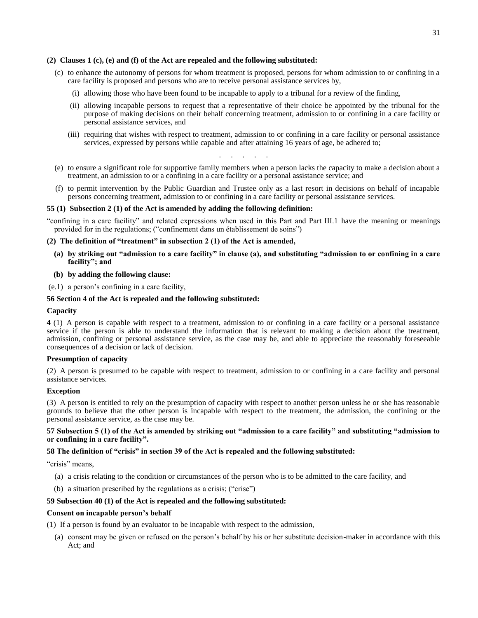### **(2) Clauses 1 (c), (e) and (f) of the Act are repealed and the following substituted:**

- (c) to enhance the autonomy of persons for whom treatment is proposed, persons for whom admission to or confining in a care facility is proposed and persons who are to receive personal assistance services by,
	- (i) allowing those who have been found to be incapable to apply to a tribunal for a review of the finding,
	- (ii) allowing incapable persons to request that a representative of their choice be appointed by the tribunal for the purpose of making decisions on their behalf concerning treatment, admission to or confining in a care facility or personal assistance services, and
	- (iii) requiring that wishes with respect to treatment, admission to or confining in a care facility or personal assistance services, expressed by persons while capable and after attaining 16 years of age, be adhered to;
		- . . . . . . .
- (e) to ensure a significant role for supportive family members when a person lacks the capacity to make a decision about a treatment, an admission to or a confining in a care facility or a personal assistance service; and
- (f) to permit intervention by the Public Guardian and Trustee only as a last resort in decisions on behalf of incapable persons concerning treatment, admission to or confining in a care facility or personal assistance services.

### **55 (1) Subsection 2 (1) of the Act is amended by adding the following definition:**

"confining in a care facility" and related expressions when used in this Part and Part III.1 have the meaning or meanings provided for in the regulations; ("confinement dans un établissement de soins")

#### **(2) The definition of "treatment" in subsection 2 (1) of the Act is amended,**

- **(a) by striking out "admission to a care facility" in clause (a), and substituting "admission to or confining in a care facility"; and**
- **(b) by adding the following clause:**
- (e.1) a person's confining in a care facility,

### **56 Section 4 of the Act is repealed and the following substituted:**

#### **Capacity**

**4** (1) A person is capable with respect to a treatment, admission to or confining in a care facility or a personal assistance service if the person is able to understand the information that is relevant to making a decision about the treatment, admission, confining or personal assistance service, as the case may be, and able to appreciate the reasonably foreseeable consequences of a decision or lack of decision.

#### **Presumption of capacity**

(2) A person is presumed to be capable with respect to treatment, admission to or confining in a care facility and personal assistance services.

### **Exception**

(3) A person is entitled to rely on the presumption of capacity with respect to another person unless he or she has reasonable grounds to believe that the other person is incapable with respect to the treatment, the admission, the confining or the personal assistance service, as the case may be.

### **57 Subsection 5 (1) of the Act is amended by striking out "admission to a care facility" and substituting "admission to or confining in a care facility".**

#### **58 The definition of "crisis" in section 39 of the Act is repealed and the following substituted:**

"crisis" means.

- (a) a crisis relating to the condition or circumstances of the person who is to be admitted to the care facility, and
- (b) a situation prescribed by the regulations as a crisis; ("crise")

### **59 Subsection 40 (1) of the Act is repealed and the following substituted:**

### **Consent on incapable person's behalf**

(1) If a person is found by an evaluator to be incapable with respect to the admission,

(a) consent may be given or refused on the person's behalf by his or her substitute decision-maker in accordance with this Act; and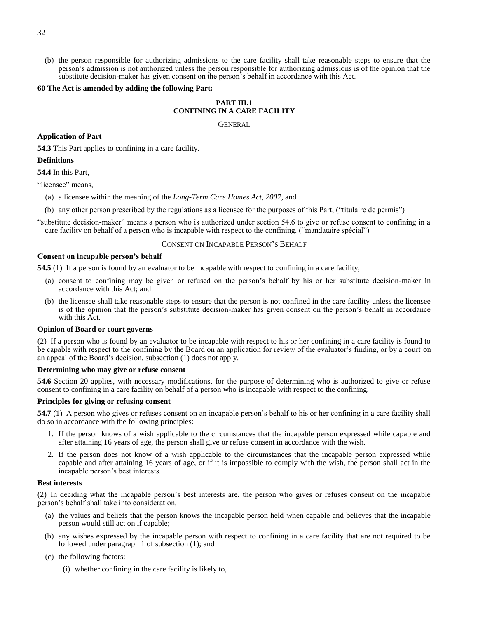(b) the person responsible for authorizing admissions to the care facility shall take reasonable steps to ensure that the person's admission is not authorized unless the person responsible for authorizing admissions is of the opinion that the substitute decision-maker has given consent on the person's behalf in accordance with this Act.

#### **60 The Act is amended by adding the following Part:**

# **PART III.1 CONFINING IN A CARE FACILITY**

GENERAL

#### **Application of Part**

**54.3** This Part applies to confining in a care facility.

#### **Definitions**

**54.4** In this Part,

"licensee" means,

- (a) a licensee within the meaning of the *Long-Term Care Homes Act, 2007*, and
- (b) any other person prescribed by the regulations as a licensee for the purposes of this Part; ("titulaire de permis")

"substitute decision-maker" means a person who is authorized under section 54.6 to give or refuse consent to confining in a care facility on behalf of a person who is incapable with respect to the confining. ("mandataire spécial")

### CONSENT ON INCAPABLE PERSON'S BEHALF

### **Consent on incapable person's behalf**

**54.5** (1) If a person is found by an evaluator to be incapable with respect to confining in a care facility,

- (a) consent to confining may be given or refused on the person's behalf by his or her substitute decision-maker in accordance with this Act; and
- (b) the licensee shall take reasonable steps to ensure that the person is not confined in the care facility unless the licensee is of the opinion that the person's substitute decision-maker has given consent on the person's behalf in accordance with this Act.

#### **Opinion of Board or court governs**

(2) If a person who is found by an evaluator to be incapable with respect to his or her confining in a care facility is found to be capable with respect to the confining by the Board on an application for review of the evaluator's finding, or by a court on an appeal of the Board's decision, subsection (1) does not apply.

#### **Determining who may give or refuse consent**

**54.6** Section 20 applies, with necessary modifications, for the purpose of determining who is authorized to give or refuse consent to confining in a care facility on behalf of a person who is incapable with respect to the confining.

### **Principles for giving or refusing consent**

**54.7** (1) A person who gives or refuses consent on an incapable person's behalf to his or her confining in a care facility shall do so in accordance with the following principles:

- 1. If the person knows of a wish applicable to the circumstances that the incapable person expressed while capable and after attaining 16 years of age, the person shall give or refuse consent in accordance with the wish.
- 2. If the person does not know of a wish applicable to the circumstances that the incapable person expressed while capable and after attaining 16 years of age, or if it is impossible to comply with the wish, the person shall act in the incapable person's best interests.

### **Best interests**

(2) In deciding what the incapable person's best interests are, the person who gives or refuses consent on the incapable person's behalf shall take into consideration,

- (a) the values and beliefs that the person knows the incapable person held when capable and believes that the incapable person would still act on if capable;
- (b) any wishes expressed by the incapable person with respect to confining in a care facility that are not required to be followed under paragraph 1 of subsection (1); and
- (c) the following factors:
	- (i) whether confining in the care facility is likely to,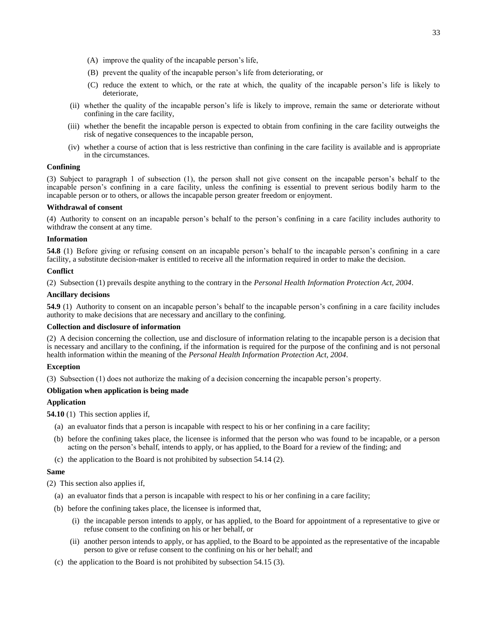- (A) improve the quality of the incapable person's life,
- (B) prevent the quality of the incapable person's life from deteriorating, or
- (C) reduce the extent to which, or the rate at which, the quality of the incapable person's life is likely to deteriorate,
- (ii) whether the quality of the incapable person's life is likely to improve, remain the same or deteriorate without confining in the care facility,
- (iii) whether the benefit the incapable person is expected to obtain from confining in the care facility outweighs the risk of negative consequences to the incapable person,
- (iv) whether a course of action that is less restrictive than confining in the care facility is available and is appropriate in the circumstances.

### **Confining**

(3) Subject to paragraph 1 of subsection (1), the person shall not give consent on the incapable person's behalf to the incapable person's confining in a care facility, unless the confining is essential to prevent serious bodily harm to the incapable person or to others, or allows the incapable person greater freedom or enjoyment.

#### **Withdrawal of consent**

(4) Authority to consent on an incapable person's behalf to the person's confining in a care facility includes authority to withdraw the consent at any time.

### **Information**

**54.8** (1) Before giving or refusing consent on an incapable person's behalf to the incapable person's confining in a care facility, a substitute decision-maker is entitled to receive all the information required in order to make the decision.

### **Conflict**

(2) Subsection (1) prevails despite anything to the contrary in the *Personal Health Information Protection Act, 2004*.

### **Ancillary decisions**

**54.9** (1) Authority to consent on an incapable person's behalf to the incapable person's confining in a care facility includes authority to make decisions that are necessary and ancillary to the confining.

### **Collection and disclosure of information**

(2) A decision concerning the collection, use and disclosure of information relating to the incapable person is a decision that is necessary and ancillary to the confining, if the information is required for the purpose of the confining and is not personal health information within the meaning of the *Personal Health Information Protection Act, 2004*.

### **Exception**

(3) Subsection (1) does not authorize the making of a decision concerning the incapable person's property.

### **Obligation when application is being made**

## **Application**

**54.10** (1) This section applies if,

- (a) an evaluator finds that a person is incapable with respect to his or her confining in a care facility;
- (b) before the confining takes place, the licensee is informed that the person who was found to be incapable, or a person acting on the person's behalf, intends to apply, or has applied, to the Board for a review of the finding; and
- (c) the application to the Board is not prohibited by subsection 54.14 (2).

### **Same**

(2) This section also applies if,

- (a) an evaluator finds that a person is incapable with respect to his or her confining in a care facility;
- (b) before the confining takes place, the licensee is informed that,
	- (i) the incapable person intends to apply, or has applied, to the Board for appointment of a representative to give or refuse consent to the confining on his or her behalf, or
	- (ii) another person intends to apply, or has applied, to the Board to be appointed as the representative of the incapable person to give or refuse consent to the confining on his or her behalf; and
- (c) the application to the Board is not prohibited by subsection 54.15 (3).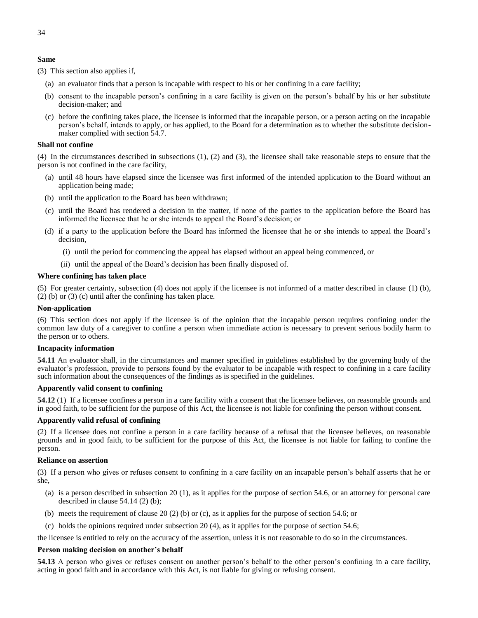### **Same**

(3) This section also applies if,

- (a) an evaluator finds that a person is incapable with respect to his or her confining in a care facility;
- (b) consent to the incapable person's confining in a care facility is given on the person's behalf by his or her substitute decision-maker; and
- (c) before the confining takes place, the licensee is informed that the incapable person, or a person acting on the incapable person's behalf, intends to apply, or has applied, to the Board for a determination as to whether the substitute decisionmaker complied with section 54.7.

#### **Shall not confine**

(4) In the circumstances described in subsections (1), (2) and (3), the licensee shall take reasonable steps to ensure that the person is not confined in the care facility,

- (a) until 48 hours have elapsed since the licensee was first informed of the intended application to the Board without an application being made;
- (b) until the application to the Board has been withdrawn;
- (c) until the Board has rendered a decision in the matter, if none of the parties to the application before the Board has informed the licensee that he or she intends to appeal the Board's decision; or
- (d) if a party to the application before the Board has informed the licensee that he or she intends to appeal the Board's decision,
	- (i) until the period for commencing the appeal has elapsed without an appeal being commenced, or
	- (ii) until the appeal of the Board's decision has been finally disposed of.

#### **Where confining has taken place**

(5) For greater certainty, subsection (4) does not apply if the licensee is not informed of a matter described in clause (1) (b), (2) (b) or (3) (c) until after the confining has taken place.

#### **Non-application**

(6) This section does not apply if the licensee is of the opinion that the incapable person requires confining under the common law duty of a caregiver to confine a person when immediate action is necessary to prevent serious bodily harm to the person or to others.

#### **Incapacity information**

**54.11** An evaluator shall, in the circumstances and manner specified in guidelines established by the governing body of the evaluator's profession, provide to persons found by the evaluator to be incapable with respect to confining in a care facility such information about the consequences of the findings as is specified in the guidelines.

#### **Apparently valid consent to confining**

**54.12** (1) If a licensee confines a person in a care facility with a consent that the licensee believes, on reasonable grounds and in good faith, to be sufficient for the purpose of this Act, the licensee is not liable for confining the person without consent.

### **Apparently valid refusal of confining**

(2) If a licensee does not confine a person in a care facility because of a refusal that the licensee believes, on reasonable grounds and in good faith, to be sufficient for the purpose of this Act, the licensee is not liable for failing to confine the person.

#### **Reliance on assertion**

(3) If a person who gives or refuses consent to confining in a care facility on an incapable person's behalf asserts that he or she,

- (a) is a person described in subsection 20 (1), as it applies for the purpose of section 54.6, or an attorney for personal care described in clause 54.14 (2) (b);
- (b) meets the requirement of clause 20 (2) (b) or (c), as it applies for the purpose of section 54.6; or

(c) holds the opinions required under subsection 20 (4), as it applies for the purpose of section 54.6;

the licensee is entitled to rely on the accuracy of the assertion, unless it is not reasonable to do so in the circumstances.

#### **Person making decision on another's behalf**

**54.13** A person who gives or refuses consent on another person's behalf to the other person's confining in a care facility, acting in good faith and in accordance with this Act, is not liable for giving or refusing consent.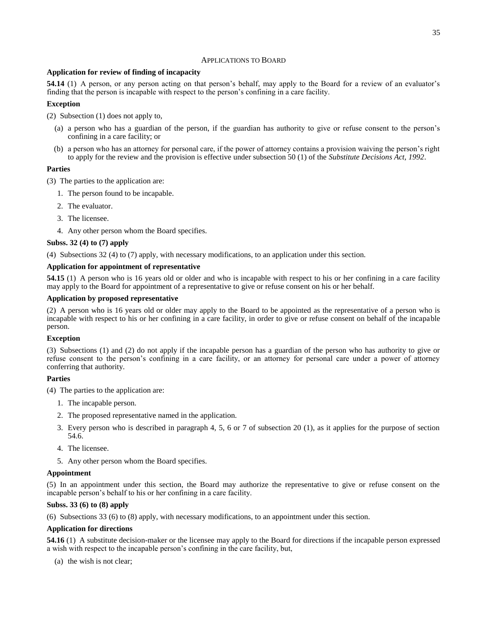### APPLICATIONS TO BOARD

### **Application for review of finding of incapacity**

**54.14** (1) A person, or any person acting on that person's behalf, may apply to the Board for a review of an evaluator's finding that the person is incapable with respect to the person's confining in a care facility.

### **Exception**

(2) Subsection (1) does not apply to,

- (a) a person who has a guardian of the person, if the guardian has authority to give or refuse consent to the person's confining in a care facility; or
- (b) a person who has an attorney for personal care, if the power of attorney contains a provision waiving the person's right to apply for the review and the provision is effective under subsection 50 (1) of the *Substitute Decisions Act, 1992*.

### **Parties**

(3) The parties to the application are:

- 1. The person found to be incapable.
- 2. The evaluator.
- 3. The licensee.
- 4. Any other person whom the Board specifies.

### **Subss. 32 (4) to (7) apply**

(4) Subsections 32 (4) to (7) apply, with necessary modifications, to an application under this section.

#### **Application for appointment of representative**

**54.15** (1) A person who is 16 years old or older and who is incapable with respect to his or her confining in a care facility may apply to the Board for appointment of a representative to give or refuse consent on his or her behalf.

#### **Application by proposed representative**

(2) A person who is 16 years old or older may apply to the Board to be appointed as the representative of a person who is incapable with respect to his or her confining in a care facility, in order to give or refuse consent on behalf of the incapable person.

#### **Exception**

(3) Subsections (1) and (2) do not apply if the incapable person has a guardian of the person who has authority to give or refuse consent to the person's confining in a care facility, or an attorney for personal care under a power of attorney conferring that authority.

### **Parties**

(4) The parties to the application are:

- 1. The incapable person.
- 2. The proposed representative named in the application.
- 3. Every person who is described in paragraph 4, 5, 6 or 7 of subsection 20 (1), as it applies for the purpose of section 54.6.
- 4. The licensee.
- 5. Any other person whom the Board specifies.

#### **Appointment**

(5) In an appointment under this section, the Board may authorize the representative to give or refuse consent on the incapable person's behalf to his or her confining in a care facility.

#### **Subss. 33 (6) to (8) apply**

(6) Subsections 33 (6) to (8) apply, with necessary modifications, to an appointment under this section.

#### **Application for directions**

**54.16** (1) A substitute decision-maker or the licensee may apply to the Board for directions if the incapable person expressed a wish with respect to the incapable person's confining in the care facility, but,

(a) the wish is not clear;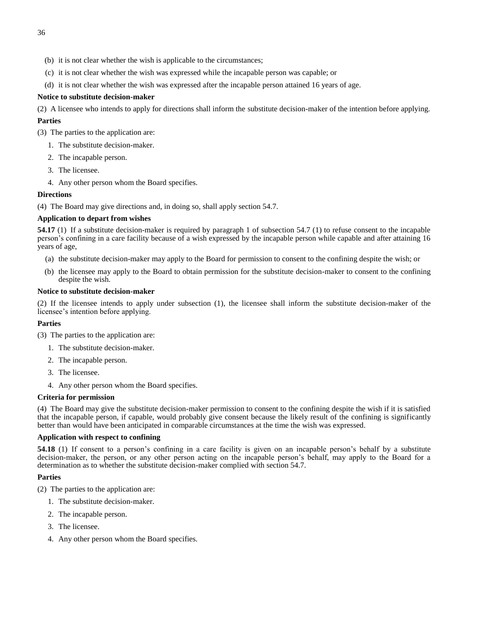- (b) it is not clear whether the wish is applicable to the circumstances;
- (c) it is not clear whether the wish was expressed while the incapable person was capable; or
- (d) it is not clear whether the wish was expressed after the incapable person attained 16 years of age.

### **Notice to substitute decision-maker**

(2) A licensee who intends to apply for directions shall inform the substitute decision-maker of the intention before applying.

### **Parties**

(3) The parties to the application are:

- 1. The substitute decision-maker.
- 2. The incapable person.
- 3. The licensee.
- 4. Any other person whom the Board specifies.

### **Directions**

(4) The Board may give directions and, in doing so, shall apply section 54.7.

### **Application to depart from wishes**

**54.17** (1) If a substitute decision-maker is required by paragraph 1 of subsection 54.7 (1) to refuse consent to the incapable person's confining in a care facility because of a wish expressed by the incapable person while capable and after attaining 16 years of age,

- (a) the substitute decision-maker may apply to the Board for permission to consent to the confining despite the wish; or
- (b) the licensee may apply to the Board to obtain permission for the substitute decision-maker to consent to the confining despite the wish.

#### **Notice to substitute decision-maker**

(2) If the licensee intends to apply under subsection (1), the licensee shall inform the substitute decision-maker of the licensee's intention before applying.

#### **Parties**

(3) The parties to the application are:

- 1. The substitute decision-maker.
- 2. The incapable person.
- 3. The licensee.
- 4. Any other person whom the Board specifies.

### **Criteria for permission**

(4) The Board may give the substitute decision-maker permission to consent to the confining despite the wish if it is satisfied that the incapable person, if capable, would probably give consent because the likely result of the confining is significantly better than would have been anticipated in comparable circumstances at the time the wish was expressed.

#### **Application with respect to confining**

**54.18** (1) If consent to a person's confining in a care facility is given on an incapable person's behalf by a substitute decision-maker, the person, or any other person acting on the incapable person's behalf, may apply to the Board for a determination as to whether the substitute decision-maker complied with section 54.7.

### **Parties**

- (2) The parties to the application are:
	- 1. The substitute decision-maker.
	- 2. The incapable person.
	- 3. The licensee.
	- 4. Any other person whom the Board specifies.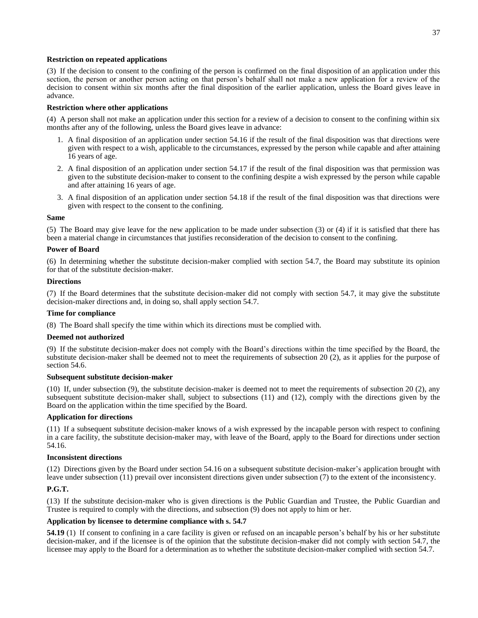### **Restriction on repeated applications**

(3) If the decision to consent to the confining of the person is confirmed on the final disposition of an application under this section, the person or another person acting on that person's behalf shall not make a new application for a review of the decision to consent within six months after the final disposition of the earlier application, unless the Board gives leave in advance.

### **Restriction where other applications**

(4) A person shall not make an application under this section for a review of a decision to consent to the confining within six months after any of the following, unless the Board gives leave in advance:

- 1. A final disposition of an application under section 54.16 if the result of the final disposition was that directions were given with respect to a wish, applicable to the circumstances, expressed by the person while capable and after attaining 16 years of age.
- 2. A final disposition of an application under section 54.17 if the result of the final disposition was that permission was given to the substitute decision-maker to consent to the confining despite a wish expressed by the person while capable and after attaining 16 years of age.
- 3. A final disposition of an application under section 54.18 if the result of the final disposition was that directions were given with respect to the consent to the confining.

### **Same**

(5) The Board may give leave for the new application to be made under subsection (3) or (4) if it is satisfied that there has been a material change in circumstances that justifies reconsideration of the decision to consent to the confining.

#### **Power of Board**

(6) In determining whether the substitute decision-maker complied with section 54.7, the Board may substitute its opinion for that of the substitute decision-maker.

#### **Directions**

(7) If the Board determines that the substitute decision-maker did not comply with section 54.7, it may give the substitute decision-maker directions and, in doing so, shall apply section 54.7.

### **Time for compliance**

(8) The Board shall specify the time within which its directions must be complied with.

#### **Deemed not authorized**

(9) If the substitute decision-maker does not comply with the Board's directions within the time specified by the Board, the substitute decision-maker shall be deemed not to meet the requirements of subsection 20 (2), as it applies for the purpose of section 54.6.

### **Subsequent substitute decision-maker**

(10) If, under subsection (9), the substitute decision-maker is deemed not to meet the requirements of subsection 20 (2), any subsequent substitute decision-maker shall, subject to subsections (11) and (12), comply with the directions given by the Board on the application within the time specified by the Board.

### **Application for directions**

(11) If a subsequent substitute decision-maker knows of a wish expressed by the incapable person with respect to confining in a care facility, the substitute decision-maker may, with leave of the Board, apply to the Board for directions under section 54.16.

#### **Inconsistent directions**

(12) Directions given by the Board under section 54.16 on a subsequent substitute decision-maker's application brought with leave under subsection (11) prevail over inconsistent directions given under subsection (7) to the extent of the inconsistency.

### **P.G.T.**

(13) If the substitute decision-maker who is given directions is the Public Guardian and Trustee, the Public Guardian and Trustee is required to comply with the directions, and subsection (9) does not apply to him or her.

#### **Application by licensee to determine compliance with s. 54.7**

**54.19** (1) If consent to confining in a care facility is given or refused on an incapable person's behalf by his or her substitute decision-maker, and if the licensee is of the opinion that the substitute decision-maker did not comply with section 54.7, the licensee may apply to the Board for a determination as to whether the substitute decision-maker complied with section 54.7.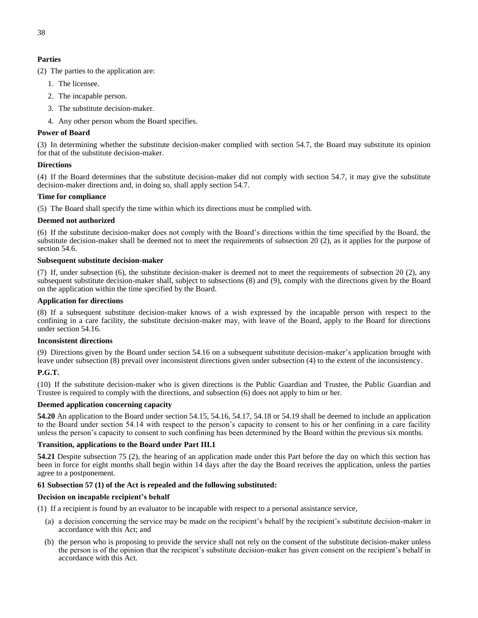# **Parties**

(2) The parties to the application are:

- 1. The licensee.
- 2. The incapable person.
- 3. The substitute decision-maker.
- 4. Any other person whom the Board specifies.

## **Power of Board**

(3) In determining whether the substitute decision-maker complied with section 54.7, the Board may substitute its opinion for that of the substitute decision-maker.

### **Directions**

(4) If the Board determines that the substitute decision-maker did not comply with section 54.7, it may give the substitute decision-maker directions and, in doing so, shall apply section 54.7.

### **Time for compliance**

(5) The Board shall specify the time within which its directions must be complied with.

## **Deemed not authorized**

(6) If the substitute decision-maker does not comply with the Board's directions within the time specified by the Board, the substitute decision-maker shall be deemed not to meet the requirements of subsection 20 (2), as it applies for the purpose of section 54.6.

## **Subsequent substitute decision-maker**

(7) If, under subsection (6), the substitute decision-maker is deemed not to meet the requirements of subsection 20 (2), any subsequent substitute decision-maker shall, subject to subsections (8) and (9), comply with the directions given by the Board on the application within the time specified by the Board.

## **Application for directions**

(8) If a subsequent substitute decision-maker knows of a wish expressed by the incapable person with respect to the confining in a care facility, the substitute decision-maker may, with leave of the Board, apply to the Board for directions under section 54.16.

### **Inconsistent directions**

(9) Directions given by the Board under section 54.16 on a subsequent substitute decision-maker's application brought with leave under subsection (8) prevail over inconsistent directions given under subsection (4) to the extent of the inconsistency.

# **P.G.T.**

(10) If the substitute decision-maker who is given directions is the Public Guardian and Trustee, the Public Guardian and Trustee is required to comply with the directions, and subsection (6) does not apply to him or her.

# **Deemed application concerning capacity**

**54.20** An application to the Board under section 54.15, 54.16, 54.17, 54.18 or 54.19 shall be deemed to include an application to the Board under section 54.14 with respect to the person's capacity to consent to his or her confining in a care facility unless the person's capacity to consent to such confining has been determined by the Board within the previous six months.

### **Transition, applications to the Board under Part III.1**

**54.21** Despite subsection 75 (2), the hearing of an application made under this Part before the day on which this section has been in force for eight months shall begin within 14 days after the day the Board receives the application, unless the parties agree to a postponement.

# **61 Subsection 57 (1) of the Act is repealed and the following substituted:**

### **Decision on incapable recipient's behalf**

(1) If a recipient is found by an evaluator to be incapable with respect to a personal assistance service,

- (a) a decision concerning the service may be made on the recipient's behalf by the recipient's substitute decision-maker in accordance with this Act; and
- (b) the person who is proposing to provide the service shall not rely on the consent of the substitute decision-maker unless the person is of the opinion that the recipient's substitute decision-maker has given consent on the recipient's behalf in accordance with this Act.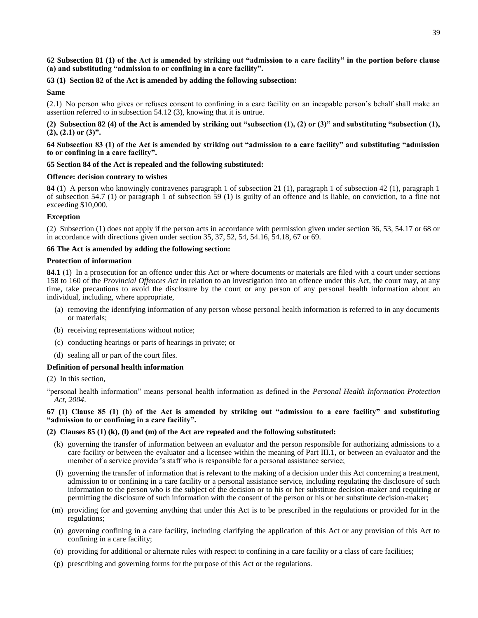39

### **62 Subsection 81 (1) of the Act is amended by striking out "admission to a care facility" in the portion before clause (a) and substituting "admission to or confining in a care facility".**

# **63 (1) Section 82 of the Act is amended by adding the following subsection:**

## **Same**

(2.1) No person who gives or refuses consent to confining in a care facility on an incapable person's behalf shall make an assertion referred to in subsection 54.12 (3), knowing that it is untrue.

**(2) Subsection 82 (4) of the Act is amended by striking out "subsection (1), (2) or (3)" and substituting "subsection (1), (2), (2.1) or (3)".**

### **64 Subsection 83 (1) of the Act is amended by striking out "admission to a care facility" and substituting "admission to or confining in a care facility".**

## **65 Section 84 of the Act is repealed and the following substituted:**

## **Offence: decision contrary to wishes**

**84** (1) A person who knowingly contravenes paragraph 1 of subsection 21 (1), paragraph 1 of subsection 42 (1), paragraph 1 of subsection 54.7 (1) or paragraph 1 of subsection 59 (1) is guilty of an offence and is liable, on conviction, to a fine not exceeding \$10,000.

## **Exception**

(2) Subsection (1) does not apply if the person acts in accordance with permission given under section 36, 53, 54.17 or 68 or in accordance with directions given under section 35, 37, 52, 54, 54.16, 54.18, 67 or 69.

## **66 The Act is amended by adding the following section:**

### **Protection of information**

**84.1** (1) In a prosecution for an offence under this Act or where documents or materials are filed with a court under sections 158 to 160 of the *Provincial Offences Act* in relation to an investigation into an offence under this Act, the court may, at any time, take precautions to avoid the disclosure by the court or any person of any personal health information about an individual, including, where appropriate,

- (a) removing the identifying information of any person whose personal health information is referred to in any documents or materials;
- (b) receiving representations without notice;
- (c) conducting hearings or parts of hearings in private; or
- (d) sealing all or part of the court files.

# **Definition of personal health information**

(2) In this section,

"personal health information" means personal health information as defined in the *Personal Health Information Protection Act, 2004*.

**67 (1) Clause 85 (1) (h) of the Act is amended by striking out "admission to a care facility" and substituting "admission to or confining in a care facility".**

# **(2) Clauses 85 (1) (k), (l) and (m) of the Act are repealed and the following substituted:**

- (k) governing the transfer of information between an evaluator and the person responsible for authorizing admissions to a care facility or between the evaluator and a licensee within the meaning of Part III.1, or between an evaluator and the member of a service provider's staff who is responsible for a personal assistance service;
- (l) governing the transfer of information that is relevant to the making of a decision under this Act concerning a treatment, admission to or confining in a care facility or a personal assistance service, including regulating the disclosure of such information to the person who is the subject of the decision or to his or her substitute decision-maker and requiring or permitting the disclosure of such information with the consent of the person or his or her substitute decision-maker;
- (m) providing for and governing anything that under this Act is to be prescribed in the regulations or provided for in the regulations;
- (n) governing confining in a care facility, including clarifying the application of this Act or any provision of this Act to confining in a care facility;
- (o) providing for additional or alternate rules with respect to confining in a care facility or a class of care facilities;
- (p) prescribing and governing forms for the purpose of this Act or the regulations.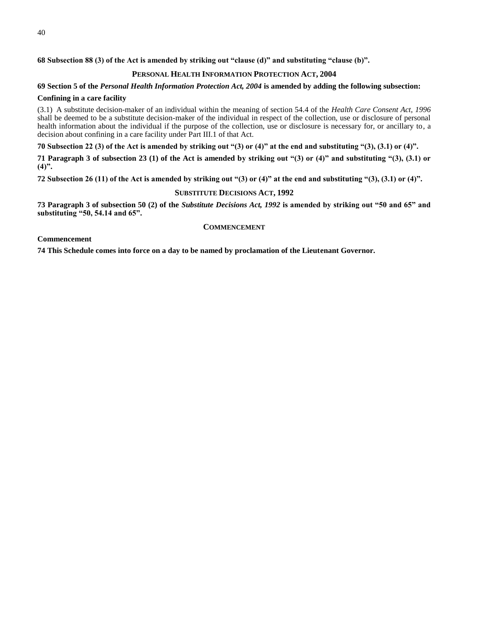# **PERSONAL HEALTH INFORMATION PROTECTION ACT, 2004**

# **69 Section 5 of the** *Personal Health Information Protection Act, 2004* **is amended by adding the following subsection:**

# **Confining in a care facility**

(3.1) A substitute decision-maker of an individual within the meaning of section 54.4 of the *Health Care Consent Act, 1996* shall be deemed to be a substitute decision-maker of the individual in respect of the collection, use or disclosure of personal health information about the individual if the purpose of the collection, use or disclosure is necessary for, or ancillary to, a decision about confining in a care facility under Part III.1 of that Act.

**70 Subsection 22 (3) of the Act is amended by striking out "(3) or (4)" at the end and substituting "(3), (3.1) or (4)".**

**71 Paragraph 3 of subsection 23 (1) of the Act is amended by striking out "(3) or (4)" and substituting "(3), (3.1) or (4)".**

**72 Subsection 26 (11) of the Act is amended by striking out "(3) or (4)" at the end and substituting "(3), (3.1) or (4)".**

# **SUBSTITUTE DECISIONS ACT, 1992**

**73 Paragraph 3 of subsection 50 (2) of the** *Substitute Decisions Act, 1992* **is amended by striking out "50 and 65" and substituting "50, 54.14 and 65".**

## **COMMENCEMENT**

### **Commencement**

**74 This Schedule comes into force on a day to be named by proclamation of the Lieutenant Governor.**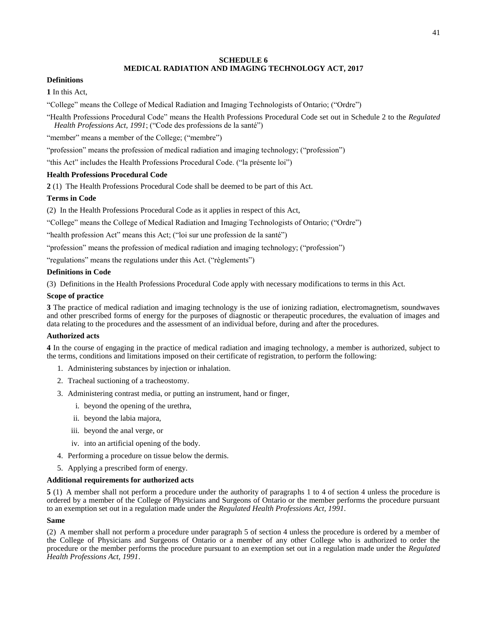### **SCHEDULE 6 MEDICAL RADIATION AND IMAGING TECHNOLOGY ACT, 2017**

### **Definitions**

**1** In this Act,

"College" means the College of Medical Radiation and Imaging Technologists of Ontario; ("Ordre")

"Health Professions Procedural Code" means the Health Professions Procedural Code set out in Schedule 2 to the *Regulated Health Professions Act, 1991*; ("Code des professions de la santé")

"member" means a member of the College; ("membre")

"profession" means the profession of medical radiation and imaging technology; ("profession")

"this Act" includes the Health Professions Procedural Code. ("la présente loi")

## **Health Professions Procedural Code**

**2** (1) The Health Professions Procedural Code shall be deemed to be part of this Act.

## **Terms in Code**

(2) In the Health Professions Procedural Code as it applies in respect of this Act,

"College" means the College of Medical Radiation and Imaging Technologists of Ontario; ("Ordre")

"health profession Act" means this Act; ("loi sur une profession de la santé")

"profession" means the profession of medical radiation and imaging technology; ("profession")

"regulations" means the regulations under this Act. ("règlements")

### **Definitions in Code**

(3) Definitions in the Health Professions Procedural Code apply with necessary modifications to terms in this Act.

### **Scope of practice**

**3** The practice of medical radiation and imaging technology is the use of ionizing radiation, electromagnetism, soundwaves and other prescribed forms of energy for the purposes of diagnostic or therapeutic procedures, the evaluation of images and data relating to the procedures and the assessment of an individual before, during and after the procedures.

### **Authorized acts**

**4** In the course of engaging in the practice of medical radiation and imaging technology, a member is authorized, subject to the terms, conditions and limitations imposed on their certificate of registration, to perform the following:

- 1. Administering substances by injection or inhalation.
- 2. Tracheal suctioning of a tracheostomy.
- 3. Administering contrast media, or putting an instrument, hand or finger,
	- i. beyond the opening of the urethra,
	- ii. beyond the labia majora,
	- iii. beyond the anal verge, or
	- iv. into an artificial opening of the body.
- 4. Performing a procedure on tissue below the dermis.
- 5. Applying a prescribed form of energy.

## **Additional requirements for authorized acts**

**5** (1) A member shall not perform a procedure under the authority of paragraphs 1 to 4 of section 4 unless the procedure is ordered by a member of the College of Physicians and Surgeons of Ontario or the member performs the procedure pursuant to an exemption set out in a regulation made under the *Regulated Health Professions Act, 1991*.

### **Same**

(2) A member shall not perform a procedure under paragraph 5 of section 4 unless the procedure is ordered by a member of the College of Physicians and Surgeons of Ontario or a member of any other College who is authorized to order the procedure or the member performs the procedure pursuant to an exemption set out in a regulation made under the *Regulated Health Professions Act, 1991*.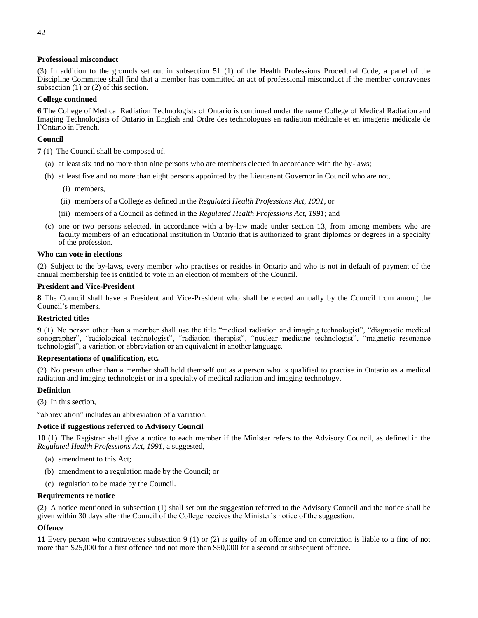### **Professional misconduct**

(3) In addition to the grounds set out in subsection 51 (1) of the Health Professions Procedural Code, a panel of the Discipline Committee shall find that a member has committed an act of professional misconduct if the member contravenes subsection (1) or (2) of this section.

### **College continued**

**6** The College of Medical Radiation Technologists of Ontario is continued under the name College of Medical Radiation and Imaging Technologists of Ontario in English and Ordre des technologues en radiation médicale et en imagerie médicale de l'Ontario in French.

## **Council**

**7** (1) The Council shall be composed of,

- (a) at least six and no more than nine persons who are members elected in accordance with the by-laws;
- (b) at least five and no more than eight persons appointed by the Lieutenant Governor in Council who are not,
	- (i) members,
	- (ii) members of a College as defined in the *Regulated Health Professions Act, 1991*, or
	- (iii) members of a Council as defined in the *Regulated Health Professions Act, 1991*; and
- (c) one or two persons selected, in accordance with a by-law made under section 13, from among members who are faculty members of an educational institution in Ontario that is authorized to grant diplomas or degrees in a specialty of the profession.

### **Who can vote in elections**

(2) Subject to the by-laws, every member who practises or resides in Ontario and who is not in default of payment of the annual membership fee is entitled to vote in an election of members of the Council.

### **President and Vice-President**

**8** The Council shall have a President and Vice-President who shall be elected annually by the Council from among the Council's members.

### **Restricted titles**

**9** (1) No person other than a member shall use the title "medical radiation and imaging technologist", "diagnostic medical sonographer", "radiological technologist", "radiation therapist", "nuclear medicine technologist", "magnetic resonance technologist", a variation or abbreviation or an equivalent in another language.

### **Representations of qualification, etc.**

(2) No person other than a member shall hold themself out as a person who is qualified to practise in Ontario as a medical radiation and imaging technologist or in a specialty of medical radiation and imaging technology.

### **Definition**

(3) In this section,

"abbreviation" includes an abbreviation of a variation.

### **Notice if suggestions referred to Advisory Council**

**10** (1) The Registrar shall give a notice to each member if the Minister refers to the Advisory Council, as defined in the *Regulated Health Professions Act, 1991*, a suggested,

- (a) amendment to this Act;
- (b) amendment to a regulation made by the Council; or
- (c) regulation to be made by the Council.

### **Requirements re notice**

(2) A notice mentioned in subsection (1) shall set out the suggestion referred to the Advisory Council and the notice shall be given within 30 days after the Council of the College receives the Minister's notice of the suggestion.

### **Offence**

**11** Every person who contravenes subsection 9 (1) or (2) is guilty of an offence and on conviction is liable to a fine of not more than \$25,000 for a first offence and not more than \$50,000 for a second or subsequent offence.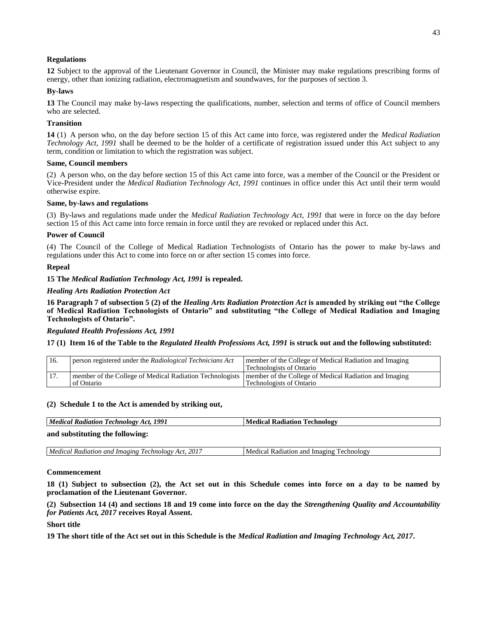## **Regulations**

**12** Subject to the approval of the Lieutenant Governor in Council, the Minister may make regulations prescribing forms of energy, other than ionizing radiation, electromagnetism and soundwaves, for the purposes of section 3.

### **By-laws**

**13** The Council may make by-laws respecting the qualifications, number, selection and terms of office of Council members who are selected.

### **Transition**

**14** (1) A person who, on the day before section 15 of this Act came into force, was registered under the *Medical Radiation Technology Act, 1991* shall be deemed to be the holder of a certificate of registration issued under this Act subject to any term, condition or limitation to which the registration was subject.

### **Same, Council members**

(2) A person who, on the day before section 15 of this Act came into force, was a member of the Council or the President or Vice-President under the *Medical Radiation Technology Act, 1991* continues in office under this Act until their term would otherwise expire.

### **Same, by-laws and regulations**

(3) By-laws and regulations made under the *Medical Radiation Technology Act, 1991* that were in force on the day before section 15 of this Act came into force remain in force until they are revoked or replaced under this Act.

### **Power of Council**

(4) The Council of the College of Medical Radiation Technologists of Ontario has the power to make by-laws and regulations under this Act to come into force on or after section 15 comes into force.

### **Repeal**

**15 The** *Medical Radiation Technology Act, 1991* **is repealed.**

### *Healing Arts Radiation Protection Act*

**16 Paragraph 7 of subsection 5 (2) of the** *Healing Arts Radiation Protection Act* **is amended by striking out "the College of Medical Radiation Technologists of Ontario" and substituting "the College of Medical Radiation and Imaging Technologists of Ontario".**

### *Regulated Health Professions Act, 1991*

**17 (1) Item 16 of the Table to the** *Regulated Health Professions Act, 1991* **is struck out and the following substituted:**

| 16. | person registered under the Radiological Technicians Act                                                                        | member of the College of Medical Radiation and Imaging<br><b>Technologists of Ontario</b> |
|-----|---------------------------------------------------------------------------------------------------------------------------------|-------------------------------------------------------------------------------------------|
| 17. | member of the College of Medical Radiation Technologists   member of the College of Medical Radiation and Imaging<br>of Ontario | <b>Technologists of Ontario</b>                                                           |

#### **(2) Schedule 1 to the Act is amended by striking out,**

| Medical Radiation Technology Act, 1991 | <b>Medical Radiation Technology</b> |
|----------------------------------------|-------------------------------------|
|                                        |                                     |

**and substituting the following:**

|  | . 201 $\tilde{ }$<br>Medical<br>Imaging<br>Technology<br>ana<br>Act.<br>Radiation | rechnology<br>. Imaging<br>Medical<br>Radiation<br>and |
|--|-----------------------------------------------------------------------------------|--------------------------------------------------------|
|--|-----------------------------------------------------------------------------------|--------------------------------------------------------|

### **Commencement**

**18 (1) Subject to subsection (2), the Act set out in this Schedule comes into force on a day to be named by proclamation of the Lieutenant Governor.**

**(2) Subsection 14 (4) and sections 18 and 19 come into force on the day the** *Strengthening Quality and Accountability for Patients Act, 2017* **receives Royal Assent.**

### **Short title**

**19 The short title of the Act set out in this Schedule is the** *Medical Radiation and Imaging Technology Act, 2017***.**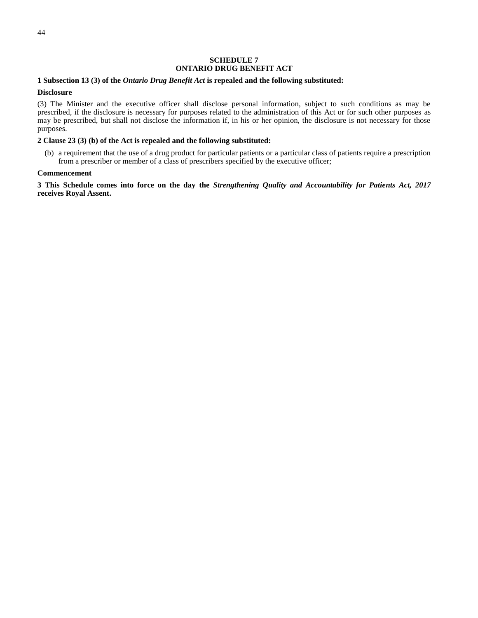### **SCHEDULE 7 ONTARIO DRUG BENEFIT ACT**

### **1 Subsection 13 (3) of the** *Ontario Drug Benefit Act* **is repealed and the following substituted:**

### **Disclosure**

(3) The Minister and the executive officer shall disclose personal information, subject to such conditions as may be prescribed, if the disclosure is necessary for purposes related to the administration of this Act or for such other purposes as may be prescribed, but shall not disclose the information if, in his or her opinion, the disclosure is not necessary for those purposes.

### **2 Clause 23 (3) (b) of the Act is repealed and the following substituted:**

(b) a requirement that the use of a drug product for particular patients or a particular class of patients require a prescription from a prescriber or member of a class of prescribers specified by the executive officer;

#### **Commencement**

**3 This Schedule comes into force on the day the** *Strengthening Quality and Accountability for Patients Act, 2017* **receives Royal Assent.**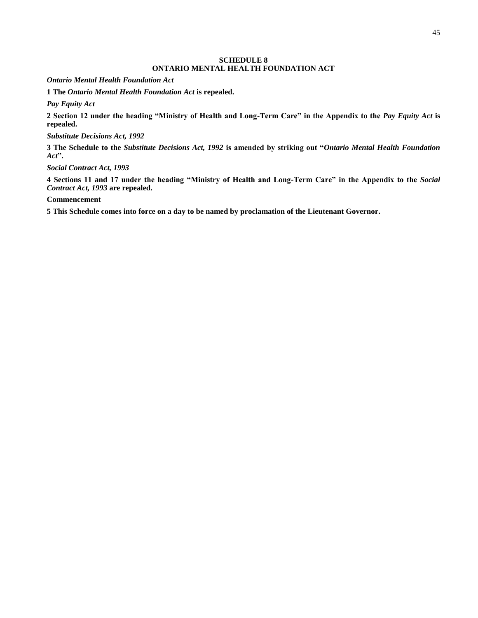### **SCHEDULE 8 ONTARIO MENTAL HEALTH FOUNDATION ACT**

*Ontario Mental Health Foundation Act*

**1 The** *Ontario Mental Health Foundation Act* **is repealed.**

*Pay Equity Act*

**2 Section 12 under the heading "Ministry of Health and Long-Term Care" in the Appendix to the** *Pay Equity Act* **is repealed.**

### *Substitute Decisions Act, 1992*

**3 The Schedule to the** *Substitute Decisions Act, 1992* **is amended by striking out "***Ontario Mental Health Foundation Act***".**

*Social Contract Act, 1993*

**4 Sections 11 and 17 under the heading "Ministry of Health and Long-Term Care" in the Appendix to the** *Social Contract Act, 1993* **are repealed.**

**Commencement**

**5 This Schedule comes into force on a day to be named by proclamation of the Lieutenant Governor.**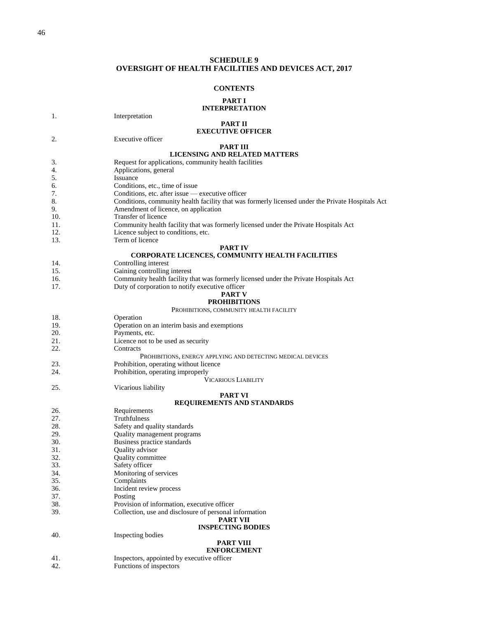### **SCHEDULE 9 OVERSIGHT OF HEALTH FACILITIES AND DEVICES ACT, 2017**

#### **CONTENTS**

#### **[PART I](#page-14-0) INTERPRETATION**

[1.](#page-14-1) Interpretation

### **[PART II](#page-15-0) EXECUTIVE OFFICER**

[2.](#page-15-1) Executive officer **[PART III](#page-16-0)**

### **LICENSING AND RELATED MATTERS**

- [3.](#page-16-1) Request for applications, community health facilities 4. Applications, general
- Applications, general
- [5.](#page-16-3) Issuance
- [6.](#page-17-0) Conditions, etc., time of issue
- [7.](#page-18-0) Conditions, etc. after issue executive officer
- 8. Conditions, community health facility that was formerly licensed under the Private Hospitals Act
- [9.](#page-18-1) Amendment of licence, on application<br>10. Transfer of licence
- Transfer of licence
- 11. Community health facility that was formerly licensed under the Private Hospitals Act
- [12.](#page-19-1) Licence subject to conditions, etc.<br>13. Term of licence
- Term of licence

#### **[PART IV](#page-19-3) CORPORATE LICENCES, COMMUNITY HEALTH FACILITIES**

- [14.](#page-19-4) Controlling interest<br>15. Gaining controlling
- Gaining controlling interest
- 16. Community health facility that was formerly licensed under the Private Hospitals Act
- [17.](#page-20-0) Duty of corporation to notify executive officer **[PART V](#page-20-1)**

### **PROHIBITIONS**

PROHIBITIONS, [COMMUNITY HEALTH FACILITY](#page-21-0)

- [18.](#page-21-1) Operation [19.](#page-60-0) Operation on an interim basis and exemptions
- [20.](#page-60-1) Payments, etc.<br>21. I icence not to
- Licence not to be used as security
- [22.](#page-61-1) Contracts
	- PROHIBITIONS, [ENERGY APPLYING AND DETECTING MEDICAL DEVICES](#page-61-2)
- [23.](#page-61-3) Prohibition, operating without licence
- [24.](#page-61-4) Prohibition, operating improperly

V[ICARIOUS](#page-61-5) LIABILITY

[25.](#page-61-6) Vicarious liability

#### **[PART VI](#page-62-0) REQUIREMENTS AND STANDARDS**

| 26.         | Requirements                                           |
|-------------|--------------------------------------------------------|
| 27.         | Truthfulness                                           |
| 28.         | Safety and quality standards                           |
| 29.         | Quality management programs                            |
| 30.         | Business practice standards                            |
| 31.         | Quality advisor                                        |
| 32.         | Quality committee                                      |
| 33.         | Safety officer                                         |
| 34.         | Monitoring of services                                 |
| 35.         | Complaints                                             |
| 36.         | Incident review process                                |
| 37.         | Posting                                                |
| 38.         | Provision of information, executive officer            |
| 39.         | Collection, use and disclosure of personal information |
|             | <b>PART VII</b>                                        |
|             | <b>INSPECTING BODIES</b>                               |
| 40.         | Inspecting bodies                                      |
|             | <b>PART VIII</b>                                       |
|             | <b>ENFORCEMENT</b>                                     |
| $\Lambda$ 1 | Ingressions, appointed by executive officer            |

[41.](#page-65-1) Inspectors, appointed by executive officer [42.](#page-65-2) Functions of inspectors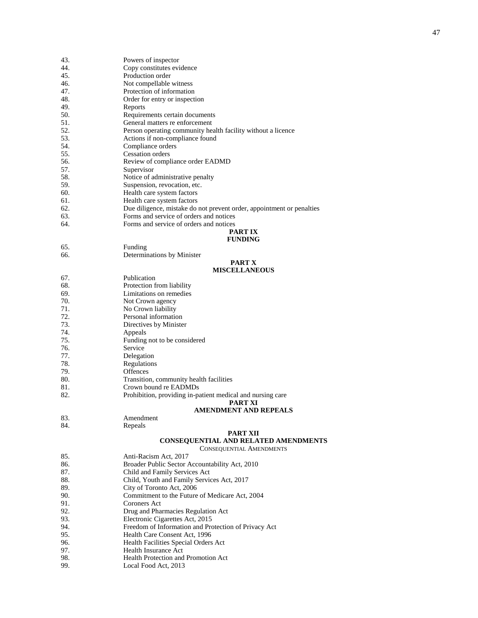| 43. |                                                                       |
|-----|-----------------------------------------------------------------------|
|     | Powers of inspector                                                   |
| 44. | Copy constitutes evidence                                             |
| 45. | Production order                                                      |
| 46. | Not compellable witness                                               |
| 47. | Protection of information                                             |
| 48. | Order for entry or inspection                                         |
| 49. | Reports                                                               |
| 50. | Requirements certain documents                                        |
| 51. | General matters re enforcement                                        |
| 52. | Person operating community health facility without a licence          |
| 53. | Actions if non-compliance found                                       |
| 54. | Compliance orders                                                     |
| 55. | <b>Cessation</b> orders                                               |
|     |                                                                       |
| 56. | Review of compliance order EADMD                                      |
| 57. | Supervisor                                                            |
| 58. | Notice of administrative penalty                                      |
| 59. | Suspension, revocation, etc.                                          |
| 60. | Health care system factors                                            |
| 61. | Health care system factors                                            |
| 62. | Due diligence, mistake do not prevent order, appointment or penalties |
| 63. | Forms and service of orders and notices                               |
| 64. | Forms and service of orders and notices                               |
|     | PART IX                                                               |
|     | <b>FUNDING</b>                                                        |
| 65. | Funding                                                               |
| 66. |                                                                       |
|     | Determinations by Minister                                            |
|     | <b>PART X</b>                                                         |
|     | <b>MISCELLANEOUS</b>                                                  |
| 67. | Publication                                                           |
| 68. | Protection from liability                                             |
| 69. | Limitations on remedies                                               |
| 70. | Not Crown agency                                                      |
| 71. | No Crown liability                                                    |
| 72. | Personal information                                                  |
| 73. | Directives by Minister                                                |
| 74. | Appeals                                                               |
| 75. | Funding not to be considered                                          |
| 76. | Service                                                               |
| 77. | Delegation                                                            |
| 78. | Regulations                                                           |
|     |                                                                       |
| 79. | <b>Offences</b>                                                       |
| 80. | Transition, community health facilities                               |
| 81. | Crown bound re EADMDs                                                 |
| 82. | Prohibition, providing in-patient medical and nursing care            |
|     | <b>PART XI</b>                                                        |
|     | <b>AMENDMENT AND REPEALS</b>                                          |
| 83. | Amendment                                                             |
| 84. | Repeals                                                               |
|     | <b>PART XII</b>                                                       |
|     | <b>CONSEQUENTIAL AND RELATED AMENDMENTS</b>                           |
|     | <b>CONSEQUENTIAL AMENDMENTS</b>                                       |
| 85. | Anti-Racism Act, 2017                                                 |
| 86. | Broader Public Sector Accountability Act, 2010                        |
| 87. | Child and Family Services Act                                         |
| 88. | Child, Youth and Family Services Act, 2017                            |
| 89. | City of Toronto Act, 2006                                             |
| 90. | Commitment to the Future of Medicare Act, 2004                        |
|     |                                                                       |
| 91. | Coroners Act                                                          |
| 92. | Drug and Pharmacies Regulation Act                                    |
| 93. | Electronic Cigarettes Act, 2015                                       |
| 94. | Freedom of Information and Protection of Privacy Act                  |
| 95. | Health Care Consent Act, 1996                                         |
| 96. | Health Facilities Special Orders Act                                  |
| 97. | Health Insurance Act                                                  |
| 98. | Health Protection and Promotion Act                                   |

[99](#page-90-1) . Local Food Act, 2013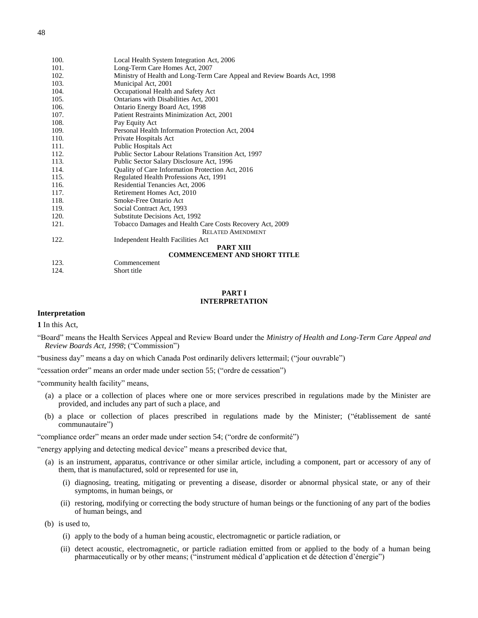| 100. | Local Health System Integration Act, 2006                                |
|------|--------------------------------------------------------------------------|
| 101. | Long-Term Care Homes Act, 2007                                           |
| 102. | Ministry of Health and Long-Term Care Appeal and Review Boards Act, 1998 |
| 103. | Municipal Act, 2001                                                      |
| 104. | Occupational Health and Safety Act                                       |
| 105. | Ontarians with Disabilities Act, 2001                                    |
| 106. | Ontario Energy Board Act, 1998                                           |
| 107. | Patient Restraints Minimization Act, 2001                                |
| 108. | Pay Equity Act                                                           |
| 109. | Personal Health Information Protection Act, 2004                         |
| 110. | Private Hospitals Act                                                    |
| 111. | Public Hospitals Act                                                     |
| 112. | Public Sector Labour Relations Transition Act, 1997                      |
| 113. | Public Sector Salary Disclosure Act, 1996                                |
| 114. | Quality of Care Information Protection Act, 2016                         |
| 115. | Regulated Health Professions Act, 1991                                   |
| 116. | Residential Tenancies Act, 2006                                          |
| 117. | Retirement Homes Act, 2010                                               |
| 118. | Smoke-Free Ontario Act                                                   |
| 119. | Social Contract Act, 1993                                                |
| 120. | Substitute Decisions Act, 1992                                           |
| 121. | Tobacco Damages and Health Care Costs Recovery Act, 2009                 |
|      | <b>RELATED AMENDMENT</b>                                                 |
| 122. | Independent Health Facilities Act                                        |
|      | <b>PART XIII</b><br><b>COMMENCEMENT AND SHORT TITLE</b>                  |

#### **PART I INTERPRETATION**

### **Interpretation**

**1** In this Act,

"Board" means the Health Services Appeal and Review Board under the *Ministry of Health and Long-Term Care Appeal and Review Boards Act, 1998*; ("Commission")

"business day" means a day on which Canada Post ordinarily delivers lettermail; ("jour ouvrable")

"cessation order" means an order made under section 55; ("ordre de cessation")

"community health facility" means,

123. Commencement<br>124. Short title

Short title

- (a) a place or a collection of places where one or more services prescribed in regulations made by the Minister are provided, and includes any part of such a place, and
- (b) a place or collection of places prescribed in regulations made by the Minister; ("établissement de santé communautaire")

"compliance order" means an order made under section 54; ("ordre de conformité")

"energy applying and detecting medical device" means a prescribed device that,

- (a) is an instrument, apparatus, contrivance or other similar article, including a component, part or accessory of any of them, that is manufactured, sold or represented for use in,
	- (i) diagnosing, treating, mitigating or preventing a disease, disorder or abnormal physical state, or any of their symptoms, in human beings, or
	- (ii) restoring, modifying or correcting the body structure of human beings or the functioning of any part of the bodies of human beings, and

(b) is used to,

- (i) apply to the body of a human being acoustic, electromagnetic or particle radiation, or
- (ii) detect acoustic, electromagnetic, or particle radiation emitted from or applied to the body of a human being pharmaceutically or by other means; ("instrument médical d'application et de détection d'énergie")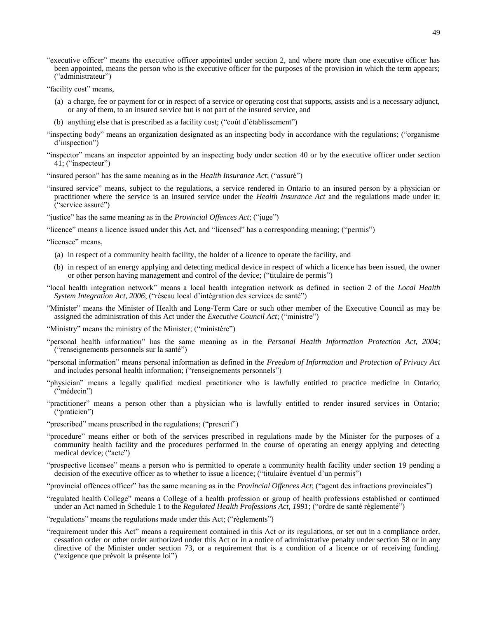- "executive officer" means the executive officer appointed under section 2, and where more than one executive officer has been appointed, means the person who is the executive officer for the purposes of the provision in which the term appears; ("administrateur")
- "facility cost" means,
	- (a) a charge, fee or payment for or in respect of a service or operating cost that supports, assists and is a necessary adjunct, or any of them, to an insured service but is not part of the insured service, and
	- (b) anything else that is prescribed as a facility cost; ("coût d'établissement")
- "inspecting body" means an organization designated as an inspecting body in accordance with the regulations; ("organisme d'inspection")
- "inspector" means an inspector appointed by an inspecting body under section 40 or by the executive officer under section 41; ("inspecteur")

"insured person" has the same meaning as in the *Health Insurance Act*; ("assuré")

"insured service" means, subject to the regulations, a service rendered in Ontario to an insured person by a physician or practitioner where the service is an insured service under the *Health Insurance Act* and the regulations made under it; ("service assuré")

"justice" has the same meaning as in the *Provincial Offences Act*; ("juge")

"licence" means a licence issued under this Act, and "licensed" has a corresponding meaning; ("permis")

"licensee" means,

- (a) in respect of a community health facility, the holder of a licence to operate the facility, and
- (b) in respect of an energy applying and detecting medical device in respect of which a licence has been issued, the owner or other person having management and control of the device; ("titulaire de permis")
- "local health integration network" means a local health integration network as defined in section 2 of the *Local Health System Integration Act, 2006*; ("réseau local d'intégration des services de santé")
- "Minister" means the Minister of Health and Long-Term Care or such other member of the Executive Council as may be assigned the administration of this Act under the *Executive Council Act*; ("ministre")

"Ministry" means the ministry of the Minister; ("ministère")

- "personal health information" has the same meaning as in the *Personal Health Information Protection Act, 2004*; ("renseignements personnels sur la santé")
- "personal information" means personal information as defined in the *Freedom of Information and Protection of Privacy Act* and includes personal health information; ("renseignements personnels")
- "physician" means a legally qualified medical practitioner who is lawfully entitled to practice medicine in Ontario; ("médecin")
- "practitioner" means a person other than a physician who is lawfully entitled to render insured services in Ontario; ("praticien")
- "prescribed" means prescribed in the regulations; ("prescrit")
- "procedure" means either or both of the services prescribed in regulations made by the Minister for the purposes of a community health facility and the procedures performed in the course of operating an energy applying and detecting medical device; ("acte")
- "prospective licensee" means a person who is permitted to operate a community health facility under section 19 pending a decision of the executive officer as to whether to issue a licence; ("titulaire éventuel d'un permis")

"provincial offences officer" has the same meaning as in the *Provincial Offences Act*; ("agent des infractions provinciales")

- "regulated health College" means a College of a health profession or group of health professions established or continued under an Act named in Schedule 1 to the *Regulated Health Professions Act, 1991*; ("ordre de santé réglementé")
- "regulations" means the regulations made under this Act; ("règlements")
- "requirement under this Act" means a requirement contained in this Act or its regulations, or set out in a compliance order, cessation order or other order authorized under this Act or in a notice of administrative penalty under section 58 or in any directive of the Minister under section 73, or a requirement that is a condition of a licence or of receiving funding. ("exigence que prévoit la présente loi")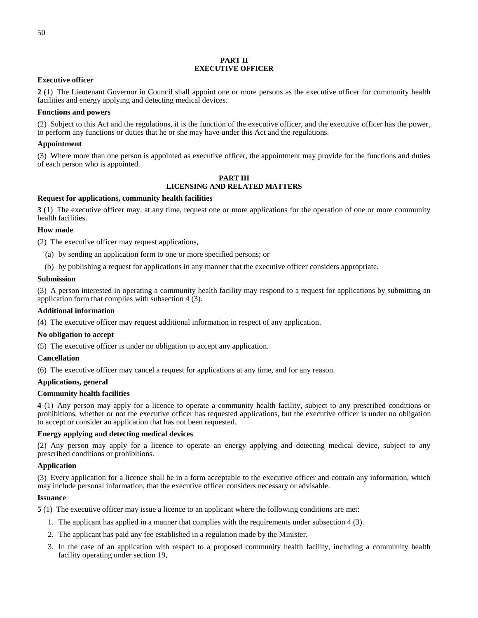### **PART II EXECUTIVE OFFICER**

### **Executive officer**

**2** (1) The Lieutenant Governor in Council shall appoint one or more persons as the executive officer for community health facilities and energy applying and detecting medical devices.

## **Functions and powers**

(2) Subject to this Act and the regulations, it is the function of the executive officer, and the executive officer has the power, to perform any functions or duties that he or she may have under this Act and the regulations.

## **Appointment**

(3) Where more than one person is appointed as executive officer, the appointment may provide for the functions and duties of each person who is appointed.

### **PART III LICENSING AND RELATED MATTERS**

## **Request for applications, community health facilities**

**3** (1) The executive officer may, at any time, request one or more applications for the operation of one or more community health facilities.

### **How made**

(2) The executive officer may request applications,

- (a) by sending an application form to one or more specified persons; or
- (b) by publishing a request for applications in any manner that the executive officer considers appropriate.

### **Submission**

(3) A person interested in operating a community health facility may respond to a request for applications by submitting an application form that complies with subsection 4 (3).

### **Additional information**

(4) The executive officer may request additional information in respect of any application.

### **No obligation to accept**

(5) The executive officer is under no obligation to accept any application.

# **Cancellation**

(6) The executive officer may cancel a request for applications at any time, and for any reason.

# **Applications, general**

### **Community health facilities**

**4** (1) Any person may apply for a licence to operate a community health facility, subject to any prescribed conditions or prohibitions, whether or not the executive officer has requested applications, but the executive officer is under no obligation to accept or consider an application that has not been requested.

### **Energy applying and detecting medical devices**

(2) Any person may apply for a licence to operate an energy applying and detecting medical device, subject to any prescribed conditions or prohibitions.

### **Application**

(3) Every application for a licence shall be in a form acceptable to the executive officer and contain any information, which may include personal information, that the executive officer considers necessary or advisable.

### **Issuance**

**5** (1) The executive officer may issue a licence to an applicant where the following conditions are met:

- 1. The applicant has applied in a manner that complies with the requirements under subsection 4 (3).
- 2. The applicant has paid any fee established in a regulation made by the Minister.
- 3. In the case of an application with respect to a proposed community health facility, including a community health facility operating under section 19,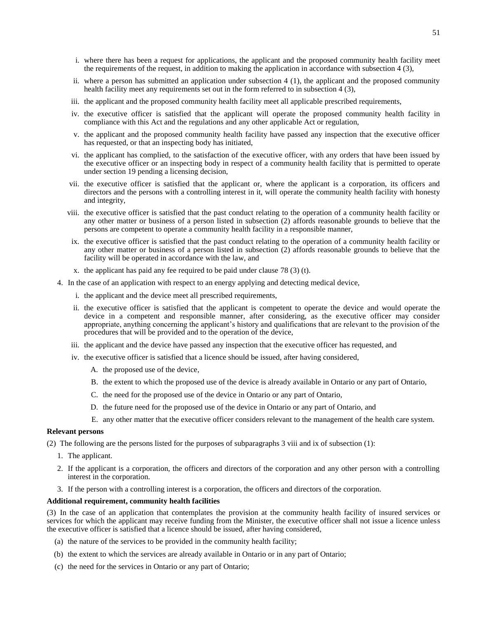- i. where there has been a request for applications, the applicant and the proposed community health facility meet the requirements of the request, in addition to making the application in accordance with subsection 4 (3),
- ii. where a person has submitted an application under subsection 4 (1), the applicant and the proposed community health facility meet any requirements set out in the form referred to in subsection 4 (3),
- iii. the applicant and the proposed community health facility meet all applicable prescribed requirements,
- iv. the executive officer is satisfied that the applicant will operate the proposed community health facility in compliance with this Act and the regulations and any other applicable Act or regulation,
- v. the applicant and the proposed community health facility have passed any inspection that the executive officer has requested, or that an inspecting body has initiated,
- vi. the applicant has complied, to the satisfaction of the executive officer, with any orders that have been issued by the executive officer or an inspecting body in respect of a community health facility that is permitted to operate under section 19 pending a licensing decision,
- vii. the executive officer is satisfied that the applicant or, where the applicant is a corporation, its officers and directors and the persons with a controlling interest in it, will operate the community health facility with honesty and integrity,
- viii. the executive officer is satisfied that the past conduct relating to the operation of a community health facility or any other matter or business of a person listed in subsection (2) affords reasonable grounds to believe that the persons are competent to operate a community health facility in a responsible manner,
- ix. the executive officer is satisfied that the past conduct relating to the operation of a community health facility or any other matter or business of a person listed in subsection (2) affords reasonable grounds to believe that the facility will be operated in accordance with the law, and
- x. the applicant has paid any fee required to be paid under clause 78 (3) (t).
- 4. In the case of an application with respect to an energy applying and detecting medical device,
	- i. the applicant and the device meet all prescribed requirements,
	- ii. the executive officer is satisfied that the applicant is competent to operate the device and would operate the device in a competent and responsible manner, after considering, as the executive officer may consider appropriate, anything concerning the applicant's history and qualifications that are relevant to the provision of the procedures that will be provided and to the operation of the device,
	- iii. the applicant and the device have passed any inspection that the executive officer has requested, and
	- iv. the executive officer is satisfied that a licence should be issued, after having considered,
		- A. the proposed use of the device,
		- B. the extent to which the proposed use of the device is already available in Ontario or any part of Ontario,
		- C. the need for the proposed use of the device in Ontario or any part of Ontario,
		- D. the future need for the proposed use of the device in Ontario or any part of Ontario, and
		- E. any other matter that the executive officer considers relevant to the management of the health care system.

#### **Relevant persons**

(2) The following are the persons listed for the purposes of subparagraphs 3 viii and ix of subsection (1):

- 1. The applicant.
- 2. If the applicant is a corporation, the officers and directors of the corporation and any other person with a controlling interest in the corporation.
- 3. If the person with a controlling interest is a corporation, the officers and directors of the corporation.

#### **Additional requirement, community health facilities**

(3) In the case of an application that contemplates the provision at the community health facility of insured services or services for which the applicant may receive funding from the Minister, the executive officer shall not issue a licence unless the executive officer is satisfied that a licence should be issued, after having considered,

- (a) the nature of the services to be provided in the community health facility;
- (b) the extent to which the services are already available in Ontario or in any part of Ontario;
- (c) the need for the services in Ontario or any part of Ontario;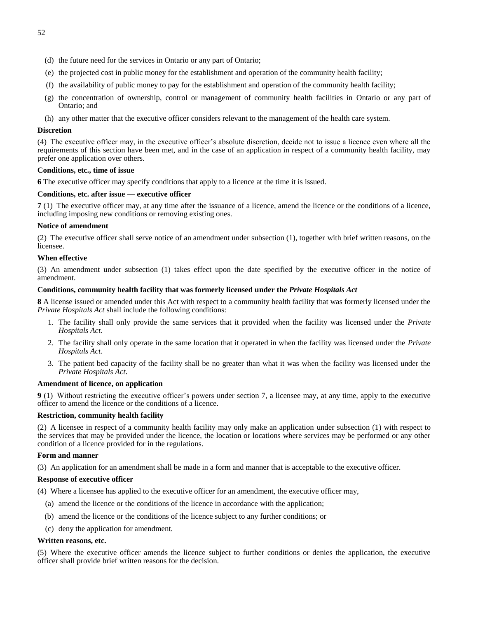- (d) the future need for the services in Ontario or any part of Ontario;
- (e) the projected cost in public money for the establishment and operation of the community health facility;
- (f) the availability of public money to pay for the establishment and operation of the community health facility;
- (g) the concentration of ownership, control or management of community health facilities in Ontario or any part of Ontario; and
- (h) any other matter that the executive officer considers relevant to the management of the health care system.

### **Discretion**

(4) The executive officer may, in the executive officer's absolute discretion, decide not to issue a licence even where all the requirements of this section have been met, and in the case of an application in respect of a community health facility, may prefer one application over others.

### **Conditions, etc., time of issue**

**6** The executive officer may specify conditions that apply to a licence at the time it is issued.

### **Conditions, etc. after issue — executive officer**

**7** (1) The executive officer may, at any time after the issuance of a licence, amend the licence or the conditions of a licence, including imposing new conditions or removing existing ones.

### **Notice of amendment**

(2) The executive officer shall serve notice of an amendment under subsection (1), together with brief written reasons, on the licensee.

### **When effective**

(3) An amendment under subsection (1) takes effect upon the date specified by the executive officer in the notice of amendment.

### **Conditions, community health facility that was formerly licensed under the** *Private Hospitals Act*

**8** A license issued or amended under this Act with respect to a community health facility that was formerly licensed under the *Private Hospitals Act* shall include the following conditions:

- 1. The facility shall only provide the same services that it provided when the facility was licensed under the *Private Hospitals Act*.
- 2. The facility shall only operate in the same location that it operated in when the facility was licensed under the *Private Hospitals Act*.
- 3. The patient bed capacity of the facility shall be no greater than what it was when the facility was licensed under the *Private Hospitals Act*.

### **Amendment of licence, on application**

**9** (1) Without restricting the executive officer's powers under section 7, a licensee may, at any time, apply to the executive officer to amend the licence or the conditions of a licence.

### **Restriction, community health facility**

(2) A licensee in respect of a community health facility may only make an application under subsection (1) with respect to the services that may be provided under the licence, the location or locations where services may be performed or any other condition of a licence provided for in the regulations.

### **Form and manner**

(3) An application for an amendment shall be made in a form and manner that is acceptable to the executive officer.

### **Response of executive officer**

(4) Where a licensee has applied to the executive officer for an amendment, the executive officer may,

- (a) amend the licence or the conditions of the licence in accordance with the application;
- (b) amend the licence or the conditions of the licence subject to any further conditions; or
- (c) deny the application for amendment.

### **Written reasons, etc.**

(5) Where the executive officer amends the licence subject to further conditions or denies the application, the executive officer shall provide brief written reasons for the decision.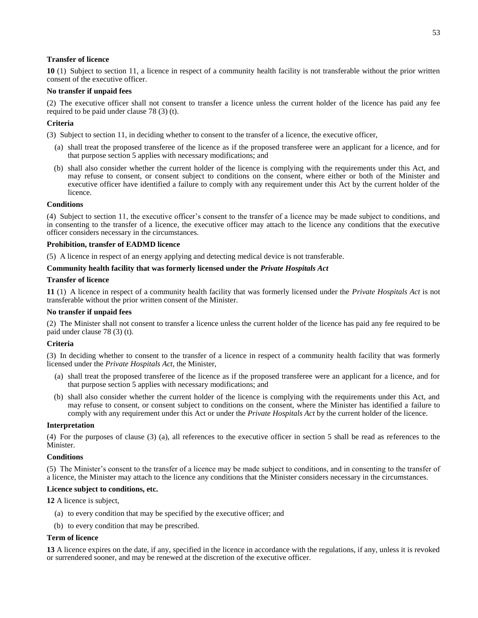### **Transfer of licence**

**10** (1) Subject to section 11, a licence in respect of a community health facility is not transferable without the prior written consent of the executive officer.

### **No transfer if unpaid fees**

(2) The executive officer shall not consent to transfer a licence unless the current holder of the licence has paid any fee required to be paid under clause 78 (3) (t).

## **Criteria**

(3) Subject to section 11, in deciding whether to consent to the transfer of a licence, the executive officer,

- (a) shall treat the proposed transferee of the licence as if the proposed transferee were an applicant for a licence, and for that purpose section 5 applies with necessary modifications; and
- (b) shall also consider whether the current holder of the licence is complying with the requirements under this Act, and may refuse to consent, or consent subject to conditions on the consent, where either or both of the Minister and executive officer have identified a failure to comply with any requirement under this Act by the current holder of the licence.

### **Conditions**

(4) Subject to section 11, the executive officer's consent to the transfer of a licence may be made subject to conditions, and in consenting to the transfer of a licence, the executive officer may attach to the licence any conditions that the executive officer considers necessary in the circumstances.

### **Prohibition, transfer of EADMD licence**

(5) A licence in respect of an energy applying and detecting medical device is not transferable.

### **Community health facility that was formerly licensed under the** *Private Hospitals Act*

### **Transfer of licence**

**11** (1) A licence in respect of a community health facility that was formerly licensed under the *Private Hospitals Act* is not transferable without the prior written consent of the Minister.

### **No transfer if unpaid fees**

(2) The Minister shall not consent to transfer a licence unless the current holder of the licence has paid any fee required to be paid under clause 78 (3) (t).

### **Criteria**

(3) In deciding whether to consent to the transfer of a licence in respect of a community health facility that was formerly licensed under the *Private Hospitals Act*, the Minister,

- (a) shall treat the proposed transferee of the licence as if the proposed transferee were an applicant for a licence, and for that purpose section 5 applies with necessary modifications; and
- (b) shall also consider whether the current holder of the licence is complying with the requirements under this Act, and may refuse to consent, or consent subject to conditions on the consent, where the Minister has identified a failure to comply with any requirement under this Act or under the *Private Hospitals Act* by the current holder of the licence.

### **Interpretation**

(4) For the purposes of clause (3) (a), all references to the executive officer in section 5 shall be read as references to the Minister.

### **Conditions**

(5) The Minister's consent to the transfer of a licence may be made subject to conditions, and in consenting to the transfer of a licence, the Minister may attach to the licence any conditions that the Minister considers necessary in the circumstances.

### **Licence subject to conditions, etc.**

**12** A licence is subject,

- (a) to every condition that may be specified by the executive officer; and
- (b) to every condition that may be prescribed.

### **Term of licence**

**13** A licence expires on the date, if any, specified in the licence in accordance with the regulations, if any, unless it is revoked or surrendered sooner, and may be renewed at the discretion of the executive officer.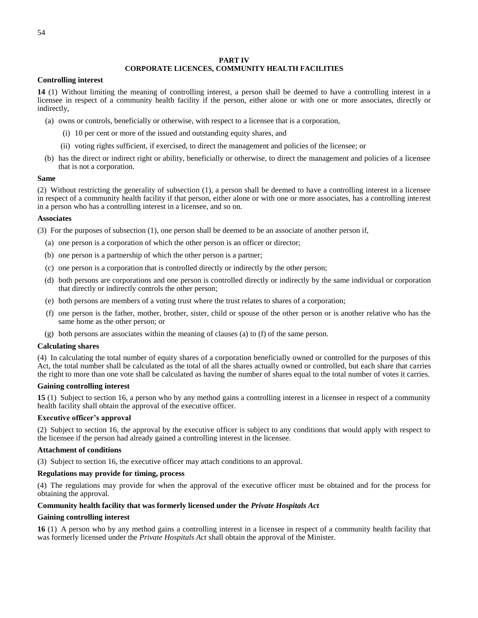#### **PART IV**

# **CORPORATE LICENCES, COMMUNITY HEALTH FACILITIES**

### **Controlling interest**

**14** (1) Without limiting the meaning of controlling interest, a person shall be deemed to have a controlling interest in a licensee in respect of a community health facility if the person, either alone or with one or more associates, directly or indirectly,

- (a) owns or controls, beneficially or otherwise, with respect to a licensee that is a corporation,
	- (i) 10 per cent or more of the issued and outstanding equity shares, and
	- (ii) voting rights sufficient, if exercised, to direct the management and policies of the licensee; or
- (b) has the direct or indirect right or ability, beneficially or otherwise, to direct the management and policies of a licensee that is not a corporation.

#### **Same**

(2) Without restricting the generality of subsection (1), a person shall be deemed to have a controlling interest in a licensee in respect of a community health facility if that person, either alone or with one or more associates, has a controlling interest in a person who has a controlling interest in a licensee, and so on.

### **Associates**

(3) For the purposes of subsection (1), one person shall be deemed to be an associate of another person if,

- (a) one person is a corporation of which the other person is an officer or director;
- (b) one person is a partnership of which the other person is a partner;
- (c) one person is a corporation that is controlled directly or indirectly by the other person;
- (d) both persons are corporations and one person is controlled directly or indirectly by the same individual or corporation that directly or indirectly controls the other person;
- (e) both persons are members of a voting trust where the trust relates to shares of a corporation;
- (f) one person is the father, mother, brother, sister, child or spouse of the other person or is another relative who has the same home as the other person; or
- $(g)$  both persons are associates within the meaning of clauses (a) to (f) of the same person.

#### **Calculating shares**

(4) In calculating the total number of equity shares of a corporation beneficially owned or controlled for the purposes of this Act, the total number shall be calculated as the total of all the shares actually owned or controlled, but each share that carries the right to more than one vote shall be calculated as having the number of shares equal to the total number of votes it carries.

### **Gaining controlling interest**

**15** (1) Subject to section 16, a person who by any method gains a controlling interest in a licensee in respect of a community health facility shall obtain the approval of the executive officer.

#### **Executive officer's approval**

(2) Subject to section 16, the approval by the executive officer is subject to any conditions that would apply with respect to the licensee if the person had already gained a controlling interest in the licensee.

#### **Attachment of conditions**

(3) Subject to section 16, the executive officer may attach conditions to an approval.

### **Regulations may provide for timing, process**

(4) The regulations may provide for when the approval of the executive officer must be obtained and for the process for obtaining the approval.

#### **Community health facility that was formerly licensed under the** *Private Hospitals Act*

#### **Gaining controlling interest**

**16** (1) A person who by any method gains a controlling interest in a licensee in respect of a community health facility that was formerly licensed under the *Private Hospitals Act* shall obtain the approval of the Minister.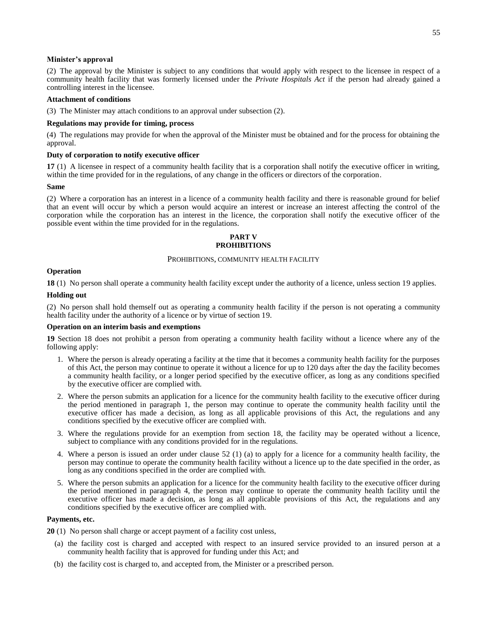#### **Minister's approval**

(2) The approval by the Minister is subject to any conditions that would apply with respect to the licensee in respect of a community health facility that was formerly licensed under the *Private Hospitals Act* if the person had already gained a controlling interest in the licensee.

#### **Attachment of conditions**

(3) The Minister may attach conditions to an approval under subsection (2).

#### **Regulations may provide for timing, process**

(4) The regulations may provide for when the approval of the Minister must be obtained and for the process for obtaining the approval.

#### **Duty of corporation to notify executive officer**

**17** (1) A licensee in respect of a community health facility that is a corporation shall notify the executive officer in writing, within the time provided for in the regulations, of any change in the officers or directors of the corporation.

#### **Same**

(2) Where a corporation has an interest in a licence of a community health facility and there is reasonable ground for belief that an event will occur by which a person would acquire an interest or increase an interest affecting the control of the corporation while the corporation has an interest in the licence, the corporation shall notify the executive officer of the possible event within the time provided for in the regulations.

### **PART V PROHIBITIONS**

#### PROHIBITIONS, COMMUNITY HEALTH FACILITY

### **Operation**

**18** (1) No person shall operate a community health facility except under the authority of a licence, unless section 19 applies.

### **Holding out**

(2) No person shall hold themself out as operating a community health facility if the person is not operating a community health facility under the authority of a licence or by virtue of section 19.

#### **Operation on an interim basis and exemptions**

<span id="page-60-0"></span>**19** Section 18 does not prohibit a person from operating a community health facility without a licence where any of the following apply:

- 1. Where the person is already operating a facility at the time that it becomes a community health facility for the purposes of this Act, the person may continue to operate it without a licence for up to 120 days after the day the facility becomes a community health facility, or a longer period specified by the executive officer, as long as any conditions specified by the executive officer are complied with.
- 2. Where the person submits an application for a licence for the community health facility to the executive officer during the period mentioned in paragraph 1, the person may continue to operate the community health facility until the executive officer has made a decision, as long as all applicable provisions of this Act, the regulations and any conditions specified by the executive officer are complied with.
- 3. Where the regulations provide for an exemption from section 18, the facility may be operated without a licence, subject to compliance with any conditions provided for in the regulations.
- 4. Where a person is issued an order under clause 52 (1) (a) to apply for a licence for a community health facility, the person may continue to operate the community health facility without a licence up to the date specified in the order, as long as any conditions specified in the order are complied with.
- 5. Where the person submits an application for a licence for the community health facility to the executive officer during the period mentioned in paragraph 4, the person may continue to operate the community health facility until the executive officer has made a decision, as long as all applicable provisions of this Act, the regulations and any conditions specified by the executive officer are complied with.

### **Payments, etc.**

<span id="page-60-1"></span>**20** (1) No person shall charge or accept payment of a facility cost unless,

- (a) the facility cost is charged and accepted with respect to an insured service provided to an insured person at a community health facility that is approved for funding under this Act; and
- (b) the facility cost is charged to, and accepted from, the Minister or a prescribed person.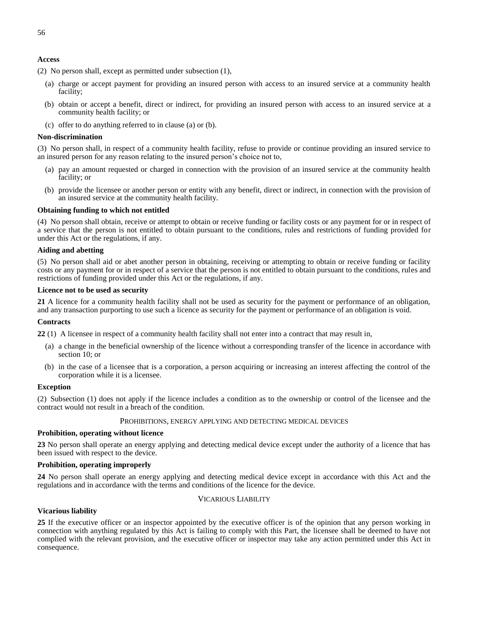### **Access**

(2) No person shall, except as permitted under subsection (1),

- (a) charge or accept payment for providing an insured person with access to an insured service at a community health facility;
- (b) obtain or accept a benefit, direct or indirect, for providing an insured person with access to an insured service at a community health facility; or
- (c) offer to do anything referred to in clause (a) or (b).

#### **Non-discrimination**

(3) No person shall, in respect of a community health facility, refuse to provide or continue providing an insured service to an insured person for any reason relating to the insured person's choice not to,

- (a) pay an amount requested or charged in connection with the provision of an insured service at the community health facility; or
- (b) provide the licensee or another person or entity with any benefit, direct or indirect, in connection with the provision of an insured service at the community health facility.

#### **Obtaining funding to which not entitled**

(4) No person shall obtain, receive or attempt to obtain or receive funding or facility costs or any payment for or in respect of a service that the person is not entitled to obtain pursuant to the conditions, rules and restrictions of funding provided for under this Act or the regulations, if any.

### **Aiding and abetting**

(5) No person shall aid or abet another person in obtaining, receiving or attempting to obtain or receive funding or facility costs or any payment for or in respect of a service that the person is not entitled to obtain pursuant to the conditions, rules and restrictions of funding provided under this Act or the regulations, if any.

#### **Licence not to be used as security**

<span id="page-61-0"></span>**21** A licence for a community health facility shall not be used as security for the payment or performance of an obligation, and any transaction purporting to use such a licence as security for the payment or performance of an obligation is void.

#### **Contracts**

<span id="page-61-1"></span>**22** (1) A licensee in respect of a community health facility shall not enter into a contract that may result in,

- (a) a change in the beneficial ownership of the licence without a corresponding transfer of the licence in accordance with section 10; or
- (b) in the case of a licensee that is a corporation, a person acquiring or increasing an interest affecting the control of the corporation while it is a licensee.

### **Exception**

<span id="page-61-2"></span>(2) Subsection (1) does not apply if the licence includes a condition as to the ownership or control of the licensee and the contract would not result in a breach of the condition.

# PROHIBITIONS, ENERGY APPLYING AND DETECTING MEDICAL DEVICES

#### **Prohibition, operating without licence**

<span id="page-61-3"></span>**23** No person shall operate an energy applying and detecting medical device except under the authority of a licence that has been issued with respect to the device.

#### **Prohibition, operating improperly**

<span id="page-61-5"></span><span id="page-61-4"></span>**24** No person shall operate an energy applying and detecting medical device except in accordance with this Act and the regulations and in accordance with the terms and conditions of the licence for the device.

## VICARIOUS LIABILITY

#### **Vicarious liability**

<span id="page-61-6"></span>**25** If the executive officer or an inspector appointed by the executive officer is of the opinion that any person working in connection with anything regulated by this Act is failing to comply with this Part, the licensee shall be deemed to have not complied with the relevant provision, and the executive officer or inspector may take any action permitted under this Act in consequence.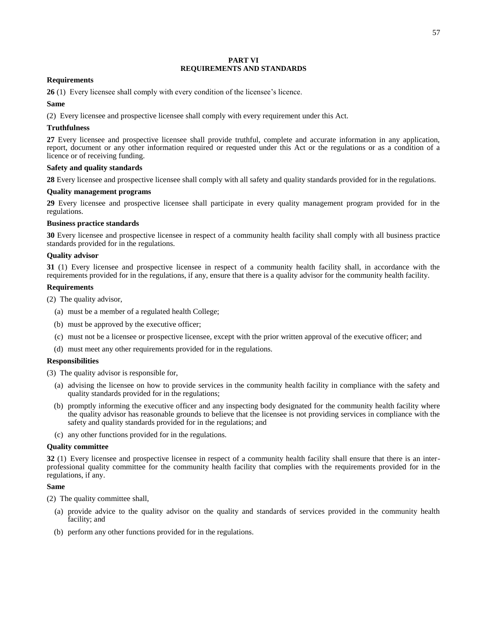### **PART VI REQUIREMENTS AND STANDARDS**

### <span id="page-62-0"></span>**Requirements**

<span id="page-62-1"></span>**26** (1) Every licensee shall comply with every condition of the licensee's licence.

## **Same**

(2) Every licensee and prospective licensee shall comply with every requirement under this Act.

## **Truthfulness**

<span id="page-62-2"></span>**27** Every licensee and prospective licensee shall provide truthful, complete and accurate information in any application, report, document or any other information required or requested under this Act or the regulations or as a condition of a licence or of receiving funding.

## **Safety and quality standards**

<span id="page-62-3"></span>**28** Every licensee and prospective licensee shall comply with all safety and quality standards provided for in the regulations.

## **Quality management programs**

<span id="page-62-4"></span>**29** Every licensee and prospective licensee shall participate in every quality management program provided for in the regulations.

## **Business practice standards**

<span id="page-62-5"></span>**30** Every licensee and prospective licensee in respect of a community health facility shall comply with all business practice standards provided for in the regulations.

## **Quality advisor**

<span id="page-62-6"></span>**31** (1) Every licensee and prospective licensee in respect of a community health facility shall, in accordance with the requirements provided for in the regulations, if any, ensure that there is a quality advisor for the community health facility.

## **Requirements**

(2) The quality advisor,

- (a) must be a member of a regulated health College;
- (b) must be approved by the executive officer;
- (c) must not be a licensee or prospective licensee, except with the prior written approval of the executive officer; and
- (d) must meet any other requirements provided for in the regulations.

### **Responsibilities**

(3) The quality advisor is responsible for,

- (a) advising the licensee on how to provide services in the community health facility in compliance with the safety and quality standards provided for in the regulations;
- (b) promptly informing the executive officer and any inspecting body designated for the community health facility where the quality advisor has reasonable grounds to believe that the licensee is not providing services in compliance with the safety and quality standards provided for in the regulations; and
- (c) any other functions provided for in the regulations.

### **Quality committee**

<span id="page-62-7"></span>**32** (1) Every licensee and prospective licensee in respect of a community health facility shall ensure that there is an interprofessional quality committee for the community health facility that complies with the requirements provided for in the regulations, if any.

### **Same**

(2) The quality committee shall,

- (a) provide advice to the quality advisor on the quality and standards of services provided in the community health facility; and
- (b) perform any other functions provided for in the regulations.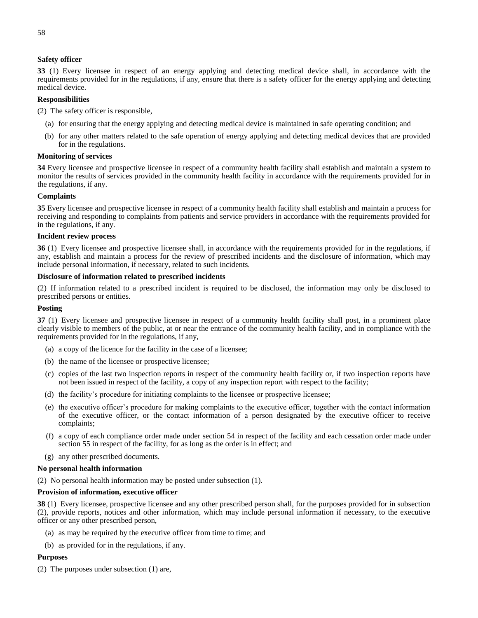### **Safety officer**

<span id="page-63-0"></span>**33** (1) Every licensee in respect of an energy applying and detecting medical device shall, in accordance with the requirements provided for in the regulations, if any, ensure that there is a safety officer for the energy applying and detecting medical device.

## **Responsibilities**

(2) The safety officer is responsible,

- (a) for ensuring that the energy applying and detecting medical device is maintained in safe operating condition; and
- (b) for any other matters related to the safe operation of energy applying and detecting medical devices that are provided for in the regulations.

#### **Monitoring of services**

<span id="page-63-1"></span>**34** Every licensee and prospective licensee in respect of a community health facility shall establish and maintain a system to monitor the results of services provided in the community health facility in accordance with the requirements provided for in the regulations, if any.

### **Complaints**

<span id="page-63-2"></span>**35** Every licensee and prospective licensee in respect of a community health facility shall establish and maintain a process for receiving and responding to complaints from patients and service providers in accordance with the requirements provided for in the regulations, if any.

#### <span id="page-63-3"></span>**Incident review process**

**36** (1) Every licensee and prospective licensee shall, in accordance with the requirements provided for in the regulations, if any, establish and maintain a process for the review of prescribed incidents and the disclosure of information, which may include personal information, if necessary, related to such incidents.

### **Disclosure of information related to prescribed incidents**

(2) If information related to a prescribed incident is required to be disclosed, the information may only be disclosed to prescribed persons or entities.

### **Posting**

<span id="page-63-4"></span>**37** (1) Every licensee and prospective licensee in respect of a community health facility shall post, in a prominent place clearly visible to members of the public, at or near the entrance of the community health facility, and in compliance with the requirements provided for in the regulations, if any,

- (a) a copy of the licence for the facility in the case of a licensee;
- (b) the name of the licensee or prospective licensee;
- (c) copies of the last two inspection reports in respect of the community health facility or, if two inspection reports have not been issued in respect of the facility, a copy of any inspection report with respect to the facility;
- (d) the facility's procedure for initiating complaints to the licensee or prospective licensee;
- (e) the executive officer's procedure for making complaints to the executive officer, together with the contact information of the executive officer, or the contact information of a person designated by the executive officer to receive complaints;
- (f) a copy of each compliance order made under section 54 in respect of the facility and each cessation order made under section 55 in respect of the facility, for as long as the order is in effect; and
- (g) any other prescribed documents.

#### **No personal health information**

(2) No personal health information may be posted under subsection (1).

### **Provision of information, executive officer**

<span id="page-63-5"></span>**38** (1) Every licensee, prospective licensee and any other prescribed person shall, for the purposes provided for in subsection (2), provide reports, notices and other information, which may include personal information if necessary, to the executive officer or any other prescribed person,

- (a) as may be required by the executive officer from time to time; and
- (b) as provided for in the regulations, if any.

#### **Purposes**

(2) The purposes under subsection (1) are,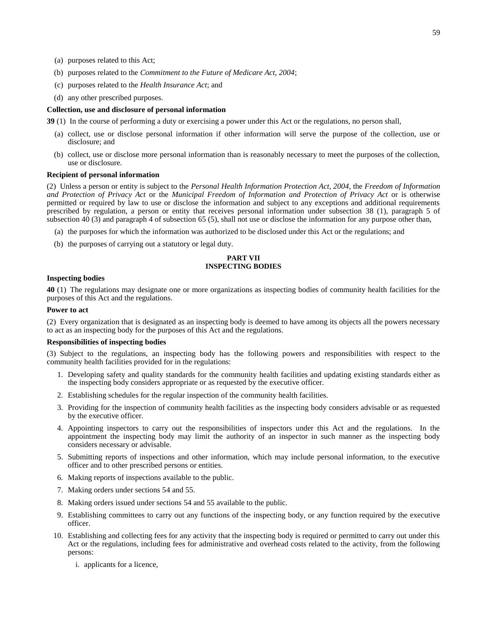- (b) purposes related to the *Commitment to the Future of Medicare Act, 2004*;
- (c) purposes related to the *Health Insurance Act*; and
- (d) any other prescribed purposes.

#### **Collection, use and disclosure of personal information**

**39** (1) In the course of performing a duty or exercising a power under this Act or the regulations, no person shall,

- (a) collect, use or disclose personal information if other information will serve the purpose of the collection, use or disclosure; and
- (b) collect, use or disclose more personal information than is reasonably necessary to meet the purposes of the collection, use or disclosure.

### **Recipient of personal information**

(2) Unless a person or entity is subject to the *Personal Health Information Protection Act, 2004*, the *Freedom of Information and Protection of Privacy Act* or the *Municipal Freedom of Information and Protection of Privacy Act* or is otherwise permitted or required by law to use or disclose the information and subject to any exceptions and additional requirements prescribed by regulation, a person or entity that receives personal information under subsection 38 (1), paragraph 5 of subsection 40 (3) and paragraph 4 of subsection 65 (5), shall not use or disclose the information for any purpose other than,

- (a) the purposes for which the information was authorized to be disclosed under this Act or the regulations; and
- <span id="page-64-0"></span>(b) the purposes of carrying out a statutory or legal duty.

### **PART VII INSPECTING BODIES**

#### **Inspecting bodies**

<span id="page-64-1"></span>**40** (1) The regulations may designate one or more organizations as inspecting bodies of community health facilities for the purposes of this Act and the regulations.

#### **Power to act**

(2) Every organization that is designated as an inspecting body is deemed to have among its objects all the powers necessary to act as an inspecting body for the purposes of this Act and the regulations.

### **Responsibilities of inspecting bodies**

(3) Subject to the regulations, an inspecting body has the following powers and responsibilities with respect to the community health facilities provided for in the regulations:

- 1. Developing safety and quality standards for the community health facilities and updating existing standards either as the inspecting body considers appropriate or as requested by the executive officer.
- 2. Establishing schedules for the regular inspection of the community health facilities.
- 3. Providing for the inspection of community health facilities as the inspecting body considers advisable or as requested by the executive officer.
- 4. Appointing inspectors to carry out the responsibilities of inspectors under this Act and the regulations. In the appointment the inspecting body may limit the authority of an inspector in such manner as the inspecting body considers necessary or advisable.
- 5. Submitting reports of inspections and other information, which may include personal information, to the executive officer and to other prescribed persons or entities.
- 6. Making reports of inspections available to the public.
- 7. Making orders under sections 54 and 55.
- 8. Making orders issued under sections 54 and 55 available to the public.
- 9. Establishing committees to carry out any functions of the inspecting body, or any function required by the executive officer.
- 10. Establishing and collecting fees for any activity that the inspecting body is required or permitted to carry out under this Act or the regulations, including fees for administrative and overhead costs related to the activity, from the following persons:
	- i. applicants for a licence,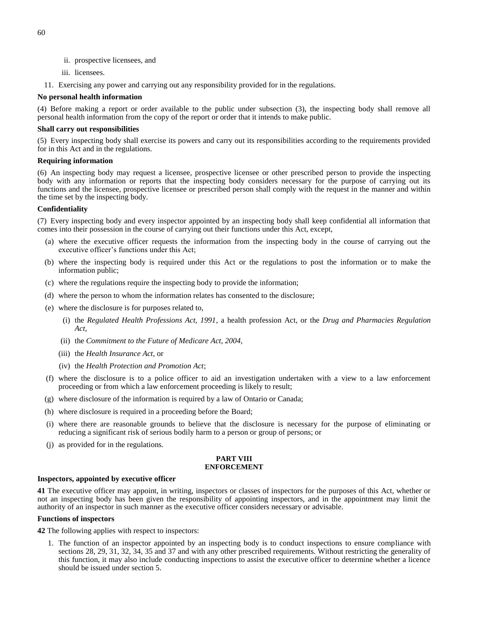- ii. prospective licensees, and
- iii. licensees.
- 11. Exercising any power and carrying out any responsibility provided for in the regulations.

### **No personal health information**

(4) Before making a report or order available to the public under subsection (3), the inspecting body shall remove all personal health information from the copy of the report or order that it intends to make public.

#### **Shall carry out responsibilities**

(5) Every inspecting body shall exercise its powers and carry out its responsibilities according to the requirements provided for in this Act and in the regulations.

#### **Requiring information**

(6) An inspecting body may request a licensee, prospective licensee or other prescribed person to provide the inspecting body with any information or reports that the inspecting body considers necessary for the purpose of carrying out its functions and the licensee, prospective licensee or prescribed person shall comply with the request in the manner and within the time set by the inspecting body.

### **Confidentiality**

(7) Every inspecting body and every inspector appointed by an inspecting body shall keep confidential all information that comes into their possession in the course of carrying out their functions under this Act, except,

- (a) where the executive officer requests the information from the inspecting body in the course of carrying out the executive officer's functions under this Act;
- (b) where the inspecting body is required under this Act or the regulations to post the information or to make the information public;
- (c) where the regulations require the inspecting body to provide the information;
- (d) where the person to whom the information relates has consented to the disclosure;
- (e) where the disclosure is for purposes related to,
	- (i) the *Regulated Health Professions Act, 1991*, a health profession Act, or the *Drug and Pharmacies Regulation Act*,
	- (ii) the *Commitment to the Future of Medicare Act, 2004*,
	- (iii) the *Health Insurance Act*, or
	- (iv) the *Health Protection and Promotion Act*;
- (f) where the disclosure is to a police officer to aid an investigation undertaken with a view to a law enforcement proceeding or from which a law enforcement proceeding is likely to result;
- (g) where disclosure of the information is required by a law of Ontario or Canada;
- (h) where disclosure is required in a proceeding before the Board;
- (i) where there are reasonable grounds to believe that the disclosure is necessary for the purpose of eliminating or reducing a significant risk of serious bodily harm to a person or group of persons; or
- <span id="page-65-0"></span>(j) as provided for in the regulations.

#### **PART VIII ENFORCEMENT**

### **Inspectors, appointed by executive officer**

<span id="page-65-1"></span>**41** The executive officer may appoint, in writing, inspectors or classes of inspectors for the purposes of this Act, whether or not an inspecting body has been given the responsibility of appointing inspectors, and in the appointment may limit the authority of an inspector in such manner as the executive officer considers necessary or advisable.

#### **Functions of inspectors**

<span id="page-65-2"></span>**42** The following applies with respect to inspectors:

1. The function of an inspector appointed by an inspecting body is to conduct inspections to ensure compliance with sections 28, 29, 31, 32, 34, 35 and 37 and with any other prescribed requirements. Without restricting the generality of this function, it may also include conducting inspections to assist the executive officer to determine whether a licence should be issued under section 5.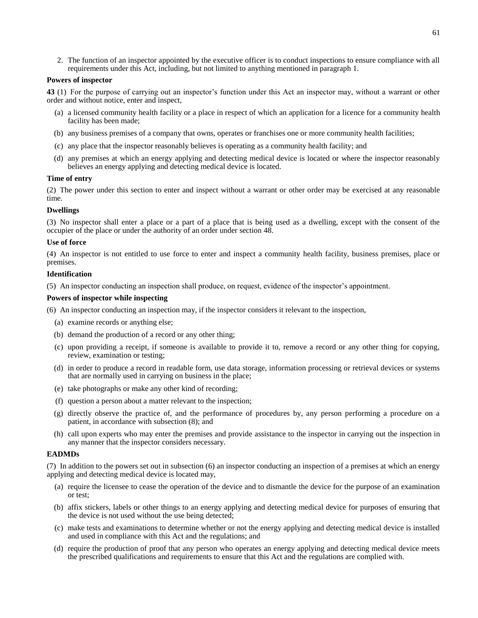2. The function of an inspector appointed by the executive officer is to conduct inspections to ensure compliance with all requirements under this Act, including, but not limited to anything mentioned in paragraph 1.

### **Powers of inspector**

<span id="page-66-0"></span>**43** (1) For the purpose of carrying out an inspector's function under this Act an inspector may, without a warrant or other order and without notice, enter and inspect,

- (a) a licensed community health facility or a place in respect of which an application for a licence for a community health facility has been made;
- (b) any business premises of a company that owns, operates or franchises one or more community health facilities;
- (c) any place that the inspector reasonably believes is operating as a community health facility; and
- (d) any premises at which an energy applying and detecting medical device is located or where the inspector reasonably believes an energy applying and detecting medical device is located.

### **Time of entry**

(2) The power under this section to enter and inspect without a warrant or other order may be exercised at any reasonable time.

### **Dwellings**

(3) No inspector shall enter a place or a part of a place that is being used as a dwelling, except with the consent of the occupier of the place or under the authority of an order under section 48.

### **Use of force**

(4) An inspector is not entitled to use force to enter and inspect a community health facility, business premises, place or premises.

### **Identification**

(5) An inspector conducting an inspection shall produce, on request, evidence of the inspector's appointment.

### **Powers of inspector while inspecting**

(6) An inspector conducting an inspection may, if the inspector considers it relevant to the inspection,

- (a) examine records or anything else;
- (b) demand the production of a record or any other thing;
- (c) upon providing a receipt, if someone is available to provide it to, remove a record or any other thing for copying, review, examination or testing;
- (d) in order to produce a record in readable form, use data storage, information processing or retrieval devices or systems that are normally used in carrying on business in the place;
- (e) take photographs or make any other kind of recording;
- (f) question a person about a matter relevant to the inspection;
- (g) directly observe the practice of, and the performance of procedures by, any person performing a procedure on a patient, in accordance with subsection (8); and
- (h) call upon experts who may enter the premises and provide assistance to the inspector in carrying out the inspection in any manner that the inspector considers necessary.

#### **EADMDs**

(7) In addition to the powers set out in subsection (6) an inspector conducting an inspection of a premises at which an energy applying and detecting medical device is located may,

- (a) require the licensee to cease the operation of the device and to dismantle the device for the purpose of an examination or test;
- (b) affix stickers, labels or other things to an energy applying and detecting medical device for purposes of ensuring that the device is not used without the use being detected;
- (c) make tests and examinations to determine whether or not the energy applying and detecting medical device is installed and used in compliance with this Act and the regulations; and
- (d) require the production of proof that any person who operates an energy applying and detecting medical device meets the prescribed qualifications and requirements to ensure that this Act and the regulations are complied with.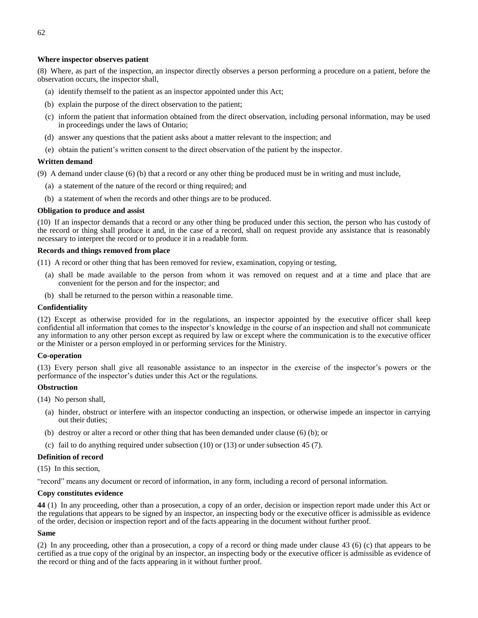### **Where inspector observes patient**

(8) Where, as part of the inspection, an inspector directly observes a person performing a procedure on a patient, before the observation occurs, the inspector shall,

- (a) identify themself to the patient as an inspector appointed under this Act;
- (b) explain the purpose of the direct observation to the patient;
- (c) inform the patient that information obtained from the direct observation, including personal information, may be used in proceedings under the laws of Ontario;
- (d) answer any questions that the patient asks about a matter relevant to the inspection; and
- (e) obtain the patient's written consent to the direct observation of the patient by the inspector.

### **Written demand**

(9) A demand under clause (6) (b) that a record or any other thing be produced must be in writing and must include,

- (a) a statement of the nature of the record or thing required; and
- (b) a statement of when the records and other things are to be produced.

### **Obligation to produce and assist**

(10) If an inspector demands that a record or any other thing be produced under this section, the person who has custody of the record or thing shall produce it and, in the case of a record, shall on request provide any assistance that is reasonably necessary to interpret the record or to produce it in a readable form.

### **Records and things removed from place**

(11) A record or other thing that has been removed for review, examination, copying or testing,

- (a) shall be made available to the person from whom it was removed on request and at a time and place that are convenient for the person and for the inspector; and
- (b) shall be returned to the person within a reasonable time.

### **Confidentiality**

(12) Except as otherwise provided for in the regulations, an inspector appointed by the executive officer shall keep confidential all information that comes to the inspector's knowledge in the course of an inspection and shall not communicate any information to any other person except as required by law or except where the communication is to the executive officer or the Minister or a person employed in or performing services for the Ministry.

#### **Co-operation**

(13) Every person shall give all reasonable assistance to an inspector in the exercise of the inspector's powers or the performance of the inspector's duties under this Act or the regulations.

#### **Obstruction**

- (14) No person shall,
	- (a) hinder, obstruct or interfere with an inspector conducting an inspection, or otherwise impede an inspector in carrying out their duties;
	- (b) destroy or alter a record or other thing that has been demanded under clause (6) (b); or
	- (c) fail to do anything required under subsection (10) or (13) or under subsection 45 (7).

### **Definition of record**

(15) In this section,

"record" means any document or record of information, in any form, including a record of personal information.

#### **Copy constitutes evidence**

<span id="page-67-0"></span>**44** (1) In any proceeding, other than a prosecution, a copy of an order, decision or inspection report made under this Act or the regulations that appears to be signed by an inspector, an inspecting body or the executive officer is admissible as evidence of the order, decision or inspection report and of the facts appearing in the document without further proof.

#### **Same**

(2) In any proceeding, other than a prosecution, a copy of a record or thing made under clause 43 (6) (c) that appears to be certified as a true copy of the original by an inspector, an inspecting body or the executive officer is admissible as evidence of the record or thing and of the facts appearing in it without further proof.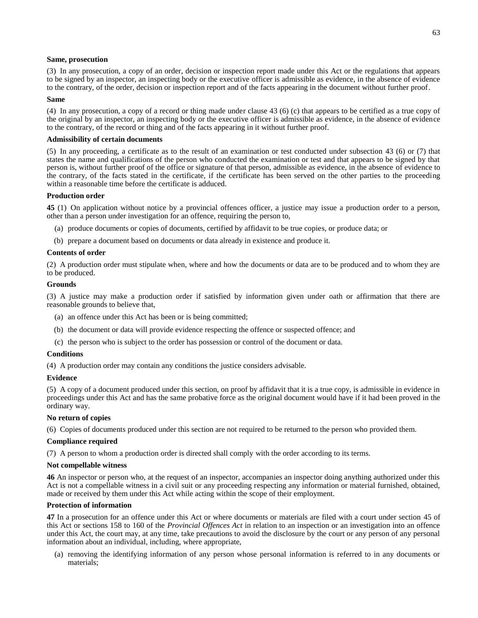#### **Same, prosecution**

(3) In any prosecution, a copy of an order, decision or inspection report made under this Act or the regulations that appears to be signed by an inspector, an inspecting body or the executive officer is admissible as evidence, in the absence of evidence to the contrary, of the order, decision or inspection report and of the facts appearing in the document without further proof.

#### **Same**

(4) In any prosecution, a copy of a record or thing made under clause 43 (6) (c) that appears to be certified as a true copy of the original by an inspector, an inspecting body or the executive officer is admissible as evidence, in the absence of evidence to the contrary, of the record or thing and of the facts appearing in it without further proof.

#### **Admissibility of certain documents**

(5) In any proceeding, a certificate as to the result of an examination or test conducted under subsection 43 (6) or (7) that states the name and qualifications of the person who conducted the examination or test and that appears to be signed by that person is, without further proof of the office or signature of that person, admissible as evidence, in the absence of evidence to the contrary, of the facts stated in the certificate, if the certificate has been served on the other parties to the proceeding within a reasonable time before the certificate is adduced.

#### **Production order**

<span id="page-68-0"></span>**45** (1) On application without notice by a provincial offences officer, a justice may issue a production order to a person, other than a person under investigation for an offence, requiring the person to,

- (a) produce documents or copies of documents, certified by affidavit to be true copies, or produce data; or
- (b) prepare a document based on documents or data already in existence and produce it.

#### **Contents of order**

(2) A production order must stipulate when, where and how the documents or data are to be produced and to whom they are to be produced.

#### **Grounds**

(3) A justice may make a production order if satisfied by information given under oath or affirmation that there are reasonable grounds to believe that,

- (a) an offence under this Act has been or is being committed;
- (b) the document or data will provide evidence respecting the offence or suspected offence; and
- (c) the person who is subject to the order has possession or control of the document or data.

#### **Conditions**

(4) A production order may contain any conditions the justice considers advisable.

#### **Evidence**

(5) A copy of a document produced under this section, on proof by affidavit that it is a true copy, is admissible in evidence in proceedings under this Act and has the same probative force as the original document would have if it had been proved in the ordinary way.

#### **No return of copies**

(6) Copies of documents produced under this section are not required to be returned to the person who provided them.

#### **Compliance required**

(7) A person to whom a production order is directed shall comply with the order according to its terms.

#### **Not compellable witness**

<span id="page-68-1"></span>**46** An inspector or person who, at the request of an inspector, accompanies an inspector doing anything authorized under this Act is not a compellable witness in a civil suit or any proceeding respecting any information or material furnished, obtained, made or received by them under this Act while acting within the scope of their employment.

#### **Protection of information**

<span id="page-68-2"></span>**47** In a prosecution for an offence under this Act or where documents or materials are filed with a court under section 45 of this Act or sections 158 to 160 of the *Provincial Offences Act* in relation to an inspection or an investigation into an offence under this Act, the court may, at any time, take precautions to avoid the disclosure by the court or any person of any personal information about an individual, including, where appropriate,

(a) removing the identifying information of any person whose personal information is referred to in any documents or materials;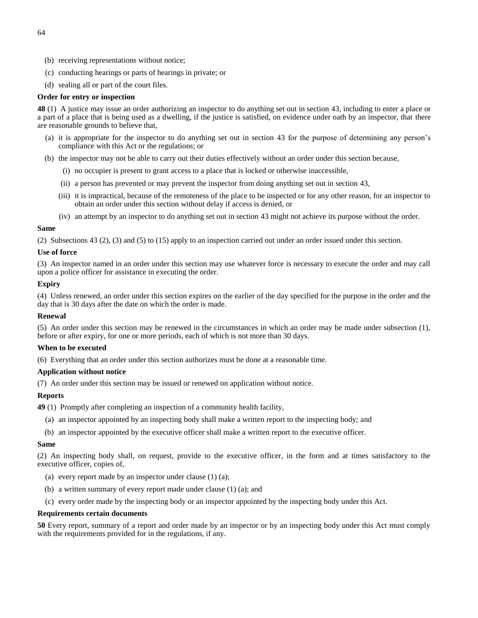- (b) receiving representations without notice;
- (c) conducting hearings or parts of hearings in private; or
- (d) sealing all or part of the court files.

### **Order for entry or inspection**

<span id="page-69-0"></span>**48** (1) A justice may issue an order authorizing an inspector to do anything set out in section 43, including to enter a place or a part of a place that is being used as a dwelling, if the justice is satisfied, on evidence under oath by an inspector, that there are reasonable grounds to believe that,

- (a) it is appropriate for the inspector to do anything set out in section 43 for the purpose of determining any person's compliance with this Act or the regulations; or
- (b) the inspector may not be able to carry out their duties effectively without an order under this section because,
	- (i) no occupier is present to grant access to a place that is locked or otherwise inaccessible,
	- (ii) a person has prevented or may prevent the inspector from doing anything set out in section 43,
	- (iii) it is impractical, because of the remoteness of the place to be inspected or for any other reason, for an inspector to obtain an order under this section without delay if access is denied, or
	- (iv) an attempt by an inspector to do anything set out in section 43 might not achieve its purpose without the order.

#### **Same**

(2) Subsections 43 (2), (3) and (5) to (15) apply to an inspection carried out under an order issued under this section.

### **Use of force**

(3) An inspector named in an order under this section may use whatever force is necessary to execute the order and may call upon a police officer for assistance in executing the order.

### **Expiry**

(4) Unless renewed, an order under this section expires on the earlier of the day specified for the purpose in the order and the day that is 30 days after the date on which the order is made.

#### **Renewal**

(5) An order under this section may be renewed in the circumstances in which an order may be made under subsection (1), before or after expiry, for one or more periods, each of which is not more than 30 days.

#### **When to be executed**

(6) Everything that an order under this section authorizes must be done at a reasonable time.

### **Application without notice**

(7) An order under this section may be issued or renewed on application without notice.

### **Reports**

- <span id="page-69-1"></span>**49** (1) Promptly after completing an inspection of a community health facility,
	- (a) an inspector appointed by an inspecting body shall make a written report to the inspecting body; and
	- (b) an inspector appointed by the executive officer shall make a written report to the executive officer.

#### **Same**

(2) An inspecting body shall, on request, provide to the executive officer, in the form and at times satisfactory to the executive officer, copies of,

- (a) every report made by an inspector under clause  $(1)$   $(a)$ ;
- (b) a written summary of every report made under clause (1) (a); and
- (c) every order made by the inspecting body or an inspector appointed by the inspecting body under this Act.

#### **Requirements certain documents**

<span id="page-69-2"></span>**50** Every report, summary of a report and order made by an inspector or by an inspecting body under this Act must comply with the requirements provided for in the regulations, if any.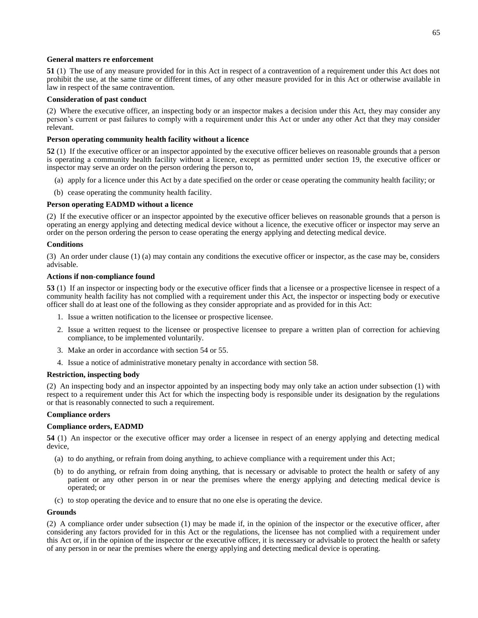#### **General matters re enforcement**

<span id="page-70-0"></span>**51** (1) The use of any measure provided for in this Act in respect of a contravention of a requirement under this Act does not prohibit the use, at the same time or different times, of any other measure provided for in this Act or otherwise available in law in respect of the same contravention.

### **Consideration of past conduct**

(2) Where the executive officer, an inspecting body or an inspector makes a decision under this Act, they may consider any person's current or past failures to comply with a requirement under this Act or under any other Act that they may consider relevant.

### **Person operating community health facility without a licence**

<span id="page-70-1"></span>**52** (1) If the executive officer or an inspector appointed by the executive officer believes on reasonable grounds that a person is operating a community health facility without a licence, except as permitted under section 19, the executive officer or inspector may serve an order on the person ordering the person to,

- (a) apply for a licence under this Act by a date specified on the order or cease operating the community health facility; or
- (b) cease operating the community health facility.

### **Person operating EADMD without a licence**

(2) If the executive officer or an inspector appointed by the executive officer believes on reasonable grounds that a person is operating an energy applying and detecting medical device without a licence, the executive officer or inspector may serve an order on the person ordering the person to cease operating the energy applying and detecting medical device.

### **Conditions**

(3) An order under clause (1) (a) may contain any conditions the executive officer or inspector, as the case may be, considers advisable.

### **Actions if non-compliance found**

<span id="page-70-2"></span>**53** (1) If an inspector or inspecting body or the executive officer finds that a licensee or a prospective licensee in respect of a community health facility has not complied with a requirement under this Act, the inspector or inspecting body or executive officer shall do at least one of the following as they consider appropriate and as provided for in this Act:

- 1. Issue a written notification to the licensee or prospective licensee.
- 2. Issue a written request to the licensee or prospective licensee to prepare a written plan of correction for achieving compliance, to be implemented voluntarily.
- 3. Make an order in accordance with section 54 or 55.
- 4. Issue a notice of administrative monetary penalty in accordance with section 58.

#### **Restriction, inspecting body**

(2) An inspecting body and an inspector appointed by an inspecting body may only take an action under subsection (1) with respect to a requirement under this Act for which the inspecting body is responsible under its designation by the regulations or that is reasonably connected to such a requirement.

#### **Compliance orders**

### **Compliance orders, EADMD**

<span id="page-70-3"></span>**54** (1) An inspector or the executive officer may order a licensee in respect of an energy applying and detecting medical device,

- (a) to do anything, or refrain from doing anything, to achieve compliance with a requirement under this Act;
- (b) to do anything, or refrain from doing anything, that is necessary or advisable to protect the health or safety of any patient or any other person in or near the premises where the energy applying and detecting medical device is operated; or
- (c) to stop operating the device and to ensure that no one else is operating the device.

#### **Grounds**

(2) A compliance order under subsection (1) may be made if, in the opinion of the inspector or the executive officer, after considering any factors provided for in this Act or the regulations, the licensee has not complied with a requirement under this Act or, if in the opinion of the inspector or the executive officer, it is necessary or advisable to protect the health or safety of any person in or near the premises where the energy applying and detecting medical device is operating.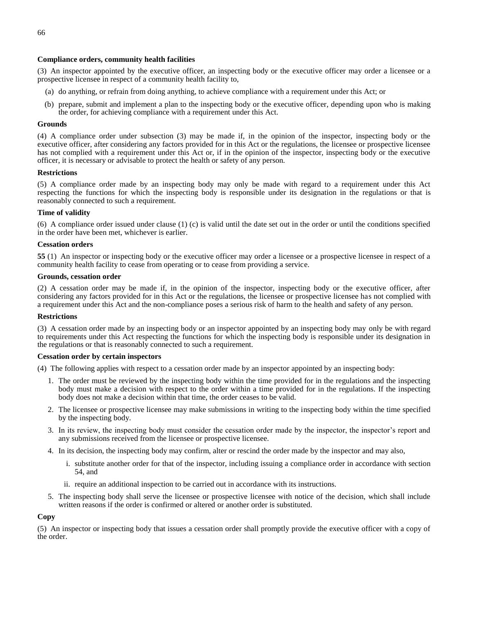### **Compliance orders, community health facilities**

(3) An inspector appointed by the executive officer, an inspecting body or the executive officer may order a licensee or a prospective licensee in respect of a community health facility to,

- (a) do anything, or refrain from doing anything, to achieve compliance with a requirement under this Act; or
- (b) prepare, submit and implement a plan to the inspecting body or the executive officer, depending upon who is making the order, for achieving compliance with a requirement under this Act.

### **Grounds**

(4) A compliance order under subsection (3) may be made if, in the opinion of the inspector, inspecting body or the executive officer, after considering any factors provided for in this Act or the regulations, the licensee or prospective licensee has not complied with a requirement under this Act or, if in the opinion of the inspector, inspecting body or the executive officer, it is necessary or advisable to protect the health or safety of any person.

### **Restrictions**

(5) A compliance order made by an inspecting body may only be made with regard to a requirement under this Act respecting the functions for which the inspecting body is responsible under its designation in the regulations or that is reasonably connected to such a requirement.

### **Time of validity**

(6) A compliance order issued under clause (1) (c) is valid until the date set out in the order or until the conditions specified in the order have been met, whichever is earlier.

### **Cessation orders**

<span id="page-71-0"></span>**55** (1) An inspector or inspecting body or the executive officer may order a licensee or a prospective licensee in respect of a community health facility to cease from operating or to cease from providing a service.

### **Grounds, cessation order**

(2) A cessation order may be made if, in the opinion of the inspector, inspecting body or the executive officer, after considering any factors provided for in this Act or the regulations, the licensee or prospective licensee has not complied with a requirement under this Act and the non-compliance poses a serious risk of harm to the health and safety of any person.

#### **Restrictions**

(3) A cessation order made by an inspecting body or an inspector appointed by an inspecting body may only be with regard to requirements under this Act respecting the functions for which the inspecting body is responsible under its designation in the regulations or that is reasonably connected to such a requirement.

### **Cessation order by certain inspectors**

(4) The following applies with respect to a cessation order made by an inspector appointed by an inspecting body:

- 1. The order must be reviewed by the inspecting body within the time provided for in the regulations and the inspecting body must make a decision with respect to the order within a time provided for in the regulations. If the inspecting body does not make a decision within that time, the order ceases to be valid.
- 2. The licensee or prospective licensee may make submissions in writing to the inspecting body within the time specified by the inspecting body.
- 3. In its review, the inspecting body must consider the cessation order made by the inspector, the inspector's report and any submissions received from the licensee or prospective licensee.
- 4. In its decision, the inspecting body may confirm, alter or rescind the order made by the inspector and may also,
	- i. substitute another order for that of the inspector, including issuing a compliance order in accordance with section 54, and
	- ii. require an additional inspection to be carried out in accordance with its instructions.
- 5. The inspecting body shall serve the licensee or prospective licensee with notice of the decision, which shall include written reasons if the order is confirmed or altered or another order is substituted.

### **Copy**

(5) An inspector or inspecting body that issues a cessation order shall promptly provide the executive officer with a copy of the order.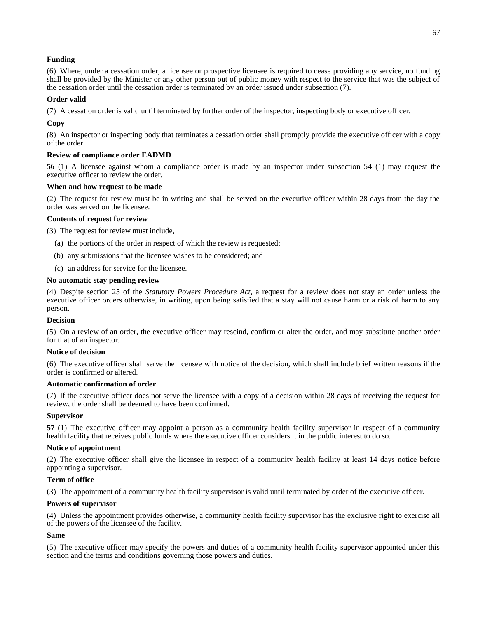# **Funding**

(6) Where, under a cessation order, a licensee or prospective licensee is required to cease providing any service, no funding shall be provided by the Minister or any other person out of public money with respect to the service that was the subject of the cessation order until the cessation order is terminated by an order issued under subsection (7).

# **Order valid**

(7) A cessation order is valid until terminated by further order of the inspector, inspecting body or executive officer.

# **Copy**

(8) An inspector or inspecting body that terminates a cessation order shall promptly provide the executive officer with a copy of the order.

# **Review of compliance order EADMD**

**56** (1) A licensee against whom a compliance order is made by an inspector under subsection 54 (1) may request the executive officer to review the order.

# **When and how request to be made**

(2) The request for review must be in writing and shall be served on the executive officer within 28 days from the day the order was served on the licensee.

# **Contents of request for review**

(3) The request for review must include,

- (a) the portions of the order in respect of which the review is requested;
- (b) any submissions that the licensee wishes to be considered; and
- (c) an address for service for the licensee.

# **No automatic stay pending review**

(4) Despite section 25 of the *Statutory Powers Procedure Act*, a request for a review does not stay an order unless the executive officer orders otherwise, in writing, upon being satisfied that a stay will not cause harm or a risk of harm to any person.

# **Decision**

(5) On a review of an order, the executive officer may rescind, confirm or alter the order, and may substitute another order for that of an inspector.

# **Notice of decision**

(6) The executive officer shall serve the licensee with notice of the decision, which shall include brief written reasons if the order is confirmed or altered.

# **Automatic confirmation of order**

(7) If the executive officer does not serve the licensee with a copy of a decision within 28 days of receiving the request for review, the order shall be deemed to have been confirmed.

# **Supervisor**

**57** (1) The executive officer may appoint a person as a community health facility supervisor in respect of a community health facility that receives public funds where the executive officer considers it in the public interest to do so.

# **Notice of appointment**

(2) The executive officer shall give the licensee in respect of a community health facility at least 14 days notice before appointing a supervisor.

# **Term of office**

(3) The appointment of a community health facility supervisor is valid until terminated by order of the executive officer.

# **Powers of supervisor**

(4) Unless the appointment provides otherwise, a community health facility supervisor has the exclusive right to exercise all of the powers of the licensee of the facility.

# **Same**

(5) The executive officer may specify the powers and duties of a community health facility supervisor appointed under this section and the terms and conditions governing those powers and duties.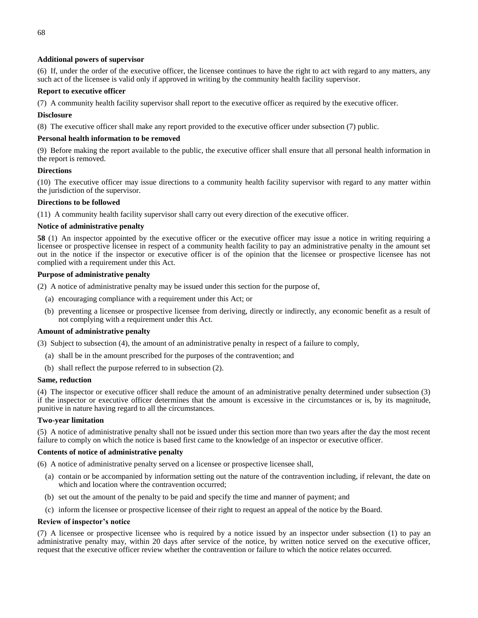# **Additional powers of supervisor**

(6) If, under the order of the executive officer, the licensee continues to have the right to act with regard to any matters, any such act of the licensee is valid only if approved in writing by the community health facility supervisor.

# **Report to executive officer**

(7) A community health facility supervisor shall report to the executive officer as required by the executive officer.

# **Disclosure**

(8) The executive officer shall make any report provided to the executive officer under subsection (7) public.

# **Personal health information to be removed**

(9) Before making the report available to the public, the executive officer shall ensure that all personal health information in the report is removed.

# **Directions**

(10) The executive officer may issue directions to a community health facility supervisor with regard to any matter within the jurisdiction of the supervisor.

# **Directions to be followed**

(11) A community health facility supervisor shall carry out every direction of the executive officer.

# **Notice of administrative penalty**

**58** (1) An inspector appointed by the executive officer or the executive officer may issue a notice in writing requiring a licensee or prospective licensee in respect of a community health facility to pay an administrative penalty in the amount set out in the notice if the inspector or executive officer is of the opinion that the licensee or prospective licensee has not complied with a requirement under this Act.

# **Purpose of administrative penalty**

(2) A notice of administrative penalty may be issued under this section for the purpose of,

- (a) encouraging compliance with a requirement under this Act; or
- (b) preventing a licensee or prospective licensee from deriving, directly or indirectly, any economic benefit as a result of not complying with a requirement under this Act.

# **Amount of administrative penalty**

(3) Subject to subsection (4), the amount of an administrative penalty in respect of a failure to comply,

- (a) shall be in the amount prescribed for the purposes of the contravention; and
- (b) shall reflect the purpose referred to in subsection (2).

# **Same, reduction**

(4) The inspector or executive officer shall reduce the amount of an administrative penalty determined under subsection (3) if the inspector or executive officer determines that the amount is excessive in the circumstances or is, by its magnitude, punitive in nature having regard to all the circumstances.

# **Two-year limitation**

(5) A notice of administrative penalty shall not be issued under this section more than two years after the day the most recent failure to comply on which the notice is based first came to the knowledge of an inspector or executive officer.

# **Contents of notice of administrative penalty**

(6) A notice of administrative penalty served on a licensee or prospective licensee shall,

- (a) contain or be accompanied by information setting out the nature of the contravention including, if relevant, the date on which and location where the contravention occurred;
- (b) set out the amount of the penalty to be paid and specify the time and manner of payment; and
- (c) inform the licensee or prospective licensee of their right to request an appeal of the notice by the Board.

# **Review of inspector's notice**

(7) A licensee or prospective licensee who is required by a notice issued by an inspector under subsection (1) to pay an administrative penalty may, within 20 days after service of the notice, by written notice served on the executive officer, request that the executive officer review whether the contravention or failure to which the notice relates occurred.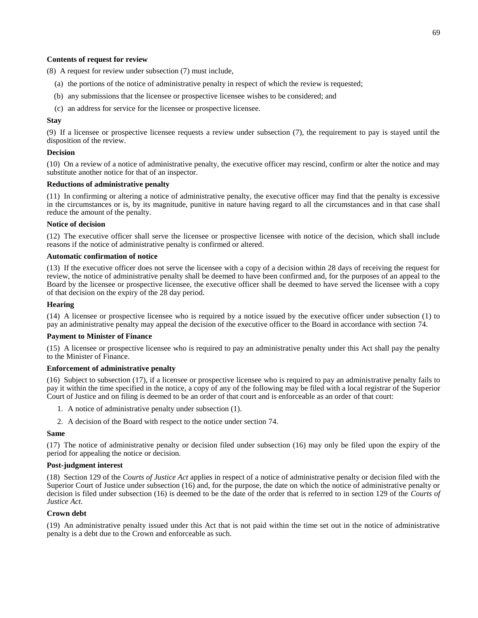### **Contents of request for review**

(8) A request for review under subsection (7) must include,

- (a) the portions of the notice of administrative penalty in respect of which the review is requested;
- (b) any submissions that the licensee or prospective licensee wishes to be considered; and
- (c) an address for service for the licensee or prospective licensee.

### **Stay**

(9) If a licensee or prospective licensee requests a review under subsection (7), the requirement to pay is stayed until the disposition of the review.

### **Decision**

(10) On a review of a notice of administrative penalty, the executive officer may rescind, confirm or alter the notice and may substitute another notice for that of an inspector.

## **Reductions of administrative penalty**

(11) In confirming or altering a notice of administrative penalty, the executive officer may find that the penalty is excessive in the circumstances or is, by its magnitude, punitive in nature having regard to all the circumstances and in that case shall reduce the amount of the penalty.

#### **Notice of decision**

(12) The executive officer shall serve the licensee or prospective licensee with notice of the decision, which shall include reasons if the notice of administrative penalty is confirmed or altered.

# **Automatic confirmation of notice**

(13) If the executive officer does not serve the licensee with a copy of a decision within 28 days of receiving the request for review, the notice of administrative penalty shall be deemed to have been confirmed and, for the purposes of an appeal to the Board by the licensee or prospective licensee, the executive officer shall be deemed to have served the licensee with a copy of that decision on the expiry of the 28 day period.

### **Hearing**

(14) A licensee or prospective licensee who is required by a notice issued by the executive officer under subsection (1) to pay an administrative penalty may appeal the decision of the executive officer to the Board in accordance with section 74.

#### **Payment to Minister of Finance**

(15) A licensee or prospective licensee who is required to pay an administrative penalty under this Act shall pay the penalty to the Minister of Finance.

#### **Enforcement of administrative penalty**

(16) Subject to subsection (17), if a licensee or prospective licensee who is required to pay an administrative penalty fails to pay it within the time specified in the notice, a copy of any of the following may be filed with a local registrar of the Superior Court of Justice and on filing is deemed to be an order of that court and is enforceable as an order of that court:

- 1. A notice of administrative penalty under subsection (1).
- 2. A decision of the Board with respect to the notice under section 74.

#### **Same**

(17) The notice of administrative penalty or decision filed under subsection (16) may only be filed upon the expiry of the period for appealing the notice or decision.

### **Post-judgment interest**

(18) Section 129 of the *Courts of Justice Act* applies in respect of a notice of administrative penalty or decision filed with the Superior Court of Justice under subsection (16) and, for the purpose, the date on which the notice of administrative penalty or decision is filed under subsection (16) is deemed to be the date of the order that is referred to in section 129 of the *Courts of Justice Act*.

#### **Crown debt**

(19) An administrative penalty issued under this Act that is not paid within the time set out in the notice of administrative penalty is a debt due to the Crown and enforceable as such.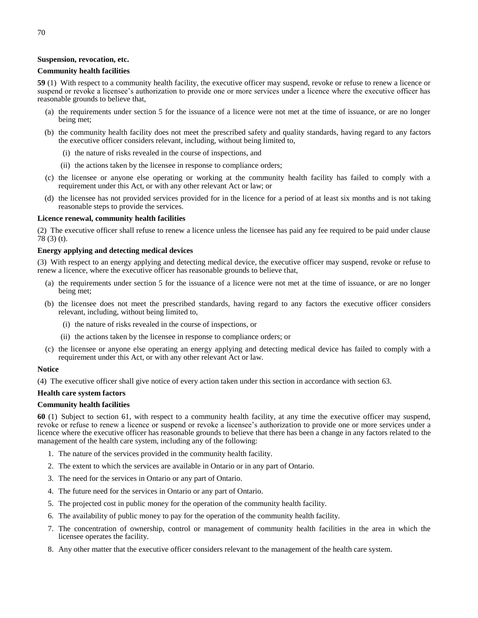# **Suspension, revocation, etc.**

### **Community health facilities**

**59** (1) With respect to a community health facility, the executive officer may suspend, revoke or refuse to renew a licence or suspend or revoke a licensee's authorization to provide one or more services under a licence where the executive officer has reasonable grounds to believe that,

- (a) the requirements under section 5 for the issuance of a licence were not met at the time of issuance, or are no longer being met;
- (b) the community health facility does not meet the prescribed safety and quality standards, having regard to any factors the executive officer considers relevant, including, without being limited to,
	- (i) the nature of risks revealed in the course of inspections, and
	- (ii) the actions taken by the licensee in response to compliance orders;
- (c) the licensee or anyone else operating or working at the community health facility has failed to comply with a requirement under this Act, or with any other relevant Act or law; or
- (d) the licensee has not provided services provided for in the licence for a period of at least six months and is not taking reasonable steps to provide the services.

#### **Licence renewal, community health facilities**

(2) The executive officer shall refuse to renew a licence unless the licensee has paid any fee required to be paid under clause 78 (3) (t).

#### **Energy applying and detecting medical devices**

(3) With respect to an energy applying and detecting medical device, the executive officer may suspend, revoke or refuse to renew a licence, where the executive officer has reasonable grounds to believe that,

- (a) the requirements under section 5 for the issuance of a licence were not met at the time of issuance, or are no longer being met;
- (b) the licensee does not meet the prescribed standards, having regard to any factors the executive officer considers relevant, including, without being limited to,
	- (i) the nature of risks revealed in the course of inspections, or
	- (ii) the actions taken by the licensee in response to compliance orders; or
- (c) the licensee or anyone else operating an energy applying and detecting medical device has failed to comply with a requirement under this Act, or with any other relevant Act or law.

#### **Notice**

(4) The executive officer shall give notice of every action taken under this section in accordance with section 63.

#### **Health care system factors**

#### **Community health facilities**

**60** (1) Subject to section 61, with respect to a community health facility, at any time the executive officer may suspend, revoke or refuse to renew a licence or suspend or revoke a licensee's authorization to provide one or more services under a licence where the executive officer has reasonable grounds to believe that there has been a change in any factors related to the management of the health care system, including any of the following:

- 1. The nature of the services provided in the community health facility.
- 2. The extent to which the services are available in Ontario or in any part of Ontario.
- 3. The need for the services in Ontario or any part of Ontario.
- 4. The future need for the services in Ontario or any part of Ontario.
- 5. The projected cost in public money for the operation of the community health facility.
- 6. The availability of public money to pay for the operation of the community health facility.
- 7. The concentration of ownership, control or management of community health facilities in the area in which the licensee operates the facility.
- 8. Any other matter that the executive officer considers relevant to the management of the health care system.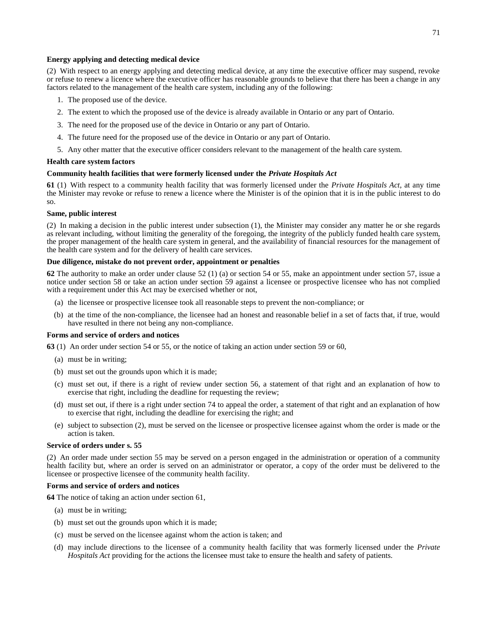### **Energy applying and detecting medical device**

(2) With respect to an energy applying and detecting medical device, at any time the executive officer may suspend, revoke or refuse to renew a licence where the executive officer has reasonable grounds to believe that there has been a change in any factors related to the management of the health care system, including any of the following:

- 1. The proposed use of the device.
- 2. The extent to which the proposed use of the device is already available in Ontario or any part of Ontario.
- 3. The need for the proposed use of the device in Ontario or any part of Ontario.
- 4. The future need for the proposed use of the device in Ontario or any part of Ontario.
- 5. Any other matter that the executive officer considers relevant to the management of the health care system.

#### **Health care system factors**

#### **Community health facilities that were formerly licensed under the** *Private Hospitals Act*

**61** (1) With respect to a community health facility that was formerly licensed under the *Private Hospitals Act*, at any time the Minister may revoke or refuse to renew a licence where the Minister is of the opinion that it is in the public interest to do so.

### **Same, public interest**

(2) In making a decision in the public interest under subsection (1), the Minister may consider any matter he or she regards as relevant including, without limiting the generality of the foregoing, the integrity of the publicly funded health care system, the proper management of the health care system in general, and the availability of financial resources for the management of the health care system and for the delivery of health care services.

### **Due diligence, mistake do not prevent order, appointment or penalties**

**62** The authority to make an order under clause 52 (1) (a) or section 54 or 55, make an appointment under section 57, issue a notice under section 58 or take an action under section 59 against a licensee or prospective licensee who has not complied with a requirement under this Act may be exercised whether or not,

- (a) the licensee or prospective licensee took all reasonable steps to prevent the non-compliance; or
- (b) at the time of the non-compliance, the licensee had an honest and reasonable belief in a set of facts that, if true, would have resulted in there not being any non-compliance.

### **Forms and service of orders and notices**

**63** (1) An order under section 54 or 55, or the notice of taking an action under section 59 or 60,

- (a) must be in writing;
- (b) must set out the grounds upon which it is made;
- (c) must set out, if there is a right of review under section 56, a statement of that right and an explanation of how to exercise that right, including the deadline for requesting the review;
- (d) must set out, if there is a right under section 74 to appeal the order, a statement of that right and an explanation of how to exercise that right, including the deadline for exercising the right; and
- (e) subject to subsection (2), must be served on the licensee or prospective licensee against whom the order is made or the action is taken.

# **Service of orders under s. 55**

(2) An order made under section 55 may be served on a person engaged in the administration or operation of a community health facility but, where an order is served on an administrator or operator, a copy of the order must be delivered to the licensee or prospective licensee of the community health facility.

#### **Forms and service of orders and notices**

**64** The notice of taking an action under section 61,

- (a) must be in writing;
- (b) must set out the grounds upon which it is made;
- (c) must be served on the licensee against whom the action is taken; and
- (d) may include directions to the licensee of a community health facility that was formerly licensed under the *Private Hospitals Act* providing for the actions the licensee must take to ensure the health and safety of patients.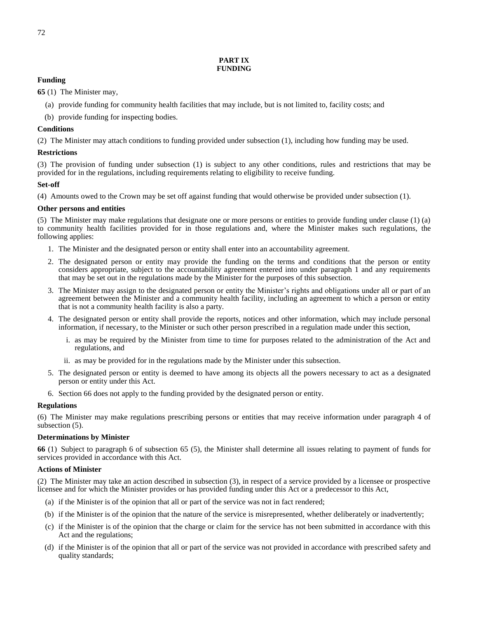# **PART IX FUNDING**

# **Funding**

**65** (1) The Minister may,

- (a) provide funding for community health facilities that may include, but is not limited to, facility costs; and
- (b) provide funding for inspecting bodies.

# **Conditions**

(2) The Minister may attach conditions to funding provided under subsection (1), including how funding may be used.

# **Restrictions**

(3) The provision of funding under subsection (1) is subject to any other conditions, rules and restrictions that may be provided for in the regulations, including requirements relating to eligibility to receive funding.

# **Set-off**

(4) Amounts owed to the Crown may be set off against funding that would otherwise be provided under subsection (1).

# **Other persons and entities**

(5) The Minister may make regulations that designate one or more persons or entities to provide funding under clause (1) (a) to community health facilities provided for in those regulations and, where the Minister makes such regulations, the following applies:

- 1. The Minister and the designated person or entity shall enter into an accountability agreement.
- 2. The designated person or entity may provide the funding on the terms and conditions that the person or entity considers appropriate, subject to the accountability agreement entered into under paragraph 1 and any requirements that may be set out in the regulations made by the Minister for the purposes of this subsection.
- 3. The Minister may assign to the designated person or entity the Minister's rights and obligations under all or part of an agreement between the Minister and a community health facility, including an agreement to which a person or entity that is not a community health facility is also a party.
- 4. The designated person or entity shall provide the reports, notices and other information, which may include personal information, if necessary, to the Minister or such other person prescribed in a regulation made under this section,
	- i. as may be required by the Minister from time to time for purposes related to the administration of the Act and regulations, and
	- ii. as may be provided for in the regulations made by the Minister under this subsection.
- 5. The designated person or entity is deemed to have among its objects all the powers necessary to act as a designated person or entity under this Act.
- 6. Section 66 does not apply to the funding provided by the designated person or entity.

# **Regulations**

(6) The Minister may make regulations prescribing persons or entities that may receive information under paragraph 4 of subsection (5).

# **Determinations by Minister**

**66** (1) Subject to paragraph 6 of subsection 65 (5), the Minister shall determine all issues relating to payment of funds for services provided in accordance with this Act.

# **Actions of Minister**

(2) The Minister may take an action described in subsection (3), in respect of a service provided by a licensee or prospective licensee and for which the Minister provides or has provided funding under this Act or a predecessor to this Act,

- (a) if the Minister is of the opinion that all or part of the service was not in fact rendered;
- (b) if the Minister is of the opinion that the nature of the service is misrepresented, whether deliberately or inadvertently;
- (c) if the Minister is of the opinion that the charge or claim for the service has not been submitted in accordance with this Act and the regulations;
- (d) if the Minister is of the opinion that all or part of the service was not provided in accordance with prescribed safety and quality standards;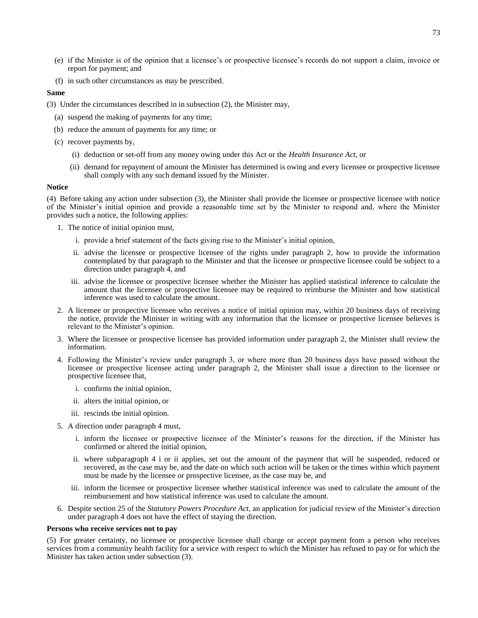- (e) if the Minister is of the opinion that a licensee's or prospective licensee's records do not support a claim, invoice or report for payment; and
- (f) in such other circumstances as may be prescribed.

### **Same**

- (3) Under the circumstances described in in subsection (2), the Minister may,
	- (a) suspend the making of payments for any time;
	- (b) reduce the amount of payments for any time; or
	- (c) recover payments by,
		- (i) deduction or set-off from any money owing under this Act or the *Health Insurance Act*, or
		- (ii) demand for repayment of amount the Minister has determined is owing and every licensee or prospective licensee shall comply with any such demand issued by the Minister.

#### **Notice**

(4) Before taking any action under subsection (3), the Minister shall provide the licensee or prospective licensee with notice of the Minister's initial opinion and provide a reasonable time set by the Minister to respond and, where the Minister provides such a notice, the following applies:

- 1. The notice of initial opinion must,
	- i. provide a brief statement of the facts giving rise to the Minister's initial opinion,
	- ii. advise the licensee or prospective licensee of the rights under paragraph 2, how to provide the information contemplated by that paragraph to the Minister and that the licensee or prospective licensee could be subject to a direction under paragraph 4, and
	- iii. advise the licensee or prospective licensee whether the Minister has applied statistical inference to calculate the amount that the licensee or prospective licensee may be required to reimburse the Minister and how statistical inference was used to calculate the amount.
- 2. A licensee or prospective licensee who receives a notice of initial opinion may, within 20 business days of receiving the notice, provide the Minister in writing with any information that the licensee or prospective licensee believes is relevant to the Minister's opinion.
- 3. Where the licensee or prospective licensee has provided information under paragraph 2, the Minister shall review the information.
- 4. Following the Minister's review under paragraph 3, or where more than 20 business days have passed without the licensee or prospective licensee acting under paragraph 2, the Minister shall issue a direction to the licensee or prospective licensee that,
	- i. confirms the initial opinion,
	- ii. alters the initial opinion, or
	- iii. rescinds the initial opinion.
- 5. A direction under paragraph 4 must,
	- i. inform the licensee or prospective licensee of the Minister's reasons for the direction, if the Minister has confirmed or altered the initial opinion,
	- ii. where subparagraph 4 i or ii applies, set out the amount of the payment that will be suspended, reduced or recovered, as the case may be, and the date on which such action will be taken or the times within which payment must be made by the licensee or prospective licensee, as the case may be, and
	- iii. inform the licensee or prospective licensee whether statistical inference was used to calculate the amount of the reimbursement and how statistical inference was used to calculate the amount.
- 6. Despite section 25 of the *Statutory Powers Procedure Act*, an application for judicial review of the Minister's direction under paragraph 4 does not have the effect of staying the direction.

### **Persons who receive services not to pay**

(5) For greater certainty, no licensee or prospective licensee shall charge or accept payment from a person who receives services from a community health facility for a service with respect to which the Minister has refused to pay or for which the Minister has taken action under subsection (3).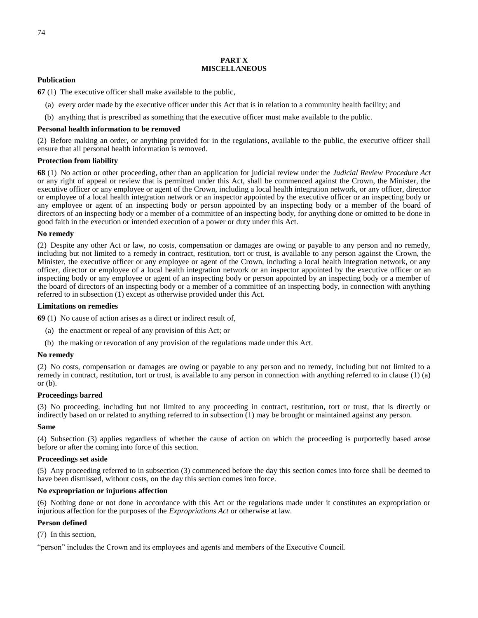# **PART X MISCELLANEOUS**

# **Publication**

**67** (1) The executive officer shall make available to the public,

- (a) every order made by the executive officer under this Act that is in relation to a community health facility; and
- (b) anything that is prescribed as something that the executive officer must make available to the public.

# **Personal health information to be removed**

(2) Before making an order, or anything provided for in the regulations, available to the public, the executive officer shall ensure that all personal health information is removed.

# **Protection from liability**

**68** (1) No action or other proceeding, other than an application for judicial review under the *Judicial Review Procedure Act* or any right of appeal or review that is permitted under this Act, shall be commenced against the Crown, the Minister, the executive officer or any employee or agent of the Crown, including a local health integration network, or any officer, director or employee of a local health integration network or an inspector appointed by the executive officer or an inspecting body or any employee or agent of an inspecting body or person appointed by an inspecting body or a member of the board of directors of an inspecting body or a member of a committee of an inspecting body, for anything done or omitted to be done in good faith in the execution or intended execution of a power or duty under this Act.

# **No remedy**

(2) Despite any other Act or law, no costs, compensation or damages are owing or payable to any person and no remedy, including but not limited to a remedy in contract, restitution, tort or trust, is available to any person against the Crown, the Minister, the executive officer or any employee or agent of the Crown, including a local health integration network, or any officer, director or employee of a local health integration network or an inspector appointed by the executive officer or an inspecting body or any employee or agent of an inspecting body or person appointed by an inspecting body or a member of the board of directors of an inspecting body or a member of a committee of an inspecting body, in connection with anything referred to in subsection (1) except as otherwise provided under this Act.

# **Limitations on remedies**

**69** (1) No cause of action arises as a direct or indirect result of,

- (a) the enactment or repeal of any provision of this Act; or
- (b) the making or revocation of any provision of the regulations made under this Act.

# **No remedy**

(2) No costs, compensation or damages are owing or payable to any person and no remedy, including but not limited to a remedy in contract, restitution, tort or trust, is available to any person in connection with anything referred to in clause (1) (a) or (b).

# **Proceedings barred**

(3) No proceeding, including but not limited to any proceeding in contract, restitution, tort or trust, that is directly or indirectly based on or related to anything referred to in subsection (1) may be brought or maintained against any person.

# **Same**

(4) Subsection (3) applies regardless of whether the cause of action on which the proceeding is purportedly based arose before or after the coming into force of this section.

# **Proceedings set aside**

(5) Any proceeding referred to in subsection (3) commenced before the day this section comes into force shall be deemed to have been dismissed, without costs, on the day this section comes into force.

# **No expropriation or injurious affection**

(6) Nothing done or not done in accordance with this Act or the regulations made under it constitutes an expropriation or injurious affection for the purposes of the *Expropriations Act* or otherwise at law.

# **Person defined**

(7) In this section,

"person" includes the Crown and its employees and agents and members of the Executive Council.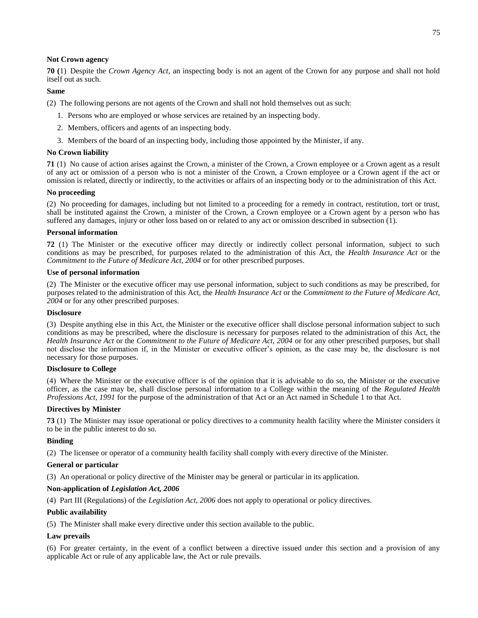# **Not Crown agency**

**70 (**1) Despite the *Crown Agency Act*, an inspecting body is not an agent of the Crown for any purpose and shall not hold itself out as such.

# **Same**

(2) The following persons are not agents of the Crown and shall not hold themselves out as such:

- 1. Persons who are employed or whose services are retained by an inspecting body.
- 2. Members, officers and agents of an inspecting body.
- 3. Members of the board of an inspecting body, including those appointed by the Minister, if any.

# **No Crown liability**

**71** (1) No cause of action arises against the Crown, a minister of the Crown, a Crown employee or a Crown agent as a result of any act or omission of a person who is not a minister of the Crown, a Crown employee or a Crown agent if the act or omission is related, directly or indirectly, to the activities or affairs of an inspecting body or to the administration of this Act.

# **No proceeding**

(2) No proceeding for damages, including but not limited to a proceeding for a remedy in contract, restitution, tort or trust, shall be instituted against the Crown, a minister of the Crown, a Crown employee or a Crown agent by a person who has suffered any damages, injury or other loss based on or related to any act or omission described in subsection (1).

### **Personal information**

**72** (1) The Minister or the executive officer may directly or indirectly collect personal information, subject to such conditions as may be prescribed, for purposes related to the administration of this Act, the *Health Insurance Act* or the *Commitment to the Future of Medicare Act, 2004* or for other prescribed purposes.

### **Use of personal information**

(2) The Minister or the executive officer may use personal information, subject to such conditions as may be prescribed, for purposes related to the administration of this Act, the *Health Insurance Act* or the *Commitment to the Future of Medicare Act, 2004* or for any other prescribed purposes.

### **Disclosure**

(3) Despite anything else in this Act, the Minister or the executive officer shall disclose personal information subject to such conditions as may be prescribed, where the disclosure is necessary for purposes related to the administration of this Act, the *Health Insurance Act* or the *Commitment to the Future of Medicare Act, 2004* or for any other prescribed purposes, but shall not disclose the information if, in the Minister or executive officer's opinion, as the case may be, the disclosure is not necessary for those purposes.

# **Disclosure to College**

(4) Where the Minister or the executive officer is of the opinion that it is advisable to do so, the Minister or the executive officer, as the case may be, shall disclose personal information to a College within the meaning of the *Regulated Health Professions Act, 1991* for the purpose of the administration of that Act or an Act named in Schedule 1 to that Act.

# **Directives by Minister**

**73** (1) The Minister may issue operational or policy directives to a community health facility where the Minister considers it to be in the public interest to do so.

# **Binding**

(2) The licensee or operator of a community health facility shall comply with every directive of the Minister.

#### **General or particular**

(3) An operational or policy directive of the Minister may be general or particular in its application.

# **Non-application of** *Legislation Act, 2006*

(4) Part III (Regulations) of the *Legislation Act, 2006* does not apply to operational or policy directives.

# **Public availability**

(5) The Minister shall make every directive under this section available to the public.

# **Law prevails**

(6) For greater certainty, in the event of a conflict between a directive issued under this section and a provision of any applicable Act or rule of any applicable law, the Act or rule prevails.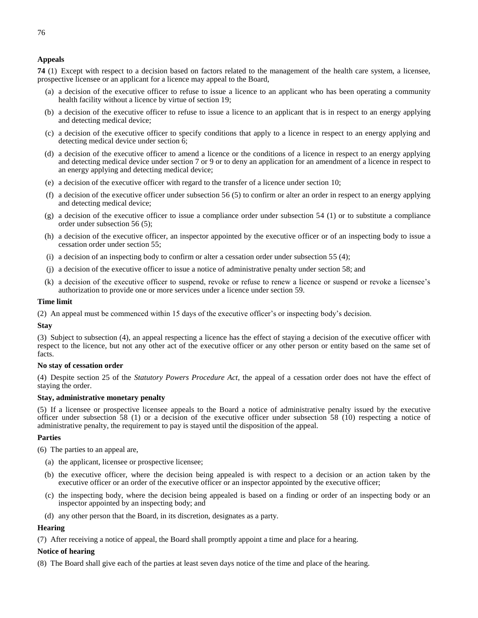76

**74** (1) Except with respect to a decision based on factors related to the management of the health care system, a licensee, prospective licensee or an applicant for a licence may appeal to the Board,

- (a) a decision of the executive officer to refuse to issue a licence to an applicant who has been operating a community health facility without a licence by virtue of section 19;
- (b) a decision of the executive officer to refuse to issue a licence to an applicant that is in respect to an energy applying and detecting medical device;
- (c) a decision of the executive officer to specify conditions that apply to a licence in respect to an energy applying and detecting medical device under section 6;
- (d) a decision of the executive officer to amend a licence or the conditions of a licence in respect to an energy applying and detecting medical device under section 7 or 9 or to deny an application for an amendment of a licence in respect to an energy applying and detecting medical device;
- (e) a decision of the executive officer with regard to the transfer of a licence under section 10;
- (f) a decision of the executive officer under subsection 56 (5) to confirm or alter an order in respect to an energy applying and detecting medical device;
- (g) a decision of the executive officer to issue a compliance order under subsection 54 (1) or to substitute a compliance order under subsection 56 (5);
- (h) a decision of the executive officer, an inspector appointed by the executive officer or of an inspecting body to issue a cessation order under section 55;
- (i) a decision of an inspecting body to confirm or alter a cessation order under subsection 55 (4);
- (j) a decision of the executive officer to issue a notice of administrative penalty under section 58; and
- (k) a decision of the executive officer to suspend, revoke or refuse to renew a licence or suspend or revoke a licensee's authorization to provide one or more services under a licence under section 59.

### **Time limit**

(2) An appeal must be commenced within 15 days of the executive officer's or inspecting body's decision.

#### **Stay**

(3) Subject to subsection (4), an appeal respecting a licence has the effect of staying a decision of the executive officer with respect to the licence, but not any other act of the executive officer or any other person or entity based on the same set of facts.

#### **No stay of cessation order**

(4) Despite section 25 of the *Statutory Powers Procedure Act*, the appeal of a cessation order does not have the effect of staying the order.

# **Stay, administrative monetary penalty**

(5) If a licensee or prospective licensee appeals to the Board a notice of administrative penalty issued by the executive officer under subsection 58 (1) or a decision of the executive officer under subsection 58 (10) respecting a notice of administrative penalty, the requirement to pay is stayed until the disposition of the appeal.

#### **Parties**

(6) The parties to an appeal are,

- (a) the applicant, licensee or prospective licensee;
- (b) the executive officer, where the decision being appealed is with respect to a decision or an action taken by the executive officer or an order of the executive officer or an inspector appointed by the executive officer;
- (c) the inspecting body, where the decision being appealed is based on a finding or order of an inspecting body or an inspector appointed by an inspecting body; and
- (d) any other person that the Board, in its discretion, designates as a party.

#### **Hearing**

(7) After receiving a notice of appeal, the Board shall promptly appoint a time and place for a hearing.

#### **Notice of hearing**

(8) The Board shall give each of the parties at least seven days notice of the time and place of the hearing.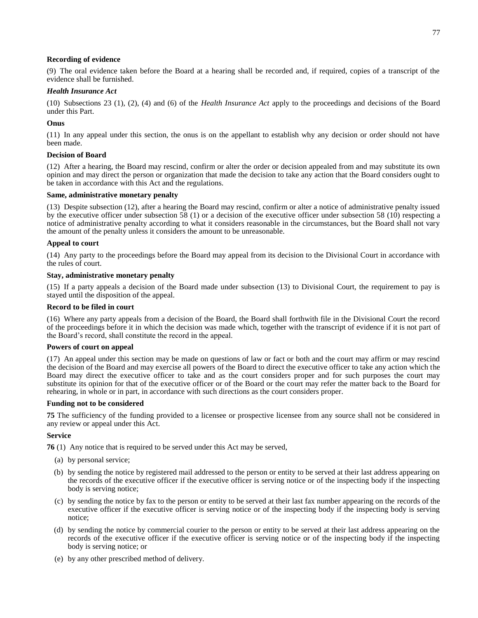# **Recording of evidence**

(9) The oral evidence taken before the Board at a hearing shall be recorded and, if required, copies of a transcript of the evidence shall be furnished.

# *Health Insurance Act*

(10) Subsections 23 (1), (2), (4) and (6) of the *Health Insurance Act* apply to the proceedings and decisions of the Board under this Part.

# **Onus**

(11) In any appeal under this section, the onus is on the appellant to establish why any decision or order should not have been made.

# **Decision of Board**

(12) After a hearing, the Board may rescind, confirm or alter the order or decision appealed from and may substitute its own opinion and may direct the person or organization that made the decision to take any action that the Board considers ought to be taken in accordance with this Act and the regulations.

# **Same, administrative monetary penalty**

(13) Despite subsection (12), after a hearing the Board may rescind, confirm or alter a notice of administrative penalty issued by the executive officer under subsection  $\overline{58}$  (1) or a decision of the executive officer under subsection  $\overline{58}$  (10) respecting a notice of administrative penalty according to what it considers reasonable in the circumstances, but the Board shall not vary the amount of the penalty unless it considers the amount to be unreasonable.

# **Appeal to court**

(14) Any party to the proceedings before the Board may appeal from its decision to the Divisional Court in accordance with the rules of court.

# **Stay, administrative monetary penalty**

(15) If a party appeals a decision of the Board made under subsection (13) to Divisional Court, the requirement to pay is stayed until the disposition of the appeal.

# **Record to be filed in court**

(16) Where any party appeals from a decision of the Board, the Board shall forthwith file in the Divisional Court the record of the proceedings before it in which the decision was made which, together with the transcript of evidence if it is not part of the Board's record, shall constitute the record in the appeal.

# **Powers of court on appeal**

(17) An appeal under this section may be made on questions of law or fact or both and the court may affirm or may rescind the decision of the Board and may exercise all powers of the Board to direct the executive officer to take any action which the Board may direct the executive officer to take and as the court considers proper and for such purposes the court may substitute its opinion for that of the executive officer or of the Board or the court may refer the matter back to the Board for rehearing, in whole or in part, in accordance with such directions as the court considers proper.

# **Funding not to be considered**

**75** The sufficiency of the funding provided to a licensee or prospective licensee from any source shall not be considered in any review or appeal under this Act.

# **Service**

**76** (1) Any notice that is required to be served under this Act may be served,

- (a) by personal service;
- (b) by sending the notice by registered mail addressed to the person or entity to be served at their last address appearing on the records of the executive officer if the executive officer is serving notice or of the inspecting body if the inspecting body is serving notice;
- (c) by sending the notice by fax to the person or entity to be served at their last fax number appearing on the records of the executive officer if the executive officer is serving notice or of the inspecting body if the inspecting body is serving notice;
- (d) by sending the notice by commercial courier to the person or entity to be served at their last address appearing on the records of the executive officer if the executive officer is serving notice or of the inspecting body if the inspecting body is serving notice; or
- (e) by any other prescribed method of delivery.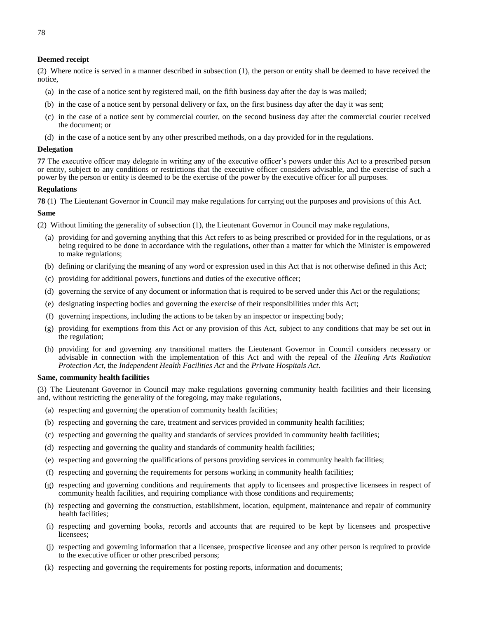### **Deemed receipt**

(2) Where notice is served in a manner described in subsection (1), the person or entity shall be deemed to have received the notice,

- (a) in the case of a notice sent by registered mail, on the fifth business day after the day is was mailed;
- (b) in the case of a notice sent by personal delivery or fax, on the first business day after the day it was sent;
- (c) in the case of a notice sent by commercial courier, on the second business day after the commercial courier received the document; or
- (d) in the case of a notice sent by any other prescribed methods, on a day provided for in the regulations.

#### **Delegation**

**77** The executive officer may delegate in writing any of the executive officer's powers under this Act to a prescribed person or entity, subject to any conditions or restrictions that the executive officer considers advisable, and the exercise of such a power by the person or entity is deemed to be the exercise of the power by the executive officer for all purposes.

### **Regulations**

**78** (1) The Lieutenant Governor in Council may make regulations for carrying out the purposes and provisions of this Act.

#### **Same**

- (2) Without limiting the generality of subsection (1), the Lieutenant Governor in Council may make regulations,
	- (a) providing for and governing anything that this Act refers to as being prescribed or provided for in the regulations, or as being required to be done in accordance with the regulations, other than a matter for which the Minister is empowered to make regulations;
	- (b) defining or clarifying the meaning of any word or expression used in this Act that is not otherwise defined in this Act;
	- (c) providing for additional powers, functions and duties of the executive officer;
	- (d) governing the service of any document or information that is required to be served under this Act or the regulations;
	- (e) designating inspecting bodies and governing the exercise of their responsibilities under this Act;
	- (f) governing inspections, including the actions to be taken by an inspector or inspecting body;
	- (g) providing for exemptions from this Act or any provision of this Act, subject to any conditions that may be set out in the regulation;
	- (h) providing for and governing any transitional matters the Lieutenant Governor in Council considers necessary or advisable in connection with the implementation of this Act and with the repeal of the *Healing Arts Radiation Protection Act*, the *Independent Health Facilities Act* and the *Private Hospitals Act*.

# **Same, community health facilities**

(3) The Lieutenant Governor in Council may make regulations governing community health facilities and their licensing and, without restricting the generality of the foregoing, may make regulations,

- (a) respecting and governing the operation of community health facilities;
- (b) respecting and governing the care, treatment and services provided in community health facilities;
- (c) respecting and governing the quality and standards of services provided in community health facilities;
- (d) respecting and governing the quality and standards of community health facilities;
- (e) respecting and governing the qualifications of persons providing services in community health facilities;
- (f) respecting and governing the requirements for persons working in community health facilities;
- (g) respecting and governing conditions and requirements that apply to licensees and prospective licensees in respect of community health facilities, and requiring compliance with those conditions and requirements;
- (h) respecting and governing the construction, establishment, location, equipment, maintenance and repair of community health facilities;
- (i) respecting and governing books, records and accounts that are required to be kept by licensees and prospective licensees;
- (j) respecting and governing information that a licensee, prospective licensee and any other person is required to provide to the executive officer or other prescribed persons;
- (k) respecting and governing the requirements for posting reports, information and documents;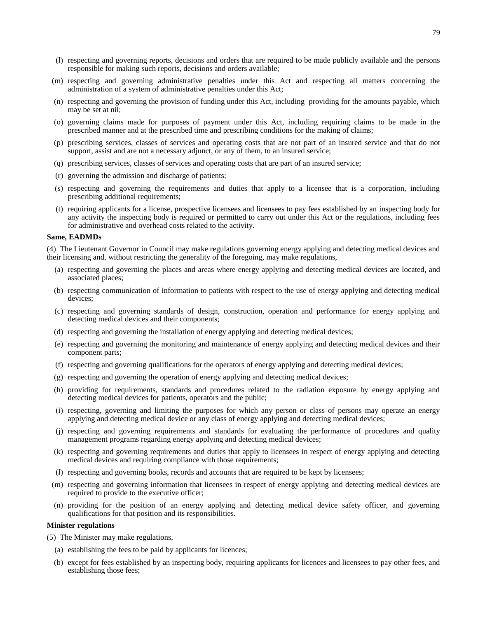- (l) respecting and governing reports, decisions and orders that are required to be made publicly available and the persons responsible for making such reports, decisions and orders available;
- (m) respecting and governing administrative penalties under this Act and respecting all matters concerning the administration of a system of administrative penalties under this Act;
- (n) respecting and governing the provision of funding under this Act, including providing for the amounts payable, which may be set at nil;
- (o) governing claims made for purposes of payment under this Act, including requiring claims to be made in the prescribed manner and at the prescribed time and prescribing conditions for the making of claims;
- (p) prescribing services, classes of services and operating costs that are not part of an insured service and that do not support, assist and are not a necessary adjunct, or any of them, to an insured service;
- (q) prescribing services, classes of services and operating costs that are part of an insured service;
- (r) governing the admission and discharge of patients;
- (s) respecting and governing the requirements and duties that apply to a licensee that is a corporation, including prescribing additional requirements;
- (t) requiring applicants for a license, prospective licensees and licensees to pay fees established by an inspecting body for any activity the inspecting body is required or permitted to carry out under this Act or the regulations, including fees for administrative and overhead costs related to the activity.

# **Same, EADMDs**

(4) The Lieutenant Governor in Council may make regulations governing energy applying and detecting medical devices and their licensing and, without restricting the generality of the foregoing, may make regulations,

- (a) respecting and governing the places and areas where energy applying and detecting medical devices are located, and associated places;
- (b) respecting communication of information to patients with respect to the use of energy applying and detecting medical devices;
- (c) respecting and governing standards of design, construction, operation and performance for energy applying and detecting medical devices and their components;
- (d) respecting and governing the installation of energy applying and detecting medical devices;
- (e) respecting and governing the monitoring and maintenance of energy applying and detecting medical devices and their component parts;
- (f) respecting and governing qualifications for the operators of energy applying and detecting medical devices;
- (g) respecting and governing the operation of energy applying and detecting medical devices;
- (h) providing for requirements, standards and procedures related to the radiation exposure by energy applying and detecting medical devices for patients, operators and the public;
- (i) respecting, governing and limiting the purposes for which any person or class of persons may operate an energy applying and detecting medical device or any class of energy applying and detecting medical devices;
- (j) respecting and governing requirements and standards for evaluating the performance of procedures and quality management programs regarding energy applying and detecting medical devices;
- (k) respecting and governing requirements and duties that apply to licensees in respect of energy applying and detecting medical devices and requiring compliance with those requirements;
- (l) respecting and governing books, records and accounts that are required to be kept by licensees;
- (m) respecting and governing information that licensees in respect of energy applying and detecting medical devices are required to provide to the executive officer;
- (n) providing for the position of an energy applying and detecting medical device safety officer, and governing qualifications for that position and its responsibilities.

#### **Minister regulations**

- (5) The Minister may make regulations,
	- (a) establishing the fees to be paid by applicants for licences;
	- (b) except for fees established by an inspecting body, requiring applicants for licences and licensees to pay other fees, and establishing those fees;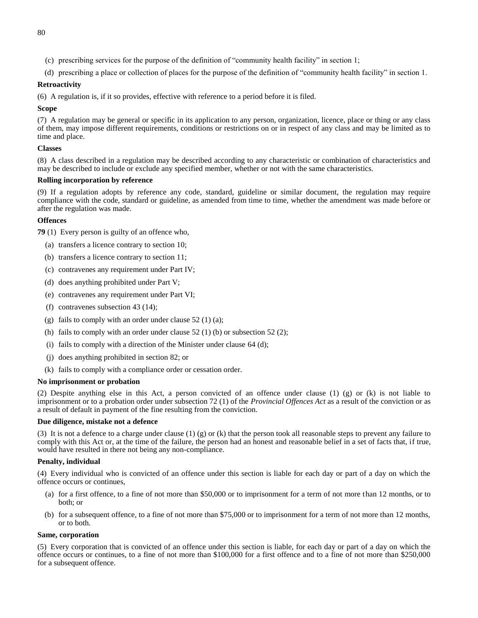- (c) prescribing services for the purpose of the definition of "community health facility" in section 1;
- (d) prescribing a place or collection of places for the purpose of the definition of "community health facility" in section 1.

# **Retroactivity**

(6) A regulation is, if it so provides, effective with reference to a period before it is filed.

# **Scope**

(7) A regulation may be general or specific in its application to any person, organization, licence, place or thing or any class of them, may impose different requirements, conditions or restrictions on or in respect of any class and may be limited as to time and place.

# **Classes**

(8) A class described in a regulation may be described according to any characteristic or combination of characteristics and may be described to include or exclude any specified member, whether or not with the same characteristics.

# **Rolling incorporation by reference**

(9) If a regulation adopts by reference any code, standard, guideline or similar document, the regulation may require compliance with the code, standard or guideline, as amended from time to time, whether the amendment was made before or after the regulation was made.

# **Offences**

**79** (1) Every person is guilty of an offence who,

- (a) transfers a licence contrary to section 10;
- (b) transfers a licence contrary to section 11;
- (c) contravenes any requirement under Part IV;
- (d) does anything prohibited under Part V;
- (e) contravenes any requirement under Part VI;
- (f) contravenes subsection 43 (14);
- (g) fails to comply with an order under clause  $52(1)(a)$ ;
- (h) fails to comply with an order under clause  $52(1)$  (b) or subsection  $52(2)$ ;
- (i) fails to comply with a direction of the Minister under clause 64 (d);
- (j) does anything prohibited in section 82; or
- (k) fails to comply with a compliance order or cessation order.

# **No imprisonment or probation**

(2) Despite anything else in this Act, a person convicted of an offence under clause (1) (g) or (k) is not liable to imprisonment or to a probation order under subsection 72 (1) of the *Provincial Offences Act* as a result of the conviction or as a result of default in payment of the fine resulting from the conviction.

# **Due diligence, mistake not a defence**

(3) It is not a defence to a charge under clause (1) (g) or (k) that the person took all reasonable steps to prevent any failure to comply with this Act or, at the time of the failure, the person had an honest and reasonable belief in a set of facts that, if true, would have resulted in there not being any non-compliance.

# **Penalty, individual**

(4) Every individual who is convicted of an offence under this section is liable for each day or part of a day on which the offence occurs or continues,

- (a) for a first offence, to a fine of not more than \$50,000 or to imprisonment for a term of not more than 12 months, or to both; or
- (b) for a subsequent offence, to a fine of not more than \$75,000 or to imprisonment for a term of not more than 12 months, or to both.

# **Same, corporation**

(5) Every corporation that is convicted of an offence under this section is liable, for each day or part of a day on which the offence occurs or continues, to a fine of not more than \$100,000 for a first offence and to a fine of not more than \$250,000 for a subsequent offence.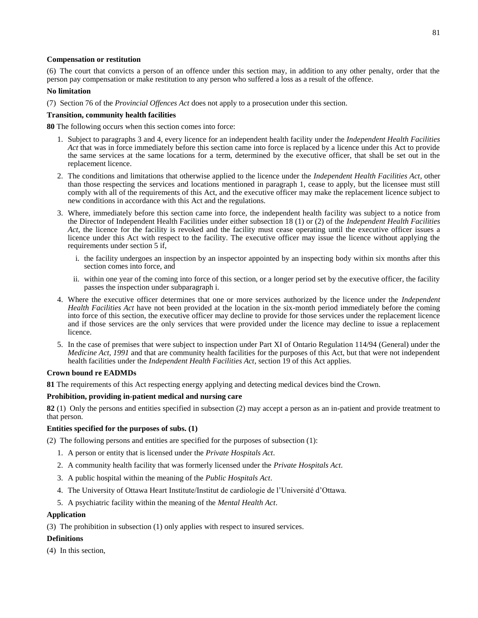# **Compensation or restitution**

(6) The court that convicts a person of an offence under this section may, in addition to any other penalty, order that the person pay compensation or make restitution to any person who suffered a loss as a result of the offence.

# **No limitation**

(7) Section 76 of the *Provincial Offences Act* does not apply to a prosecution under this section.

# **Transition, community health facilities**

**80** The following occurs when this section comes into force:

- 1. Subject to paragraphs 3 and 4, every licence for an independent health facility under the *Independent Health Facilities Act* that was in force immediately before this section came into force is replaced by a licence under this Act to provide the same services at the same locations for a term, determined by the executive officer, that shall be set out in the replacement licence.
- 2. The conditions and limitations that otherwise applied to the licence under the *Independent Health Facilities Act*, other than those respecting the services and locations mentioned in paragraph 1, cease to apply, but the licensee must still comply with all of the requirements of this Act, and the executive officer may make the replacement licence subject to new conditions in accordance with this Act and the regulations.
- 3. Where, immediately before this section came into force, the independent health facility was subject to a notice from the Director of Independent Health Facilities under either subsection 18 (1) or (2) of the *Independent Health Facilities Act*, the licence for the facility is revoked and the facility must cease operating until the executive officer issues a licence under this Act with respect to the facility. The executive officer may issue the licence without applying the requirements under section 5 if,
	- i. the facility undergoes an inspection by an inspector appointed by an inspecting body within six months after this section comes into force, and
	- ii. within one year of the coming into force of this section, or a longer period set by the executive officer, the facility passes the inspection under subparagraph i.
- 4. Where the executive officer determines that one or more services authorized by the licence under the *Independent Health Facilities Act* have not been provided at the location in the six-month period immediately before the coming into force of this section, the executive officer may decline to provide for those services under the replacement licence and if those services are the only services that were provided under the licence may decline to issue a replacement licence.
- 5. In the case of premises that were subject to inspection under Part XI of Ontario Regulation 114/94 (General) under the *Medicine Act, 1991* and that are community health facilities for the purposes of this Act, but that were not independent health facilities under the *Independent Health Facilities Act*, section 19 of this Act applies.

# **Crown bound re EADMDs**

**81** The requirements of this Act respecting energy applying and detecting medical devices bind the Crown.

# **Prohibition, providing in-patient medical and nursing care**

**82** (1) Only the persons and entities specified in subsection (2) may accept a person as an in-patient and provide treatment to that person.

# **Entities specified for the purposes of subs. (1)**

(2) The following persons and entities are specified for the purposes of subsection (1):

- 1. A person or entity that is licensed under the *Private Hospitals Act*.
- 2. A community health facility that was formerly licensed under the *Private Hospitals Act*.
- 3. A public hospital within the meaning of the *Public Hospitals Act*.
- 4. The University of Ottawa Heart Institute/Institut de cardiologie de l'Université d'Ottawa.
- 5. A psychiatric facility within the meaning of the *Mental Health Act*.

# **Application**

(3) The prohibition in subsection (1) only applies with respect to insured services.

# **Definitions**

(4) In this section,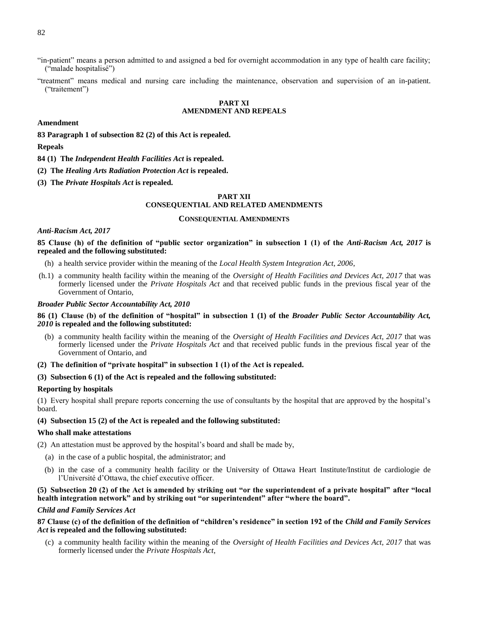- "in-patient" means a person admitted to and assigned a bed for overnight accommodation in any type of health care facility; ("malade hospitalisé")
- "treatment" means medical and nursing care including the maintenance, observation and supervision of an in-patient. ("traitement")

# **PART XI AMENDMENT AND REPEALS**

#### **Amendment**

**83 Paragraph 1 of subsection 82 (2) of this Act is repealed.**

#### **Repeals**

- **84 (1) The** *Independent Health Facilities Act* **is repealed.**
- **(2) The** *Healing Arts Radiation Protection Act* **is repealed.**
- **(3) The** *Private Hospitals Act* **is repealed.**

### **PART XII CONSEQUENTIAL AND RELATED AMENDMENTS**

#### **CONSEQUENTIAL AMENDMENTS**

#### *Anti-Racism Act, 2017*

**85 Clause (h) of the definition of "public sector organization" in subsection 1 (1) of the** *Anti-Racism Act, 2017* **is repealed and the following substituted:**

- (h) a health service provider within the meaning of the *Local Health System Integration Act, 2006*,
- (h.1) a community health facility within the meaning of the *Oversight of Health Facilities and Devices Act, 2017* that was formerly licensed under the *Private Hospitals Act* and that received public funds in the previous fiscal year of the Government of Ontario,

#### *Broader Public Sector Accountability Act, 2010*

#### **86 (1) Clause (b) of the definition of "hospital" in subsection 1 (1) of the** *Broader Public Sector Accountability Act, 2010* **is repealed and the following substituted:**

- (b) a community health facility within the meaning of the *Oversight of Health Facilities and Devices Act, 2017* that was formerly licensed under the *Private Hospitals Act* and that received public funds in the previous fiscal year of the Government of Ontario, and
- **(2) The definition of "private hospital" in subsection 1 (1) of the Act is repealed.**

### **(3) Subsection 6 (1) of the Act is repealed and the following substituted:**

#### **Reporting by hospitals**

(1) Every hospital shall prepare reports concerning the use of consultants by the hospital that are approved by the hospital's board.

#### **(4) Subsection 15 (2) of the Act is repealed and the following substituted:**

### **Who shall make attestations**

(2) An attestation must be approved by the hospital's board and shall be made by,

- (a) in the case of a public hospital, the administrator; and
- (b) in the case of a community health facility or the University of Ottawa Heart Institute/Institut de cardiologie de l'Université d'Ottawa, the chief executive officer.

# **(5) Subsection 20 (2) of the Act is amended by striking out "or the superintendent of a private hospital" after "local health integration network" and by striking out "or superintendent" after "where the board".**

#### *Child and Family Services Act*

#### **87 Clause (c) of the definition of the definition of "children's residence" in section 192 of the** *Child and Family Services Act* **is repealed and the following substituted:**

(c) a community health facility within the meaning of the *Oversight of Health Facilities and Devices Act, 2017* that was formerly licensed under the *Private Hospitals Act*,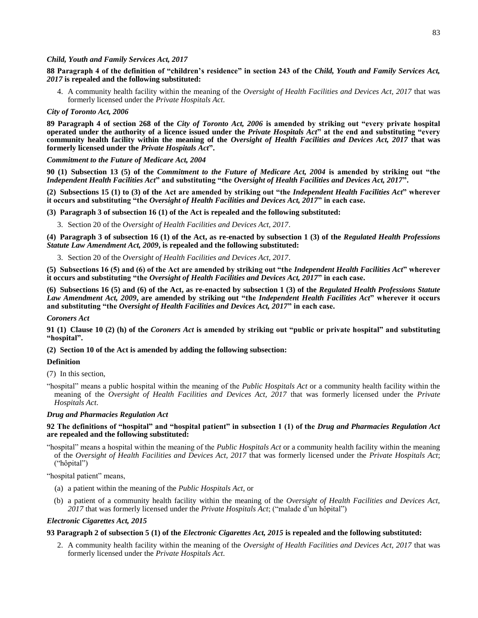### *Child, Youth and Family Services Act, 2017*

**88 Paragraph 4 of the definition of "children's residence" in section 243 of the** *Child, Youth and Family Services Act, 2017* **is repealed and the following substituted:**

4. A community health facility within the meaning of the *Oversight of Health Facilities and Devices Act, 2017* that was formerly licensed under the *Private Hospitals Act*.

#### *City of Toronto Act, 2006*

**89 Paragraph 4 of section 268 of the** *City of Toronto Act, 2006* **is amended by striking out "every private hospital operated under the authority of a licence issued under the** *Private Hospitals Act***" at the end and substituting "every community health facility within the meaning of the** *Oversight of Health Facilities and Devices Act, 2017* **that was formerly licensed under the** *Private Hospitals Act***".**

#### *Commitment to the Future of Medicare Act, 2004*

**90 (1) Subsection 13 (5) of the** *Commitment to the Future of Medicare Act, 2004* **is amended by striking out "the**  *Independent Health Facilities Act***" and substituting "the** *Oversight of Health Facilities and Devices Act, 2017***".**

**(2) Subsections 15 (1) to (3) of the Act are amended by striking out "the** *Independent Health Facilities Act***" wherever it occurs and substituting "the** *Oversight of Health Facilities and Devices Act, 2017***" in each case.**

**(3) Paragraph 3 of subsection 16 (1) of the Act is repealed and the following substituted:**

3. Section 20 of the *Oversight of Health Facilities and Devices Act, 2017*.

**(4) Paragraph 3 of subsection 16 (1) of the Act, as re-enacted by subsection 1 (3) of the** *Regulated Health Professions Statute Law Amendment Act, 2009***, is repealed and the following substituted:**

3. Section 20 of the *Oversight of Health Facilities and Devices Act, 2017*.

**(5) Subsections 16 (5) and (6) of the Act are amended by striking out "the** *Independent Health Facilities Act***" wherever it occurs and substituting "the** *Oversight of Health Facilities and Devices Act, 2017***" in each case.**

**(6) Subsections 16 (5) and (6) of the Act, as re-enacted by subsection 1 (3) of the** *Regulated Health Professions Statute Law Amendment Act, 2009***, are amended by striking out "the** *Independent Health Facilities Act***" wherever it occurs and substituting "the** *Oversight of Health Facilities and Devices Act, 2017***" in each case.** 

#### *Coroners Act*

**91 (1) Clause 10 (2) (h) of the** *Coroners Act* **is amended by striking out "public or private hospital" and substituting "hospital".**

# **(2) Section 10 of the Act is amended by adding the following subsection:**

#### **Definition**

(7) In this section,

"hospital" means a public hospital within the meaning of the *Public Hospitals Act* or a community health facility within the meaning of the *Oversight of Health Facilities and Devices Act, 2017* that was formerly licensed under the *Private Hospitals Act*.

#### *Drug and Pharmacies Regulation Act*

### **92 The definitions of "hospital" and "hospital patient" in subsection 1 (1) of the** *Drug and Pharmacies Regulation Act* **are repealed and the following substituted:**

"hospital" means a hospital within the meaning of the *Public Hospitals Act* or a community health facility within the meaning of the *Oversight of Health Facilities and Devices Act, 2017* that was formerly licensed under the *Private Hospitals Act*; ("hôpital")

"hospital patient" means,

- (a) a patient within the meaning of the *Public Hospitals Act*, or
- (b) a patient of a community health facility within the meaning of the *Oversight of Health Facilities and Devices Act, 2017* that was formerly licensed under the *Private Hospitals Act*; ("malade d'un hôpital")

#### *Electronic Cigarettes Act, 2015*

# **93 Paragraph 2 of subsection 5 (1) of the** *Electronic Cigarettes Act, 2015* **is repealed and the following substituted:**

2. A community health facility within the meaning of the *Oversight of Health Facilities and Devices Act, 2017* that was formerly licensed under the *Private Hospitals Act*.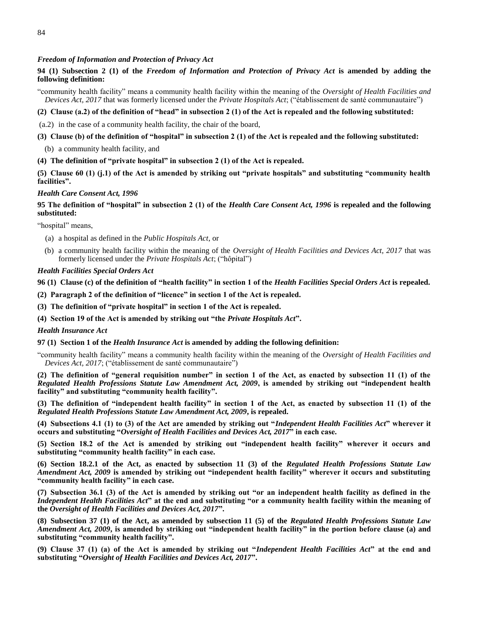### *Freedom of Information and Protection of Privacy Act*

# **94 (1) Subsection 2 (1) of the** *Freedom of Information and Protection of Privacy Act* **is amended by adding the following definition:**

"community health facility" means a community health facility within the meaning of the *Oversight of Health Facilities and Devices Act, 2017* that was formerly licensed under the *Private Hospitals Act*; ("établissement de santé communautaire")

### **(2) Clause (a.2) of the definition of "head" in subsection 2 (1) of the Act is repealed and the following substituted:**

- (a.2) in the case of a community health facility, the chair of the board,
- **(3) Clause (b) of the definition of "hospital" in subsection 2 (1) of the Act is repealed and the following substituted:**
	- (b) a community health facility, and
- **(4) The definition of "private hospital" in subsection 2 (1) of the Act is repealed.**

# **(5) Clause 60 (1) (j.1) of the Act is amended by striking out "private hospitals" and substituting "community health facilities".**

#### *Health Care Consent Act, 1996*

# **95 The definition of "hospital" in subsection 2 (1) of the** *Health Care Consent Act, 1996* **is repealed and the following substituted:**

"hospital" means,

- (a) a hospital as defined in the *Public Hospitals Act*, or
- (b) a community health facility within the meaning of the *Oversight of Health Facilities and Devices Act, 2017* that was formerly licensed under the *Private Hospitals Act*; ("hôpital")

#### *Health Facilities Special Orders Act*

**96 (1) Clause (c) of the definition of "health facility" in section 1 of the** *Health Facilities Special Orders Act* **is repealed.**

- **(2) Paragraph 2 of the definition of "licence" in section 1 of the Act is repealed.**
- **(3) The definition of "private hospital" in section 1 of the Act is repealed.**
- **(4) Section 19 of the Act is amended by striking out "the** *Private Hospitals Act***".**

#### *Health Insurance Act*

**97 (1) Section 1 of the** *Health Insurance Act* **is amended by adding the following definition:**

"community health facility" means a community health facility within the meaning of the *Oversight of Health Facilities and Devices Act, 2017*; ("établissement de santé communautaire")

**(2) The definition of "general requisition number" in section 1 of the Act, as enacted by subsection 11 (1) of the**  *Regulated Health Professions Statute Law Amendment Act, 2009***, is amended by striking out "independent health facility" and substituting "community health facility".**

**(3) The definition of "independent health facility" in section 1 of the Act, as enacted by subsection 11 (1) of the**  *Regulated Health Professions Statute Law Amendment Act, 2009***, is repealed.** 

**(4) Subsections 4.1 (1) to (3) of the Act are amended by striking out "***Independent Health Facilities Act***" wherever it occurs and substituting "***Oversight of Health Facilities and Devices Act, 2017***" in each case.**

**(5) Section 18.2 of the Act is amended by striking out "independent health facility" wherever it occurs and substituting "community health facility" in each case.**

**(6) Section 18.2.1 of the Act, as enacted by subsection 11 (3) of the** *Regulated Health Professions Statute Law Amendment Act, 2009* **is amended by striking out "independent health facility" wherever it occurs and substituting "community health facility" in each case.**

**(7) Subsection 36.1 (3) of the Act is amended by striking out "or an independent health facility as defined in the**  *Independent Health Facilities Act***" at the end and substituting "or a community health facility within the meaning of the** *Oversight of Health Facilities and Devices Act, 2017***".**

**(8) Subsection 37 (1) of the Act, as amended by subsection 11 (5) of the** *Regulated Health Professions Statute Law Amendment Act, 2009***, is amended by striking out "independent health facility" in the portion before clause (a) and substituting "community health facility".**

**(9) Clause 37 (1) (a) of the Act is amended by striking out "***Independent Health Facilities Act***" at the end and substituting "***Oversight of Health Facilities and Devices Act, 2017***".**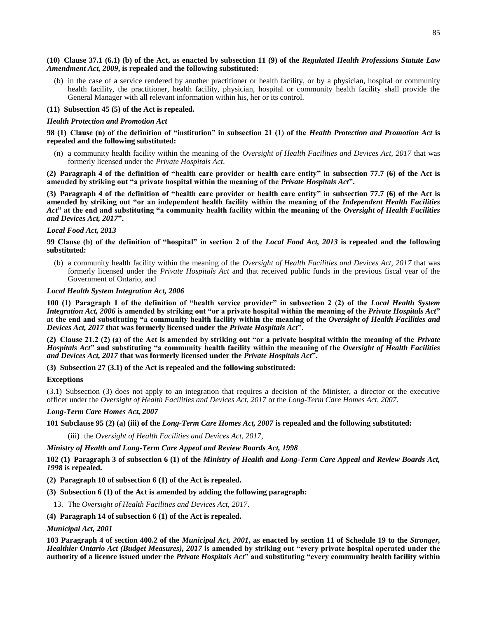#### **(10) Clause 37.1 (6.1) (b) of the Act, as enacted by subsection 11 (9) of the** *Regulated Health Professions Statute Law Amendment Act, 2009***, is repealed and the following substituted:**

(b) in the case of a service rendered by another practitioner or health facility, or by a physician, hospital or community health facility, the practitioner, health facility, physician, hospital or community health facility shall provide the General Manager with all relevant information within his, her or its control.

# **(11) Subsection 45 (5) of the Act is repealed.**

### *Health Protection and Promotion Act*

**98 (1) Clause (n) of the definition of "institution" in subsection 21 (1) of the** *Health Protection and Promotion Act* **is repealed and the following substituted:**

(n) a community health facility within the meaning of the *Oversight of Health Facilities and Devices Act, 2017* that was formerly licensed under the *Private Hospitals Act*.

**(2) Paragraph 4 of the definition of "health care provider or health care entity" in subsection 77.7 (6) of the Act is amended by striking out "a private hospital within the meaning of the** *Private Hospitals Act***".**

**(3) Paragraph 4 of the definition of "health care provider or health care entity" in subsection 77.7 (6) of the Act is amended by striking out "or an independent health facility within the meaning of the** *Independent Health Facilities Act***" at the end and substituting "a community health facility within the meaning of the** *Oversight of Health Facilities and Devices Act, 2017***".**

### *Local Food Act, 2013*

# **99 Clause (b) of the definition of "hospital" in section 2 of the** *Local Food Act, 2013* **is repealed and the following substituted:**

(b) a community health facility within the meaning of the *Oversight of Health Facilities and Devices Act, 2017* that was formerly licensed under the *Private Hospitals Act* and that received public funds in the previous fiscal year of the Government of Ontario, and

### *Local Health System Integration Act, 2006*

**100 (1) Paragraph 1 of the definition of "health service provider" in subsection 2 (2) of the** *Local Health System Integration Act, 2006* **is amended by striking out "or a private hospital within the meaning of the** *Private Hospitals Act***" at the end and substituting "a community health facility within the meaning of the** *Oversight of Health Facilities and Devices Act, 2017* **that was formerly licensed under the** *Private Hospitals Act***".**

**(2) Clause 21.2 (2) (a) of the Act is amended by striking out "or a private hospital within the meaning of the** *Private Hospitals Act***" and substituting "a community health facility within the meaning of the** *Oversight of Health Facilities and Devices Act, 2017* **that was formerly licensed under the** *Private Hospitals Act***".**

**(3) Subsection 27 (3.1) of the Act is repealed and the following substituted:**

# **Exceptions**

(3.1) Subsection (3) does not apply to an integration that requires a decision of the Minister, a director or the executive officer under the *Oversight of Health Facilities and Devices Act, 2017* or the *Long-Term Care Homes Act, 2007*.

# *Long-Term Care Homes Act, 2007*

# **101 Subclause 95 (2) (a) (iii) of the** *Long-Term Care Homes Act, 2007* **is repealed and the following substituted:**

(iii) the *Oversight of Health Facilities and Devices Act, 2017*,

*Ministry of Health and Long-Term Care Appeal and Review Boards Act, 1998*

**102 (1) Paragraph 3 of subsection 6 (1) of the** *Ministry of Health and Long-Term Care Appeal and Review Boards Act, 1998* **is repealed.**

- **(2) Paragraph 10 of subsection 6 (1) of the Act is repealed.**
- **(3) Subsection 6 (1) of the Act is amended by adding the following paragraph:**
	- 13. The *Oversight of Health Facilities and Devices Act, 2017*.
- **(4) Paragraph 14 of subsection 6 (1) of the Act is repealed.**

#### *Municipal Act, 2001*

**103 Paragraph 4 of section 400.2 of the** *Municipal Act, 2001***, as enacted by section 11 of Schedule 19 to the** *Stronger, Healthier Ontario Act (Budget Measures), 2017* **is amended by striking out "every private hospital operated under the authority of a licence issued under the** *Private Hospitals Act***" and substituting "every community health facility within**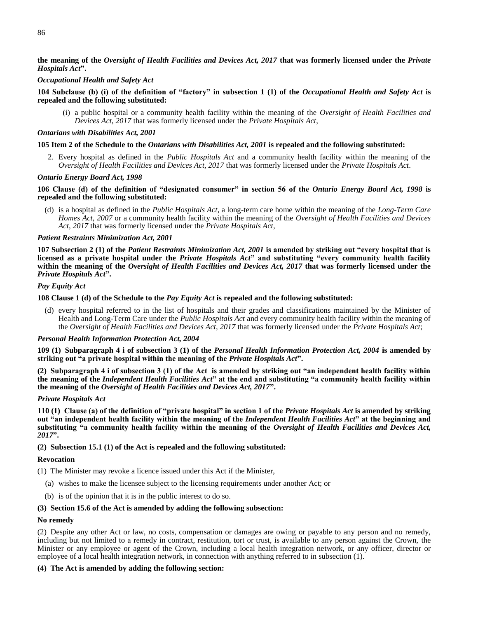# **the meaning of the** *Oversight of Health Facilities and Devices Act, 2017* **that was formerly licensed under the** *Private Hospitals Act***".**

### *Occupational Health and Safety Act*

### **104 Subclause (b) (i) of the definition of "factory" in subsection 1 (1) of the** *Occupational Health and Safety Act* **is repealed and the following substituted:**

(i) a public hospital or a community health facility within the meaning of the *Oversight of Health Facilities and Devices Act, 2017* that was formerly licensed under the *Private Hospitals Act*,

#### *Ontarians with Disabilities Act, 2001*

### **105 Item 2 of the Schedule to the** *Ontarians with Disabilities Act, 2001* **is repealed and the following substituted:**

2. Every hospital as defined in the *Public Hospitals Act* and a community health facility within the meaning of the *Oversight of Health Facilities and Devices Act, 2017* that was formerly licensed under the *Private Hospitals Act*.

#### *Ontario Energy Board Act, 1998*

# **106 Clause (d) of the definition of "designated consumer" in section 56 of the** *Ontario Energy Board Act, 1998* **is repealed and the following substituted:**

(d) is a hospital as defined in the *Public Hospitals Act*, a long-term care home within the meaning of the *Long-Term Care Homes Act, 2007* or a community health facility within the meaning of the *Oversight of Health Facilities and Devices Act, 2017* that was formerly licensed under the *Private Hospitals Act*,

### *Patient Restraints Minimization Act, 2001*

**107 Subsection 2 (1) of the** *Patient Restraints Minimization Act, 2001* **is amended by striking out "every hospital that is licensed as a private hospital under the** *Private Hospitals Act***" and substituting "every community health facility within the meaning of the** *Oversight of Health Facilities and Devices Act, 2017* **that was formerly licensed under the**  *Private Hospitals Act***".**

## *Pay Equity Act*

**108 Clause 1 (d) of the Schedule to the** *Pay Equity Act* **is repealed and the following substituted:**

(d) every hospital referred to in the list of hospitals and their grades and classifications maintained by the Minister of Health and Long-Term Care under the *Public Hospitals Act* and every community health facility within the meaning of the *Oversight of Health Facilities and Devices Act, 2017* that was formerly licensed under the *Private Hospitals Act*;

# *Personal Health Information Protection Act, 2004*

**109 (1) Subparagraph 4 i of subsection 3 (1) of the** *Personal Health Information Protection Act, 2004* **is amended by striking out "a private hospital within the meaning of the** *Private Hospitals Act***".**

**(2) Subparagraph 4 i of subsection 3 (1) of the Act is amended by striking out "an independent health facility within the meaning of the** *Independent Health Facilities Act***" at the end and substituting "a community health facility within the meaning of the** *Oversight of Health Facilities and Devices Act, 2017***".**

### *Private Hospitals Act*

**110 (1) Clause (a) of the definition of "private hospital" in section 1 of the** *Private Hospitals Act* **is amended by striking out "an independent health facility within the meaning of the** *Independent Health Facilities Act***" at the beginning and substituting "a community health facility within the meaning of the** *Oversight of Health Facilities and Devices Act, 2017***".**

# **(2) Subsection 15.1 (1) of the Act is repealed and the following substituted:**

# **Revocation**

- (1) The Minister may revoke a licence issued under this Act if the Minister,
	- (a) wishes to make the licensee subject to the licensing requirements under another Act; or
	- (b) is of the opinion that it is in the public interest to do so.

#### **(3) Section 15.6 of the Act is amended by adding the following subsection:**

#### **No remedy**

(2) Despite any other Act or law, no costs, compensation or damages are owing or payable to any person and no remedy, including but not limited to a remedy in contract, restitution, tort or trust, is available to any person against the Crown, the Minister or any employee or agent of the Crown, including a local health integration network, or any officer, director or employee of a local health integration network, in connection with anything referred to in subsection (1).

# **(4) The Act is amended by adding the following section:**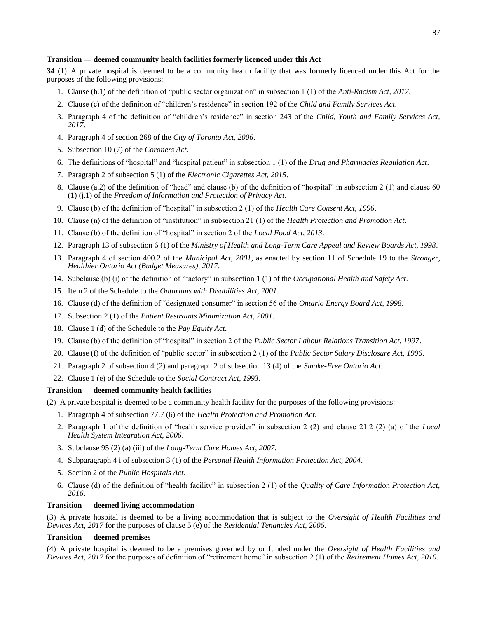#### **Transition — deemed community health facilities formerly licenced under this Act**

**34** (1) A private hospital is deemed to be a community health facility that was formerly licenced under this Act for the purposes of the following provisions:

- 1. Clause (h.1) of the definition of "public sector organization" in subsection 1 (1) of the *Anti-Racism Act, 2017*.
- 2. Clause (c) of the definition of "children's residence" in section 192 of the *Child and Family Services Act*.
- 3. Paragraph 4 of the definition of "children's residence" in section 243 of the *Child, Youth and Family Services Act, 2017*.
- 4. Paragraph 4 of section 268 of the *City of Toronto Act, 2006*.
- 5. Subsection 10 (7) of the *Coroners Act*.
- 6. The definitions of "hospital" and "hospital patient" in subsection 1 (1) of the *Drug and Pharmacies Regulation Act*.
- 7. Paragraph 2 of subsection 5 (1) of the *Electronic Cigarettes Act, 2015*.
- 8. Clause (a.2) of the definition of "head" and clause (b) of the definition of "hospital" in subsection 2 (1) and clause 60 (1) (j.1) of the *Freedom of Information and Protection of Privacy Act*.
- 9. Clause (b) of the definition of "hospital" in subsection 2 (1) of the *Health Care Consent Act, 1996*.
- 10. Clause (n) of the definition of "institution" in subsection 21 (1) of the *Health Protection and Promotion Act*.
- 11. Clause (b) of the definition of "hospital" in section 2 of the *Local Food Act, 2013*.
- 12. Paragraph 13 of subsection 6 (1) of the *Ministry of Health and Long-Term Care Appeal and Review Boards Act, 1998*.
- 13. Paragraph 4 of section 400.2 of the *Municipal Act, 2001*, as enacted by section 11 of Schedule 19 to the *Stronger, Healthier Ontario Act (Budget Measures), 2017*.
- 14. Subclause (b) (i) of the definition of "factory" in subsection 1 (1) of the *Occupational Health and Safety Act*.
- 15. Item 2 of the Schedule to the *Ontarians with Disabilities Act, 2001*.
- 16. Clause (d) of the definition of "designated consumer" in section 56 of the *Ontario Energy Board Act, 1998*.
- 17. Subsection 2 (1) of the *Patient Restraints Minimization Act, 2001*.
- 18. Clause 1 (d) of the Schedule to the *Pay Equity Act*.
- 19. Clause (b) of the definition of "hospital" in section 2 of the *Public Sector Labour Relations Transition Act, 1997*.
- 20. Clause (f) of the definition of "public sector" in subsection 2 (1) of the *Public Sector Salary Disclosure Act, 1996*.
- 21. Paragraph 2 of subsection 4 (2) and paragraph 2 of subsection 13 (4) of the *Smoke-Free Ontario Act*.
- 22. Clause 1 (e) of the Schedule to the *Social Contract Act, 1993*.

#### **Transition — deemed community health facilities**

(2) A private hospital is deemed to be a community health facility for the purposes of the following provisions:

- 1. Paragraph 4 of subsection 77.7 (6) of the *Health Protection and Promotion Act*.
- 2. Paragraph 1 of the definition of "health service provider" in subsection 2 (2) and clause 21.2 (2) (a) of the *Local Health System Integration Act, 2006*.
- 3. Subclause 95 (2) (a) (iii) of the *Long-Term Care Homes Act, 2007*.
- 4. Subparagraph 4 i of subsection 3 (1) of the *Personal Health Information Protection Act, 2004*.
- 5. Section 2 of the *Public Hospitals Act*.
- 6. Clause (d) of the definition of "health facility" in subsection 2 (1) of the *Quality of Care Information Protection Act, 2016*.

### **Transition — deemed living accommodation**

(3) A private hospital is deemed to be a living accommodation that is subject to the *Oversight of Health Facilities and Devices Act, 2017* for the purposes of clause 5 (e) of the *Residential Tenancies Act, 2006*.

### **Transition — deemed premises**

(4) A private hospital is deemed to be a premises governed by or funded under the *Oversight of Health Facilities and Devices Act, 2017* for the purposes of definition of "retirement home" in subsection 2 (1) of the *Retirement Homes Act, 2010*.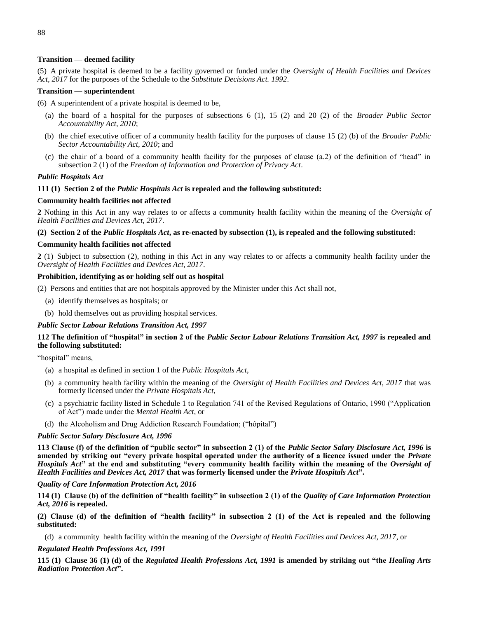### **Transition — deemed facility**

(5) A private hospital is deemed to be a facility governed or funded under the *Oversight of Health Facilities and Devices Act, 2017* for the purposes of the Schedule to the *Substitute Decisions Act. 1992*.

### **Transition — superintendent**

(6) A superintendent of a private hospital is deemed to be,

- (a) the board of a hospital for the purposes of subsections 6 (1), 15 (2) and 20 (2) of the *Broader Public Sector Accountability Act, 2010*;
- (b) the chief executive officer of a community health facility for the purposes of clause 15 (2) (b) of the *Broader Public Sector Accountability Act, 2010*; and
- (c) the chair of a board of a community health facility for the purposes of clause (a.2) of the definition of "head" in subsection 2 (1) of the *Freedom of Information and Protection of Privacy Act*.

### *Public Hospitals Act*

### **111 (1) Section 2 of the** *Public Hospitals Act* **is repealed and the following substituted:**

# **Community health facilities not affected**

**2** Nothing in this Act in any way relates to or affects a community health facility within the meaning of the *Oversight of Health Facilities and Devices Act, 2017*.

**(2) Section 2 of the** *Public Hospitals Act***, as re-enacted by subsection (1), is repealed and the following substituted:**

# **Community health facilities not affected**

**2** (1) Subject to subsection (2), nothing in this Act in any way relates to or affects a community health facility under the *Oversight of Health Facilities and Devices Act, 2017*.

### **Prohibition, identifying as or holding self out as hospital**

(2) Persons and entities that are not hospitals approved by the Minister under this Act shall not,

- (a) identify themselves as hospitals; or
- (b) hold themselves out as providing hospital services.

### *Public Sector Labour Relations Transition Act, 1997*

# **112 The definition of "hospital" in section 2 of the** *Public Sector Labour Relations Transition Act, 1997* **is repealed and the following substituted:**

"hospital" means,

- (a) a hospital as defined in section 1 of the *Public Hospitals Act*,
- (b) a community health facility within the meaning of the *Oversight of Health Facilities and Devices Act, 2017* that was formerly licensed under the *Private Hospitals Act*,
- (c) a psychiatric facility listed in Schedule 1 to Regulation 741 of the Revised Regulations of Ontario, 1990 ("Application of Act") made under the *Mental Health Act*, or
- (d) the Alcoholism and Drug Addiction Research Foundation; ("hôpital")

#### *Public Sector Salary Disclosure Act, 1996*

**113 Clause (f) of the definition of "public sector" in subsection 2 (1) of the** *Public Sector Salary Disclosure Act, 1996* **is amended by striking out "every private hospital operated under the authority of a licence issued under the** *Private Hospitals Act***" at the end and substituting "every community health facility within the meaning of the** *Oversight of Health Facilities and Devices Act, 2017* **that was formerly licensed under the** *Private Hospitals Act***".**

## *Quality of Care Information Protection Act, 2016*

**114 (1) Clause (b) of the definition of "health facility" in subsection 2 (1) of the** *Quality of Care Information Protection Act, 2016* **is repealed.**

**(2) Clause (d) of the definition of "health facility" in subsection 2 (1) of the Act is repealed and the following substituted:**

(d) a community health facility within the meaning of the *Oversight of Health Facilities and Devices Act, 2017*, or

#### *Regulated Health Professions Act, 1991*

**115 (1) Clause 36 (1) (d) of the** *Regulated Health Professions Act, 1991* **is amended by striking out "the** *Healing Arts Radiation Protection Act***".**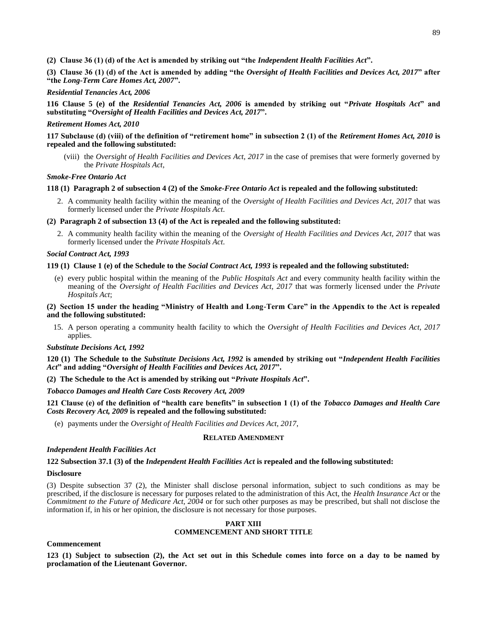**(2) Clause 36 (1) (d) of the Act is amended by striking out "the** *Independent Health Facilities Act***".**

**(3) Clause 36 (1) (d) of the Act is amended by adding "the** *Oversight of Health Facilities and Devices Act, 2017***" after "the** *Long-Term Care Homes Act, 2007***".**

*Residential Tenancies Act, 2006*

**116 Clause 5 (e) of the** *Residential Tenancies Act, 2006* **is amended by striking out "***Private Hospitals Act***" and substituting "***Oversight of Health Facilities and Devices Act, 2017***".**

### *Retirement Homes Act, 2010*

# **117 Subclause (d) (viii) of the definition of "retirement home" in subsection 2 (1) of the** *Retirement Homes Act, 2010* **is repealed and the following substituted:**

(viii) the *Oversight of Health Facilities and Devices Act, 2017* in the case of premises that were formerly governed by the *Private Hospitals Act*,

### *Smoke-Free Ontario Act*

# **118 (1) Paragraph 2 of subsection 4 (2) of the** *Smoke-Free Ontario Act* **is repealed and the following substituted:**

2. A community health facility within the meaning of the *Oversight of Health Facilities and Devices Act, 2017* that was formerly licensed under the *Private Hospitals Act*.

# **(2) Paragraph 2 of subsection 13 (4) of the Act is repealed and the following substituted:**

2. A community health facility within the meaning of the *Oversight of Health Facilities and Devices Act, 2017* that was formerly licensed under the *Private Hospitals Act*.

### *Social Contract Act, 1993*

### **119 (1) Clause 1 (e) of the Schedule to the** *Social Contract Act, 1993* **is repealed and the following substituted:**

(e) every public hospital within the meaning of the *Public Hospitals Act* and every community health facility within the meaning of the *Oversight of Health Facilities and Devices Act, 2017* that was formerly licensed under the *Private Hospitals Act*;

# **(2) Section 15 under the heading "Ministry of Health and Long-Term Care" in the Appendix to the Act is repealed and the following substituted:**

15. A person operating a community health facility to which the *Oversight of Health Facilities and Devices Act, 2017* applies.

#### *Substitute Decisions Act, 1992*

**120 (1) The Schedule to the** *Substitute Decisions Act, 1992* **is amended by striking out "***Independent Health Facilities Act***" and adding "***Oversight of Health Facilities and Devices Act, 2017***".**

# **(2) The Schedule to the Act is amended by striking out "***Private Hospitals Act***".**

#### *Tobacco Damages and Health Care Costs Recovery Act, 2009*

# **121 Clause (e) of the definition of "health care benefits" in subsection 1 (1) of the** *Tobacco Damages and Health Care Costs Recovery Act, 2009* **is repealed and the following substituted:**

(e) payments under the *Oversight of Health Facilities and Devices Act, 2017*,

# **RELATED AMENDMENT**

# *Independent Health Facilities Act*

# **122 Subsection 37.1 (3) of the** *Independent Health Facilities Act* **is repealed and the following substituted:**

#### **Disclosure**

(3) Despite subsection 37 (2), the Minister shall disclose personal information, subject to such conditions as may be prescribed, if the disclosure is necessary for purposes related to the administration of this Act, the *Health Insurance Act* or the *Commitment to the Future of Medicare Act, 2004* or for such other purposes as may be prescribed, but shall not disclose the information if, in his or her opinion, the disclosure is not necessary for those purposes.

### **PART XIII COMMENCEMENT AND SHORT TITLE**

### **Commencement**

**123 (1) Subject to subsection (2), the Act set out in this Schedule comes into force on a day to be named by proclamation of the Lieutenant Governor.**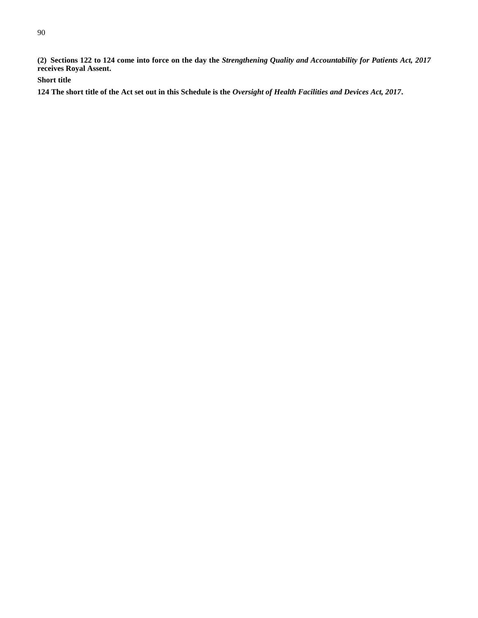**(2) Sections 122 to 124 come into force on the day the** *Strengthening Quality and Accountability for Patients Act, 2017* **receives Royal Assent.**

**Short title**

**124 The short title of the Act set out in this Schedule is the** *Oversight of Health Facilities and Devices Act, 2017***.**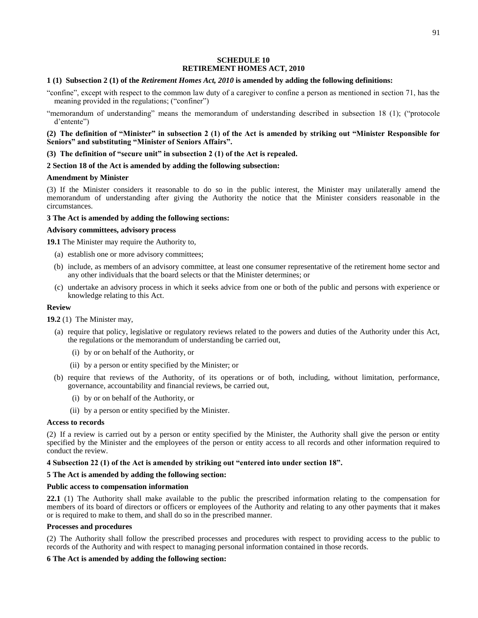### **SCHEDULE 10 RETIREMENT HOMES ACT, 2010**

### **1 (1) Subsection 2 (1) of the** *Retirement Homes Act, 2010* **is amended by adding the following definitions:**

"confine", except with respect to the common law duty of a caregiver to confine a person as mentioned in section 71, has the meaning provided in the regulations; ("confiner")

"memorandum of understanding" means the memorandum of understanding described in subsection 18 (1); ("protocole d'entente")

# **(2) The definition of "Minister" in subsection 2 (1) of the Act is amended by striking out "Minister Responsible for Seniors" and substituting "Minister of Seniors Affairs".**

**(3) The definition of "secure unit" in subsection 2 (1) of the Act is repealed.**

# **2 Section 18 of the Act is amended by adding the following subsection:**

### **Amendment by Minister**

(3) If the Minister considers it reasonable to do so in the public interest, the Minister may unilaterally amend the memorandum of understanding after giving the Authority the notice that the Minister considers reasonable in the circumstances.

#### **3 The Act is amended by adding the following sections:**

### **Advisory committees, advisory process**

**19.1** The Minister may require the Authority to,

- (a) establish one or more advisory committees;
- (b) include, as members of an advisory committee, at least one consumer representative of the retirement home sector and any other individuals that the board selects or that the Minister determines; or
- (c) undertake an advisory process in which it seeks advice from one or both of the public and persons with experience or knowledge relating to this Act.

### **Review**

#### **19.2** (1) The Minister may,

- (a) require that policy, legislative or regulatory reviews related to the powers and duties of the Authority under this Act, the regulations or the memorandum of understanding be carried out,
	- (i) by or on behalf of the Authority, or
	- (ii) by a person or entity specified by the Minister; or
- (b) require that reviews of the Authority, of its operations or of both, including, without limitation, performance, governance, accountability and financial reviews, be carried out,
	- (i) by or on behalf of the Authority, or
	- (ii) by a person or entity specified by the Minister.

#### **Access to records**

(2) If a review is carried out by a person or entity specified by the Minister, the Authority shall give the person or entity specified by the Minister and the employees of the person or entity access to all records and other information required to conduct the review.

# **4 Subsection 22 (1) of the Act is amended by striking out "entered into under section 18".**

# **5 The Act is amended by adding the following section:**

#### **Public access to compensation information**

**22.1** (1) The Authority shall make available to the public the prescribed information relating to the compensation for members of its board of directors or officers or employees of the Authority and relating to any other payments that it makes or is required to make to them, and shall do so in the prescribed manner.

#### **Processes and procedures**

(2) The Authority shall follow the prescribed processes and procedures with respect to providing access to the public to records of the Authority and with respect to managing personal information contained in those records.

# **6 The Act is amended by adding the following section:**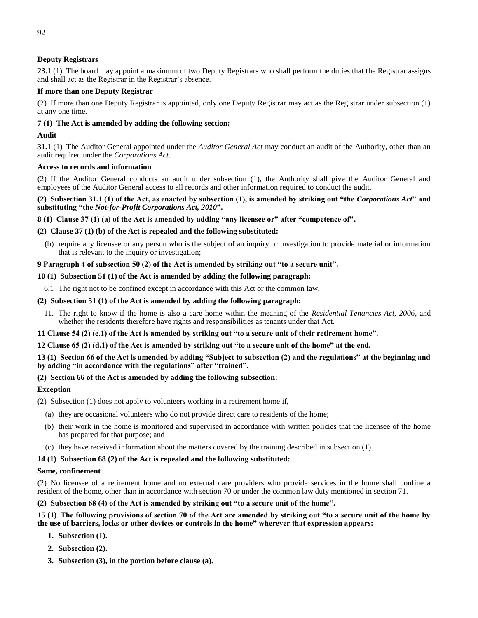# **Deputy Registrars**

**23.1** (1) The board may appoint a maximum of two Deputy Registrars who shall perform the duties that the Registrar assigns and shall act as the Registrar in the Registrar's absence.

# **If more than one Deputy Registrar**

(2) If more than one Deputy Registrar is appointed, only one Deputy Registrar may act as the Registrar under subsection (1) at any one time.

# **7 (1) The Act is amended by adding the following section:**

# **Audit**

**31.1** (1) The Auditor General appointed under the *Auditor General Act* may conduct an audit of the Authority, other than an audit required under the *Corporations Act*.

# **Access to records and information**

(2) If the Auditor General conducts an audit under subsection (1), the Authority shall give the Auditor General and employees of the Auditor General access to all records and other information required to conduct the audit.

**(2) Subsection 31.1 (1) of the Act, as enacted by subsection (1), is amended by striking out "the** *Corporations Act***" and substituting "the** *Not-for-Profit Corporations Act, 2010***".**

**8 (1) Clause 37 (1) (a) of the Act is amended by adding "any licensee or" after "competence of".**

# **(2) Clause 37 (1) (b) of the Act is repealed and the following substituted:**

(b) require any licensee or any person who is the subject of an inquiry or investigation to provide material or information that is relevant to the inquiry or investigation;

# **9 Paragraph 4 of subsection 50 (2) of the Act is amended by striking out "to a secure unit".**

# **10 (1) Subsection 51 (1) of the Act is amended by adding the following paragraph:**

6.1 The right not to be confined except in accordance with this Act or the common law.

# **(2) Subsection 51 (1) of the Act is amended by adding the following paragraph:**

11. The right to know if the home is also a care home within the meaning of the *Residential Tenancies Act, 2006*, and whether the residents therefore have rights and responsibilities as tenants under that Act.

# **11 Clause 54 (2) (e.1) of the Act is amended by striking out "to a secure unit of their retirement home".**

# **12 Clause 65 (2) (d.1) of the Act is amended by striking out "to a secure unit of the home" at the end.**

**13 (1) Section 66 of the Act is amended by adding "Subject to subsection (2) and the regulations" at the beginning and by adding "in accordance with the regulations" after "trained".**

# **(2) Section 66 of the Act is amended by adding the following subsection:**

# **Exception**

- (2) Subsection (1) does not apply to volunteers working in a retirement home if,
	- (a) they are occasional volunteers who do not provide direct care to residents of the home;
	- (b) their work in the home is monitored and supervised in accordance with written policies that the licensee of the home has prepared for that purpose; and
	- (c) they have received information about the matters covered by the training described in subsection (1).

# **14 (1) Subsection 68 (2) of the Act is repealed and the following substituted:**

# **Same, confinement**

(2) No licensee of a retirement home and no external care providers who provide services in the home shall confine a resident of the home, other than in accordance with section 70 or under the common law duty mentioned in section 71.

# **(2) Subsection 68 (4) of the Act is amended by striking out "to a secure unit of the home".**

# **15 (1) The following provisions of section 70 of the Act are amended by striking out "to a secure unit of the home by the use of barriers, locks or other devices or controls in the home" wherever that expression appears:**

- **1. Subsection (1).**
- **2. Subsection (2).**
- **3. Subsection (3), in the portion before clause (a).**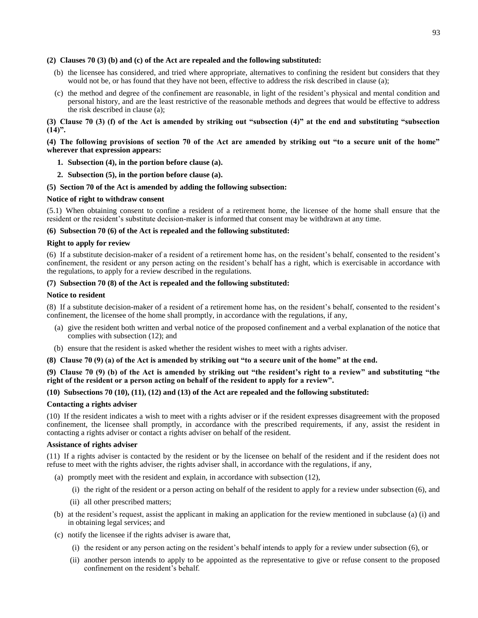### **(2) Clauses 70 (3) (b) and (c) of the Act are repealed and the following substituted:**

- (b) the licensee has considered, and tried where appropriate, alternatives to confining the resident but considers that they would not be, or has found that they have not been, effective to address the risk described in clause (a);
- (c) the method and degree of the confinement are reasonable, in light of the resident's physical and mental condition and personal history, and are the least restrictive of the reasonable methods and degrees that would be effective to address the risk described in clause (a);

# **(3) Clause 70 (3) (f) of the Act is amended by striking out "subsection (4)" at the end and substituting "subsection (14)".**

# **(4) The following provisions of section 70 of the Act are amended by striking out "to a secure unit of the home" wherever that expression appears:**

- **1. Subsection (4), in the portion before clause (a).**
- **2. Subsection (5), in the portion before clause (a).**

### **(5) Section 70 of the Act is amended by adding the following subsection:**

#### **Notice of right to withdraw consent**

(5.1) When obtaining consent to confine a resident of a retirement home, the licensee of the home shall ensure that the resident or the resident's substitute decision-maker is informed that consent may be withdrawn at any time.

### **(6) Subsection 70 (6) of the Act is repealed and the following substituted:**

### **Right to apply for review**

(6) If a substitute decision-maker of a resident of a retirement home has, on the resident's behalf, consented to the resident's confinement, the resident or any person acting on the resident's behalf has a right, which is exercisable in accordance with the regulations, to apply for a review described in the regulations.

# **(7) Subsection 70 (8) of the Act is repealed and the following substituted:**

#### **Notice to resident**

(8) If a substitute decision-maker of a resident of a retirement home has, on the resident's behalf, consented to the resident's confinement, the licensee of the home shall promptly, in accordance with the regulations, if any,

- (a) give the resident both written and verbal notice of the proposed confinement and a verbal explanation of the notice that complies with subsection (12); and
- (b) ensure that the resident is asked whether the resident wishes to meet with a rights adviser.

#### **(8) Clause 70 (9) (a) of the Act is amended by striking out "to a secure unit of the home" at the end.**

### **(9) Clause 70 (9) (b) of the Act is amended by striking out "the resident's right to a review" and substituting "the right of the resident or a person acting on behalf of the resident to apply for a review".**

# **(10) Subsections 70 (10), (11), (12) and (13) of the Act are repealed and the following substituted:**

#### **Contacting a rights adviser**

(10) If the resident indicates a wish to meet with a rights adviser or if the resident expresses disagreement with the proposed confinement, the licensee shall promptly, in accordance with the prescribed requirements, if any, assist the resident in contacting a rights adviser or contact a rights adviser on behalf of the resident.

#### **Assistance of rights adviser**

(11) If a rights adviser is contacted by the resident or by the licensee on behalf of the resident and if the resident does not refuse to meet with the rights adviser, the rights adviser shall, in accordance with the regulations, if any,

- (a) promptly meet with the resident and explain, in accordance with subsection (12),
	- (i) the right of the resident or a person acting on behalf of the resident to apply for a review under subsection (6), and
	- (ii) all other prescribed matters;
- (b) at the resident's request, assist the applicant in making an application for the review mentioned in subclause (a) (i) and in obtaining legal services; and
- (c) notify the licensee if the rights adviser is aware that,
	- (i) the resident or any person acting on the resident's behalf intends to apply for a review under subsection (6), or
	- (ii) another person intends to apply to be appointed as the representative to give or refuse consent to the proposed confinement on the resident's behalf.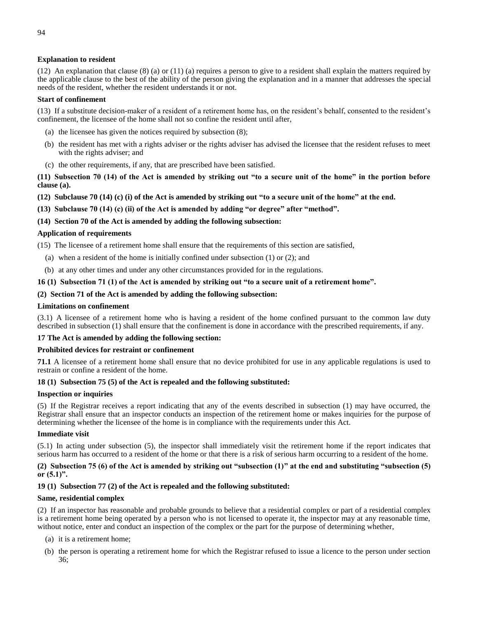# **Explanation to resident**

(12) An explanation that clause (8) (a) or (11) (a) requires a person to give to a resident shall explain the matters required by the applicable clause to the best of the ability of the person giving the explanation and in a manner that addresses the special needs of the resident, whether the resident understands it or not.

#### **Start of confinement**

(13) If a substitute decision-maker of a resident of a retirement home has, on the resident's behalf, consented to the resident's confinement, the licensee of the home shall not so confine the resident until after,

- (a) the licensee has given the notices required by subsection (8);
- (b) the resident has met with a rights adviser or the rights adviser has advised the licensee that the resident refuses to meet with the rights adviser; and
- (c) the other requirements, if any, that are prescribed have been satisfied.

**(11) Subsection 70 (14) of the Act is amended by striking out "to a secure unit of the home" in the portion before clause (a).**

- **(12) Subclause 70 (14) (c) (i) of the Act is amended by striking out "to a secure unit of the home" at the end.**
- **(13) Subclause 70 (14) (c) (ii) of the Act is amended by adding "or degree" after "method".**

### **(14) Section 70 of the Act is amended by adding the following subsection:**

### **Application of requirements**

(15) The licensee of a retirement home shall ensure that the requirements of this section are satisfied,

- (a) when a resident of the home is initially confined under subsection (1) or (2); and
- (b) at any other times and under any other circumstances provided for in the regulations.

### **16 (1) Subsection 71 (1) of the Act is amended by striking out "to a secure unit of a retirement home".**

### **(2) Section 71 of the Act is amended by adding the following subsection:**

#### **Limitations on confinement**

(3.1) A licensee of a retirement home who is having a resident of the home confined pursuant to the common law duty described in subsection (1) shall ensure that the confinement is done in accordance with the prescribed requirements, if any.

#### **17 The Act is amended by adding the following section:**

#### **Prohibited devices for restraint or confinement**

**71.1** A licensee of a retirement home shall ensure that no device prohibited for use in any applicable regulations is used to restrain or confine a resident of the home.

### **18 (1) Subsection 75 (5) of the Act is repealed and the following substituted:**

#### **Inspection or inquiries**

(5) If the Registrar receives a report indicating that any of the events described in subsection (1) may have occurred, the Registrar shall ensure that an inspector conducts an inspection of the retirement home or makes inquiries for the purpose of determining whether the licensee of the home is in compliance with the requirements under this Act.

#### **Immediate visit**

(5.1) In acting under subsection (5), the inspector shall immediately visit the retirement home if the report indicates that serious harm has occurred to a resident of the home or that there is a risk of serious harm occurring to a resident of the home.

**(2) Subsection 75 (6) of the Act is amended by striking out "subsection (1)" at the end and substituting "subsection (5) or (5.1)".**

# **19 (1) Subsection 77 (2) of the Act is repealed and the following substituted:**

#### **Same, residential complex**

(2) If an inspector has reasonable and probable grounds to believe that a residential complex or part of a residential complex is a retirement home being operated by a person who is not licensed to operate it, the inspector may at any reasonable time, without notice, enter and conduct an inspection of the complex or the part for the purpose of determining whether,

- (a) it is a retirement home;
- (b) the person is operating a retirement home for which the Registrar refused to issue a licence to the person under section 36;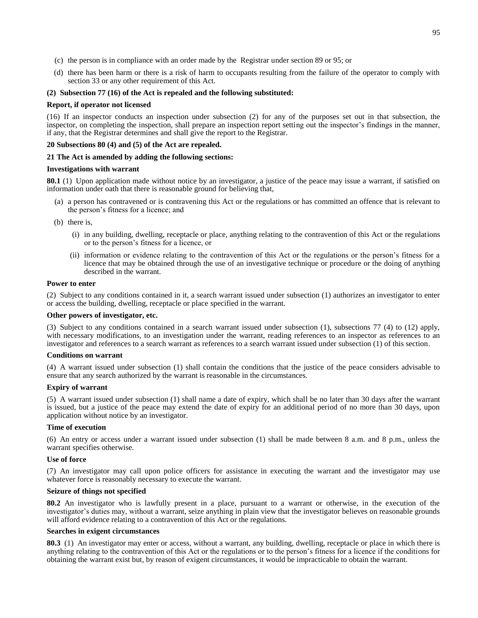- (c) the person is in compliance with an order made by the Registrar under section 89 or 95; or
- (d) there has been harm or there is a risk of harm to occupants resulting from the failure of the operator to comply with section 33 or any other requirement of this Act.

#### **(2) Subsection 77 (16) of the Act is repealed and the following substituted:**

#### **Report, if operator not licensed**

(16) If an inspector conducts an inspection under subsection (2) for any of the purposes set out in that subsection, the inspector, on completing the inspection, shall prepare an inspection report setting out the inspector's findings in the manner, if any, that the Registrar determines and shall give the report to the Registrar.

#### **20 Subsections 80 (4) and (5) of the Act are repealed.**

#### **21 The Act is amended by adding the following sections:**

### **Investigations with warrant**

**80.1** (1) Upon application made without notice by an investigator, a justice of the peace may issue a warrant, if satisfied on information under oath that there is reasonable ground for believing that,

- (a) a person has contravened or is contravening this Act or the regulations or has committed an offence that is relevant to the person's fitness for a licence; and
- (b) there is,
	- (i) in any building, dwelling, receptacle or place, anything relating to the contravention of this Act or the regulations or to the person's fitness for a licence, or
	- (ii) information or evidence relating to the contravention of this Act or the regulations or the person's fitness for a licence that may be obtained through the use of an investigative technique or procedure or the doing of anything described in the warrant.

### **Power to enter**

(2) Subject to any conditions contained in it, a search warrant issued under subsection (1) authorizes an investigator to enter or access the building, dwelling, receptacle or place specified in the warrant.

### **Other powers of investigator, etc.**

(3) Subject to any conditions contained in a search warrant issued under subsection (1), subsections 77 (4) to (12) apply, with necessary modifications, to an investigation under the warrant, reading references to an inspector as references to an investigator and references to a search warrant as references to a search warrant issued under subsection (1) of this section.

#### **Conditions on warrant**

(4) A warrant issued under subsection (1) shall contain the conditions that the justice of the peace considers advisable to ensure that any search authorized by the warrant is reasonable in the circumstances.

#### **Expiry of warrant**

(5) A warrant issued under subsection (1) shall name a date of expiry, which shall be no later than 30 days after the warrant is issued, but a justice of the peace may extend the date of expiry for an additional period of no more than 30 days, upon application without notice by an investigator.

#### **Time of execution**

(6) An entry or access under a warrant issued under subsection (1) shall be made between 8 a.m. and 8 p.m., unless the warrant specifies otherwise.

### **Use of force**

(7) An investigator may call upon police officers for assistance in executing the warrant and the investigator may use whatever force is reasonably necessary to execute the warrant.

### **Seizure of things not specified**

**80.2** An investigator who is lawfully present in a place, pursuant to a warrant or otherwise, in the execution of the investigator's duties may, without a warrant, seize anything in plain view that the investigator believes on reasonable grounds will afford evidence relating to a contravention of this Act or the regulations.

#### **Searches in exigent circumstances**

**80.3** (1) An investigator may enter or access, without a warrant, any building, dwelling, receptacle or place in which there is anything relating to the contravention of this Act or the regulations or to the person's fitness for a licence if the conditions for obtaining the warrant exist but, by reason of exigent circumstances, it would be impracticable to obtain the warrant.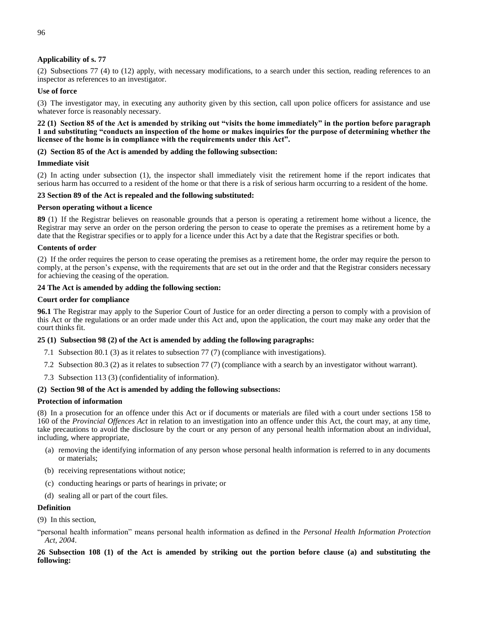# **Applicability of s. 77**

(2) Subsections 77 (4) to (12) apply, with necessary modifications, to a search under this section, reading references to an inspector as references to an investigator.

# **Use of force**

(3) The investigator may, in executing any authority given by this section, call upon police officers for assistance and use whatever force is reasonably necessary.

### **22 (1) Section 85 of the Act is amended by striking out "visits the home immediately" in the portion before paragraph 1 and substituting "conducts an inspection of the home or makes inquiries for the purpose of determining whether the licensee of the home is in compliance with the requirements under this Act".**

### **(2) Section 85 of the Act is amended by adding the following subsection:**

#### **Immediate visit**

(2) In acting under subsection (1), the inspector shall immediately visit the retirement home if the report indicates that serious harm has occurred to a resident of the home or that there is a risk of serious harm occurring to a resident of the home.

### **23 Section 89 of the Act is repealed and the following substituted:**

#### **Person operating without a licence**

**89** (1) If the Registrar believes on reasonable grounds that a person is operating a retirement home without a licence, the Registrar may serve an order on the person ordering the person to cease to operate the premises as a retirement home by a date that the Registrar specifies or to apply for a licence under this Act by a date that the Registrar specifies or both.

### **Contents of order**

(2) If the order requires the person to cease operating the premises as a retirement home, the order may require the person to comply, at the person's expense, with the requirements that are set out in the order and that the Registrar considers necessary for achieving the ceasing of the operation.

### **24 The Act is amended by adding the following section:**

### **Court order for compliance**

**96.1** The Registrar may apply to the Superior Court of Justice for an order directing a person to comply with a provision of this Act or the regulations or an order made under this Act and, upon the application, the court may make any order that the court thinks fit.

# **25 (1) Subsection 98 (2) of the Act is amended by adding the following paragraphs:**

- 7.1 Subsection 80.1 (3) as it relates to subsection 77 (7) (compliance with investigations).
- 7.2 Subsection 80.3 (2) as it relates to subsection 77 (7) (compliance with a search by an investigator without warrant).
- 7.3 Subsection 113 (3) (confidentiality of information).

#### **(2) Section 98 of the Act is amended by adding the following subsections:**

#### **Protection of information**

(8) In a prosecution for an offence under this Act or if documents or materials are filed with a court under sections 158 to 160 of the *Provincial Offences Act* in relation to an investigation into an offence under this Act, the court may, at any time, take precautions to avoid the disclosure by the court or any person of any personal health information about an individual, including, where appropriate,

- (a) removing the identifying information of any person whose personal health information is referred to in any documents or materials;
- (b) receiving representations without notice;
- (c) conducting hearings or parts of hearings in private; or
- (d) sealing all or part of the court files.

#### **Definition**

(9) In this section,

"personal health information" means personal health information as defined in the *Personal Health Information Protection Act, 2004*.

**26 Subsection 108 (1) of the Act is amended by striking out the portion before clause (a) and substituting the following:**